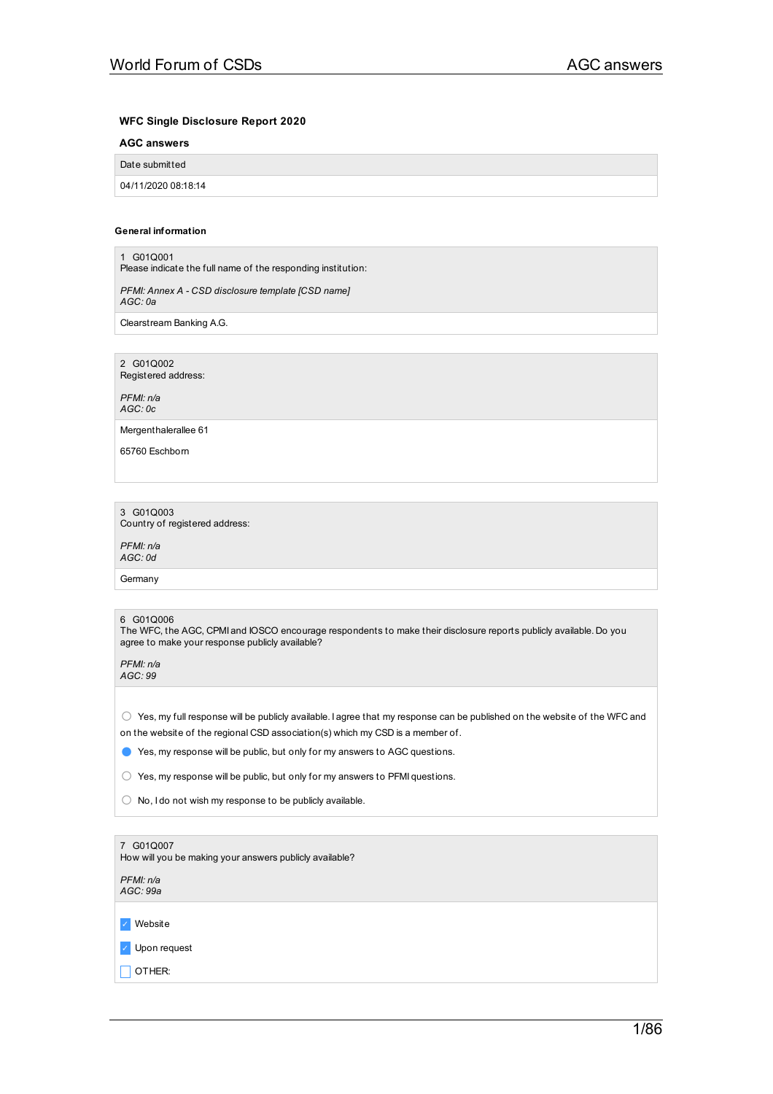## **WFC Single Disclosure Report 2020**

## **AGC answers**

| Date submitted      |  |
|---------------------|--|
| 04/11/2020 08:18:14 |  |

### **General information**

1 G01Q001 Please indicate the full name of the responding institution: *PFMI: Annex A - CSD disclosure template [CSD name] AGC: 0a* Clearstream Banking A.G. 2 G01Q002 Registered address: *PFMI: n/a AGC: 0c* Mergenthalerallee 61 65760 Eschborn 3 G01Q003 Country of registered address: *PFMI: n/a AGC: 0d*

**Germany** 

### 6 G01Q006

The WFC, the AGC, CPMI and IOSCO encourage respondents to make their disclosure reports publicly available. Do you agree to make your response publicly available?

*PFMI: n/a AGC: 99*

 $\bigcirc$  Yes, my full response will be publicly available. I agree that my response can be published on the website of the WFC and on the website of the regional CSD association(s) which my CSD is a member of.

● Yes, my response will be public, but only for my answers to AGC questions.

○ Yes, my response will be public, but only for my answers to PFMI questions.

○ No, I do not wish my response to be publicly available.

| 7 G01Q007<br>How will you be making your answers publicly available? |
|----------------------------------------------------------------------|
| PFMI: n/a<br>AGC: 99a                                                |
| Website<br>$\mathcal{L}_{\mathbb{R}}$                                |
| $\vee$ Upon request                                                  |
| OTHER:                                                               |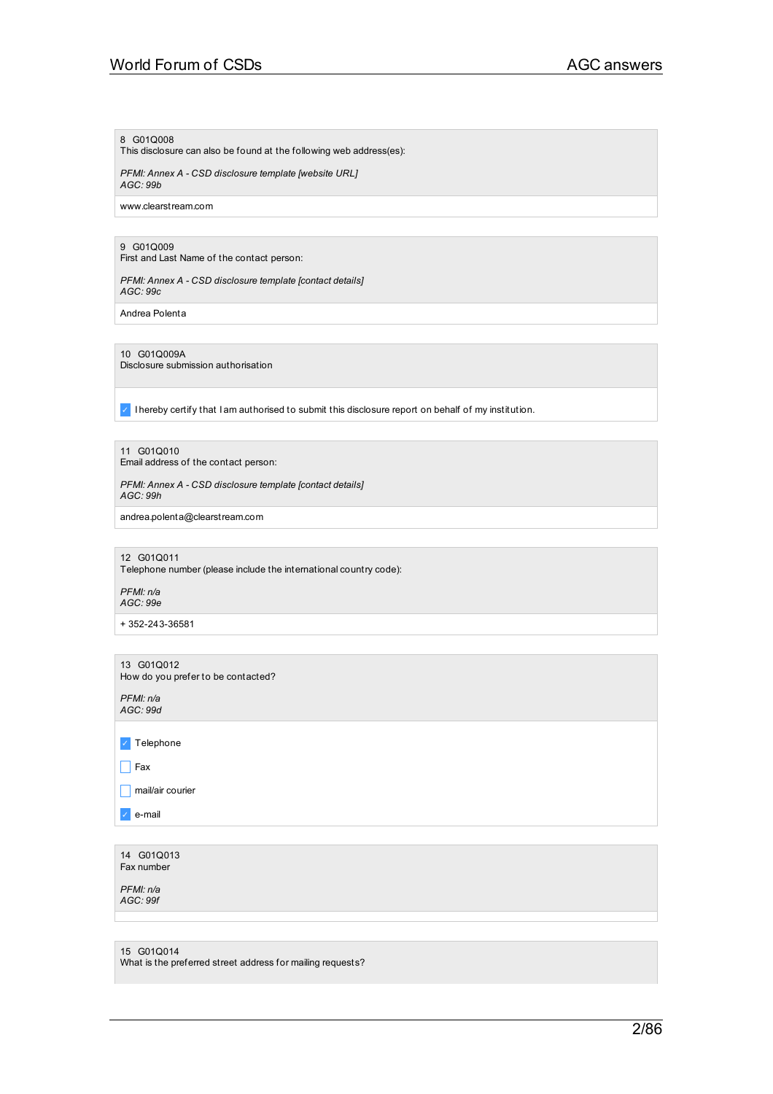# World Forum of CSDs AGC answers

## 8 G01Q008

This disclosure can also be found at the following web address(es):

*PFMI: Annex A - CSD disclosure template [website URL] AGC: 99b*

www.clearstream.com

## 9 G01Q009

First and Last Name of the contact person:

*PFMI: Annex A - CSD disclosure template [contact details] AGC: 99c*

Andrea Polenta

10 G01Q009A

Disclosure submission authorisation

✓ I hereby certify that I am authorised to submit this disclosure report on behalf of my institution.

11 G01Q010

Email address of the contact person:

*PFMI: Annex A - CSD disclosure template [contact details] AGC: 99h*

andrea.polenta@clearstream.com

#### 12 G01Q011

Telephone number (please include the international country code):

*PFMI: n/a AGC: 99e*

+ 352-243-36581

13 G01Q012 How do you prefer to be contacted?

*PFMI: n/a AGC: 99d*

| $\sqrt{\phantom{a}}$ Telephone |
|--------------------------------|
| $\Box$ Fax                     |
| $\Box$ mail/air courier        |
| $\sqrt{e}$ e-mail              |
|                                |

14 G01Q013 Fax number

*PFMI: n/a AGC: 99f*

15 G01Q014

What is the preferred street address for mailing requests?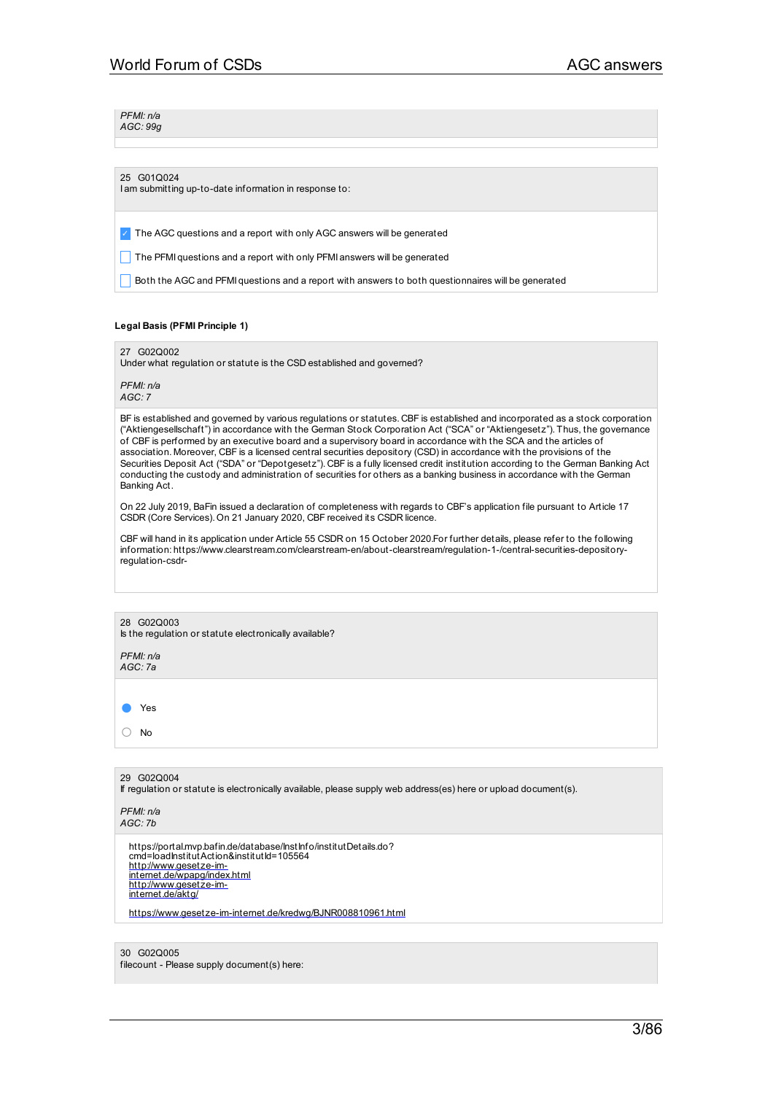*PFMI: n/a AGC: 99g*

### 25 G01Q024

I am submitting up-to-date information in response to:

✓ The AGC questions and a report with only AGC answers will be generated

The PFMI questions and a report with only PFMI answers will be generated

**Both the AGC and PFMI questions and a report with answers to both questionnaires will be generated** 

### **Legal Basis (PFMI Principle 1)**

27 G02Q002

Under what regulation or statute is the CSD established and governed?

*PFMI: n/a AGC: 7*

BF is established and governed by various regulations or statutes. CBF is established and incorporated as a stock corporation ("Aktiengesellschaft") in accordance with the German Stock Corporation Act ("SCA" or "Aktiengesetz"). Thus, the governance of CBF is performed by an executive board and a supervisory board in accordance with the SCA and the articles of association. Moreover, CBF is a licensed central securities depository (CSD) in accordance with the provisions of the Securities Deposit Act ("SDA" or "Depotgesetz"). CBF is a fully licensed credit institution according to the German Banking Act conducting the custody and administration of securities for others as a banking business in accordance with the German Banking Act.

On 22 July 2019, BaFin issued a declaration of completeness with regards to CBF's application file pursuant to Article 17 CSDR (Core Services). On 21 January 2020, CBF received its CSDR licence.

CBF will hand in its application under Article 55 CSDR on 15 October 2020.For further details, please refer to the following information: https://www.clearstream.com/clearstream-en/about-clearstream/regulation-1-/central-securities-depositoryregulation-csdr-

| 28 G02Q003                                             |
|--------------------------------------------------------|
| Is the regulation or statute electronically available? |

*PFMI: n/a AGC: 7a*

● Yes ○ No

29 G02Q004

If regulation or statute is electronically available, please supply web address(es) here or upload document(s).

*PFMI: n/a AGC: 7b*

> https://portal.mvp.bafin.de/database/InstInfo/institutDetails.do?<br>cmd=loadInstitutAction&institutId=105564 http://www.gesetze-im-[internet.de/wpapg/index.html](http://www.gesetze-im-internet.de/wpapg/index.html) [http://www.gesetze-im-](http://www.gesetze-im-internet.de/aktg/)internet.de/aktg/

[https://www.gesetze-im-internet.de/kredwg/BJNR008810961.html](http://www.gesetze-im-internet.de/kredwg/BJNR008810961.html)

30 G02Q005 filecount - Please supply document(s) here: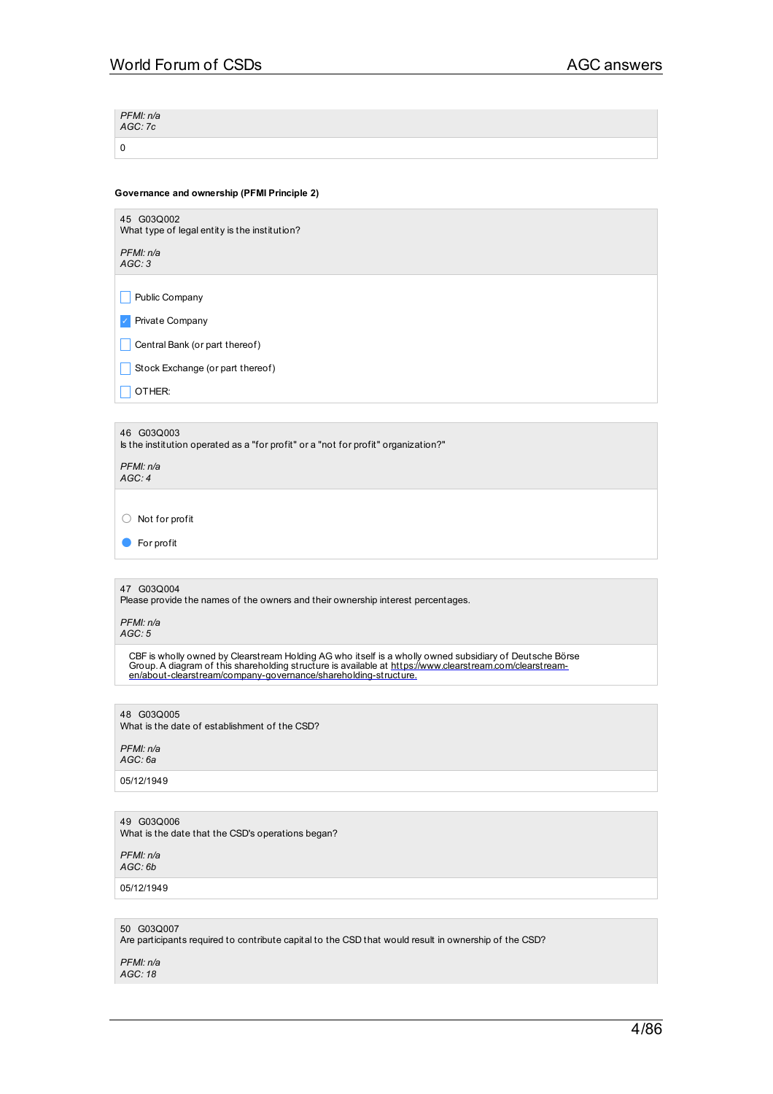| PFMI: n/a<br>AGC: 7c |  |
|----------------------|--|
|                      |  |

## **Governance and ownership (PFMI Principle 2)**

| 45 G03Q002<br>What type of legal entity is the institution?                                                                                                                                                                                                                            |
|----------------------------------------------------------------------------------------------------------------------------------------------------------------------------------------------------------------------------------------------------------------------------------------|
| PFMI: n/a<br>AGC: 3                                                                                                                                                                                                                                                                    |
| Public Company                                                                                                                                                                                                                                                                         |
| Private Company                                                                                                                                                                                                                                                                        |
| Central Bank (or part thereof)                                                                                                                                                                                                                                                         |
| Stock Exchange (or part thereof)                                                                                                                                                                                                                                                       |
| OTHER:                                                                                                                                                                                                                                                                                 |
|                                                                                                                                                                                                                                                                                        |
| 46 G03Q003<br>Is the institution operated as a "for profit" or a "not for profit" organization?"                                                                                                                                                                                       |
| PFMI: n/a<br>AGC:4                                                                                                                                                                                                                                                                     |
| Not for profit<br>U                                                                                                                                                                                                                                                                    |
| For profit                                                                                                                                                                                                                                                                             |
|                                                                                                                                                                                                                                                                                        |
| 47 G03Q004<br>Please provide the names of the owners and their ownership interest percentages.                                                                                                                                                                                         |
| PFMI: n/a<br>AGC: 5                                                                                                                                                                                                                                                                    |
| CBF is wholly owned by Clearstream Holding AG who itself is a wholly owned subsidiary of Deutsche Börse<br>Group. A diagram of this shareholding structure is available at https://www.clearstream.com/clearstream-<br>en/about-clearstream/company-governance/shareholding-structure. |
| 48 G03Q005                                                                                                                                                                                                                                                                             |
| What is the date of establishment of the CSD?                                                                                                                                                                                                                                          |

*PFMI: n/a AGC: 6a*

05/12/1949

49 G03Q006 What is the date that the CSD's operations began?

*PFMI: n/a AGC: 6b*

05/12/1949

50 G03Q007 Are participants required to contribute capital to the CSD that would result in ownership of the CSD?

*PFMI: n/a AGC: 18*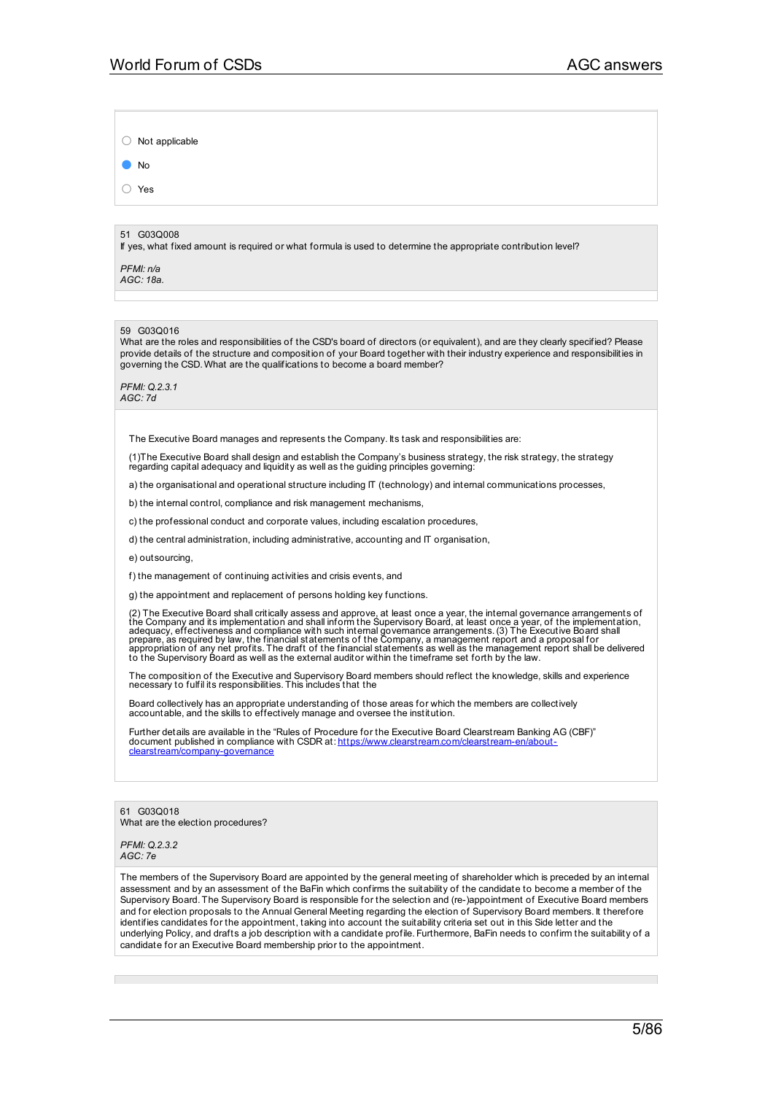○ Not applicable

● No

○ Yes

## 51 G03Q008

If yes, what fixed amount is required or what formula is used to determine the appropriate contribution level?

*PFMI: n/a AGC: 18a.*

### 59 G03Q016

What are the roles and responsibilities of the CSD's board of directors (or equivalent), and are they clearly specified? Please provide details of the structure and composition of your Board together with their industry experience and responsibilities in governing the CSD. What are the qualifications to become a board member?

*PFMI: Q.2.3.1 AGC: 7d*

The Executive Board manages and represents the Company. Its task and responsibilities are:

(1)The Executive Board shall design and establish the Company's business strategy, the risk strategy, the strategy regarding capital adequacy and liquidity as well as the guiding principles governing:

a) the organisational and operational structure including IT (technology) and internal communications processes,

b) the internal control, compliance and risk management mechanisms,

c) the professional conduct and corporate values, including escalation procedures,

d) the central administration, including administrative, accounting and IT organisation,

e) outsourcing,

f) the management of continuing activities and crisis events, and

g) the appointment and replacement of persons holding key functions.

(2) The Executive Board shall critically assess and approve, at least once a year, the internal governance arrangements of<br>the Company and its implementation and shall inform the Supervisory Board, at least once a year, of

The composition of the Executive and Supervisory Board members should reflect the knowledge, skills and experience necessary to fulfil its responsibilities. This includes that the

Board collectively has an appropriate understanding of those areas for which the members are collectively accountable, and the skills to effectively manage and oversee the institution.

Further details are available in the "Rules of Procedure for the Executive Board Clearstream Banking AG (CBF)" document published in compliance with CSDR at: <u>https://www.clearstream.com/clearstream-en/about-</u><br><u>clearstream/company-governance</u>

61 G03Q018 What are the election procedures?

*PFMI: Q.2.3.2 AGC: 7e*

The members of the Supervisory Board are appointed by the general meeting of shareholder which is preceded by an internal assessment and by an assessment of the BaFin which confirms the suitability of the candidate to become a member of the Supervisory Board. The Supervisory Board is responsible for the selection and (re-)appointment of Executive Board members and for election proposals to the Annual General Meeting regarding the election of Supervisory Board members. It therefore identifies candidates for the appointment, taking into account the suitability criteria set out in this Side letter and the underlying Policy, and drafts a job description with a candidate profile. Furthermore, BaFin needs to confirm the suitability of a candidate for an Executive Board membership prior to the appointment.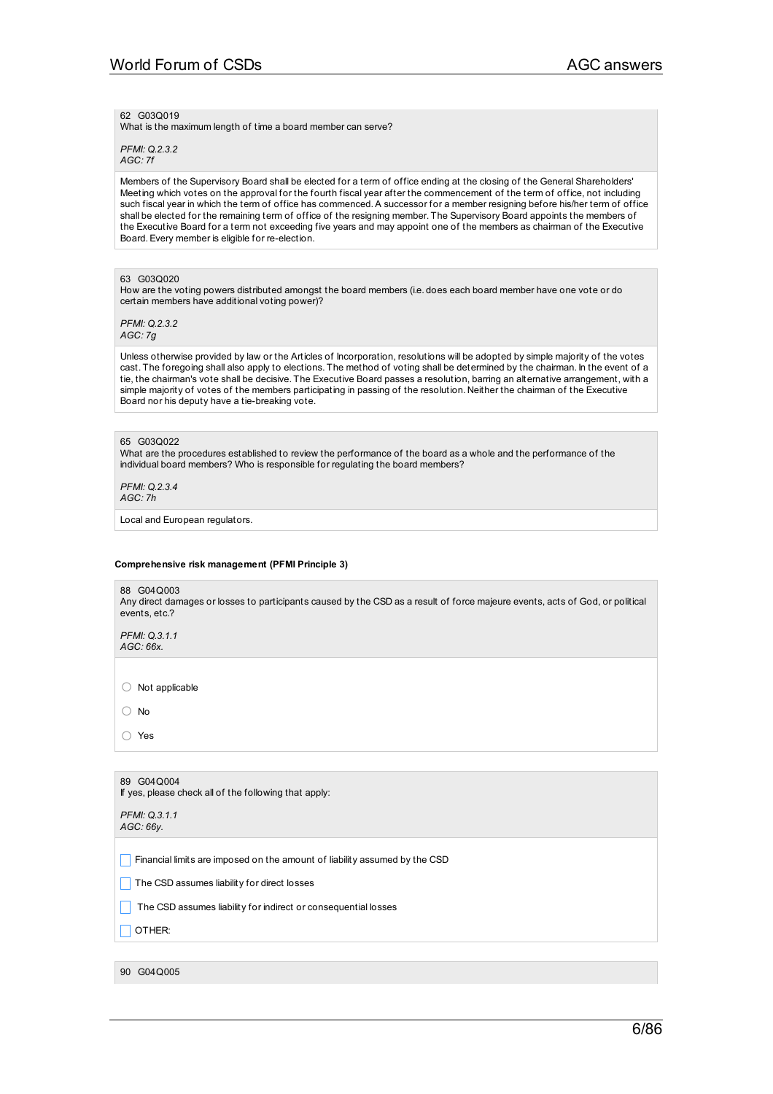62 G03Q019

What is the maximum length of time a board member can serve?

*PFMI: Q.2.3.2 AGC: 7f*

Members of the Supervisory Board shall be elected for a term of office ending at the closing of the General Shareholders' Meeting which votes on the approval for the fourth fiscal year after the commencement of the term of office, not including such fiscal year in which the term of office has commenced.A successor for a member resigning before his/her term of office shall be elected for the remaining term of office of the resigning member. The Supervisory Board appoints the members of the Executive Board for a term not exceeding five years and may appoint one of the members as chairman of the Executive Board.Every member is eligible for re-election.

## 63 G03Q020

How are the voting powers distributed amongst the board members (i.e. does each board member have one vote or do certain members have additional voting power)?

*PFMI: Q.2.3.2 AGC: 7g*

Unless otherwise provided by law or the Articles of Incorporation, resolutions will be adopted by simple majority of the votes cast. The foregoing shall also apply to elections. The method of voting shall be determined by the chairman. In the event of a tie, the chairman's vote shall be decisive. The Executive Board passes a resolution, barring an alternative arrangement, with a simple majority of votes of the members participating in passing of the resolution. Neither the chairman of the Executive Board nor his deputy have a tie-breaking vote.

### 65 G03Q022

What are the procedures established to review the performance of the board as a whole and the performance of the individual board members? Who is responsible for regulating the board members?

*PFMI: Q.2.3.4 AGC: 7h*

Local and European regulators.

### **Comprehensive risk management (PFMI Principle 3)**

88 G04Q003 Any direct damages or losses to participants caused by the CSD as a result of force majeure events, acts of God, or political events, etc.?

*PFMI: Q.3.1.1 AGC: 66x.*

○ Not applicable

○ No

○ Yes

| 89 G04 Q004<br>If yes, please check all of the following that apply:       |
|----------------------------------------------------------------------------|
| PFMI: Q.3.1.1<br>AGC:66V.                                                  |
| Financial limits are imposed on the amount of liability assumed by the CSD |
| The CSD assumes liability for direct losses                                |
| The CSD assumes liability for indirect or consequential losses             |
| OTHER:                                                                     |
|                                                                            |
| 90 G040005                                                                 |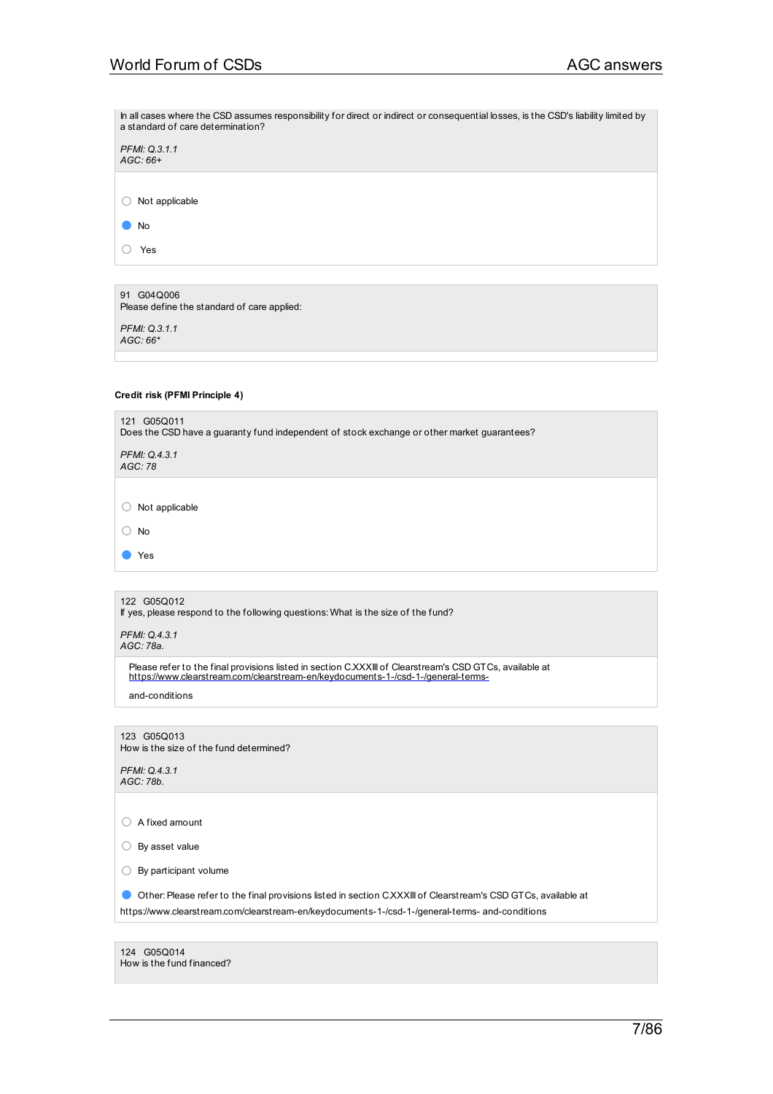In all cases where the CSD assumes responsibility for direct or indirect or consequential losses, is the CSD's liability limited by a standard of care determination? *PFMI: Q.3.1.1*

○ Not applicable

*AGC: 66+*

○ Yes

91 G04Q006 Please define the standard of care applied:

*PFMI: Q.3.1.1 AGC: 66\**

## **Credit risk (PFMI Principle 4)**

| 121 G05Q011<br>Does the CSD have a guaranty fund independent of stock exchange or other market guarantees? |
|------------------------------------------------------------------------------------------------------------|
| PFMI: Q.4.3.1<br>AGC: 78                                                                                   |
|                                                                                                            |
| Not applicable                                                                                             |
| No                                                                                                         |
| Yes                                                                                                        |
|                                                                                                            |

122 G05Q012

If yes, please respond to the following questions: What is the size of the fund?

*PFMI: Q.4.3.1 AGC: 78a.*

Please refer to the final provisions listed in section C.XXXIII of Clearstream's CSD GTCs, available at [https://www.clearstream.com/clearstream-en/keydocuments-1-/csd-1-/general-terms-](http://www.clearstream.com/clearstream-en/keydocuments-1-/csd-1-/general-terms-)

and-conditions

123 G05Q013 How is the size of the fund determined?

*PFMI: Q.4.3.1 AGC: 78b.*

○ A fixed amount

○ By asset value

 $\bigcirc$  By participant volume

● Other: Please refer to the final provisions listed in section C.XXXIII of Clearstream's CSD GTCs, available at

https://www.clearstream.com/clearstream-en/keydocuments-1-/csd-1-/general-terms- and-conditions

| 124 G05Q014               |  |
|---------------------------|--|
| How is the fund financed? |  |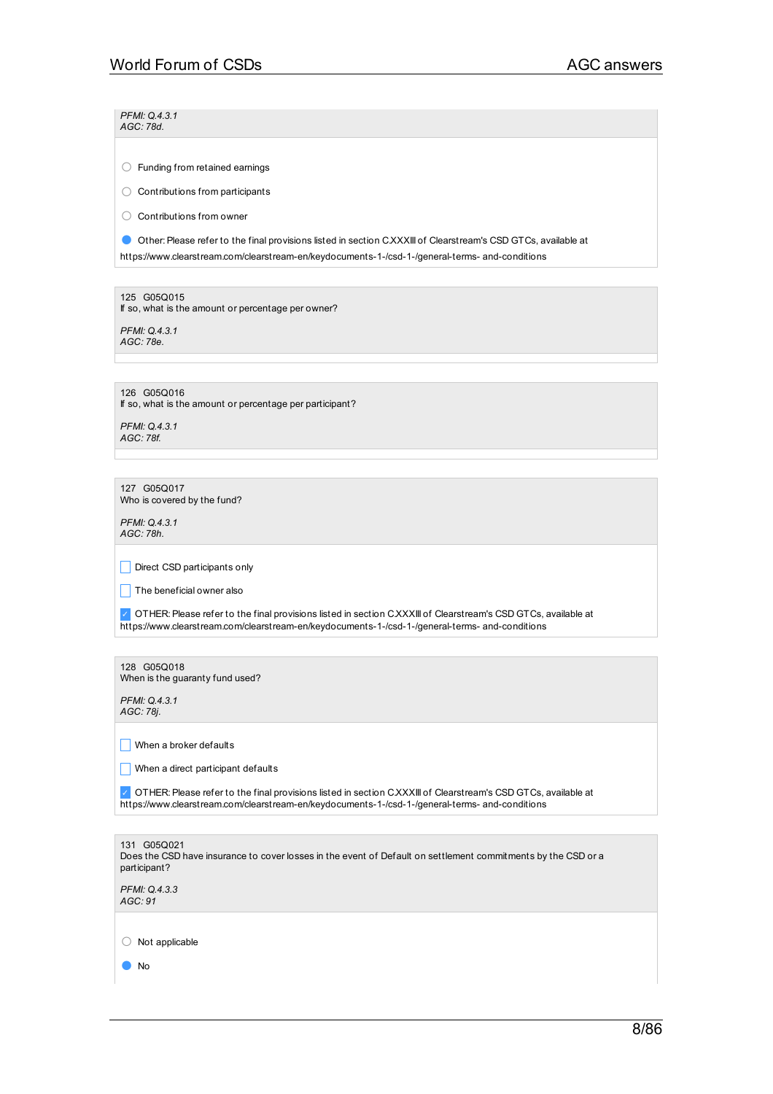*PFMI: Q.4.3.1 AGC: 78d.*

○ Funding from retained earnings

○ Contributions from participants

○ Contributions from owner

● Other: Please refer to the final provisions listed in section C.XXXIII of Clearstream's CSD GTCs, available at

https://www.clearstream.com/clearstream-en/keydocuments-1-/csd-1-/general-terms- and-conditions

125 G05Q015 If so, what is the amount or percentage per owner?

*PFMI: Q.4.3.1 AGC: 78e.*

126 G05Q016 If so, what is the amount or percentage per participant?

*PFMI: Q.4.3.1 AGC: 78f.*

127 G05Q017 Who is covered by the fund?

*PFMI: Q.4.3.1 AGC: 78h.*

Direct CSD participants only

 $\Box$  The beneficial owner also

✓ OTHER:Please refer to the final provisions listed in section C.XXXIII of Clearstream's CSD GTCs, available at https://www.clearstream.com/clearstream-en/keydocuments-1-/csd-1-/general-terms- and-conditions

128 G05Q018 When is the guaranty fund used?

*PFMI: Q.4.3.1 AGC: 78j.*

 $\Box$  When a broker defaults

 $\Box$  When a direct participant defaults

✓ OTHER:Please refer to the final provisions listed in section C.XXXIII of Clearstream's CSD GTCs, available at https://www.clearstream.com/clearstream-en/keydocuments-1-/csd-1-/general-terms- and-conditions

| 131 G05Q021<br>Does the CSD have insurance to cover losses in the event of Default on settlement commitments by the CSD or a<br>participant? |
|----------------------------------------------------------------------------------------------------------------------------------------------|
| PFMI: Q.4.3.3<br>AGC:91                                                                                                                      |
|                                                                                                                                              |
| Not applicable                                                                                                                               |
| No                                                                                                                                           |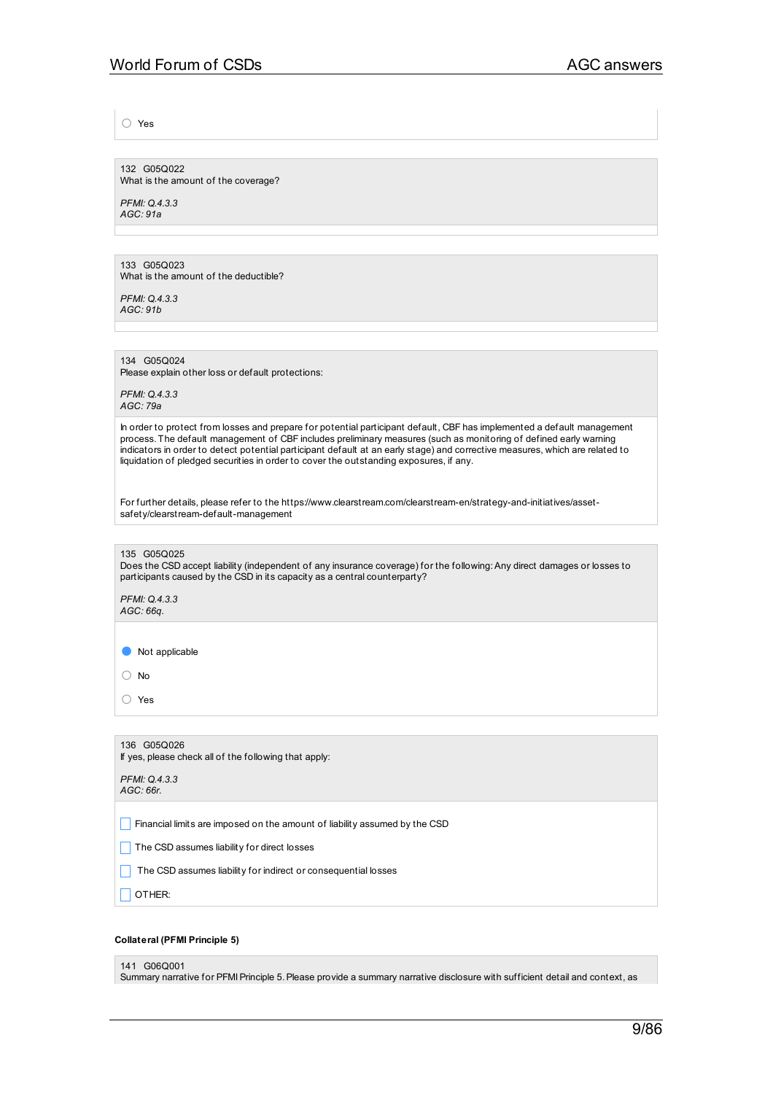○ Yes

132 G05Q022 What is the amount of the coverage?

*PFMI: Q.4.3.3 AGC: 91a*

133 G05Q023 What is the amount of the deductible?

*PFMI: Q.4.3.3 AGC: 91b*

134 G05Q024

Please explain other loss or default protections:

*PFMI: Q.4.3.3 AGC: 79a*

In order to protect from losses and prepare for potential participant default, CBF has implemented a default management process. The default management of CBF includes preliminary measures (such as monitoring of defined early warning indicators in order to detect potential participant default at an early stage) and corrective measures, which are related to liquidation of pledged securities in order to cover the outstanding exposures, if any.

For further details, please refer to the https://www.clearstream.com/clearstream-en/strategy-and-initiatives/assetsafety/clearstream-default-management

### 135 G05Q025

Does the CSD accept liability (independent of any insurance coverage) for the following:Any direct damages or losses to participants caused by the CSD in its capacity as a central counterparty?

*PFMI: Q.4.3.3 AGC: 66q.*

● Not applicable

○ No

○ Yes

136 G05Q026 If yes, please check all of the following that apply: *PFMI: Q.4.3.3 AGC: 66r.*

**Financial limits are imposed on the amount of liability assumed by the CSD** 

 $\Box$  The CSD assumes liability for direct losses

The CSD assumes liability for indirect or consequential losses

 $\Box$  OTHER:

### **Collateral (PFMI Principle 5)**

### 141 G06Q001

Summary narrative for PFMIPrinciple 5.Please provide a summary narrative disclosure with sufficient detail and context, as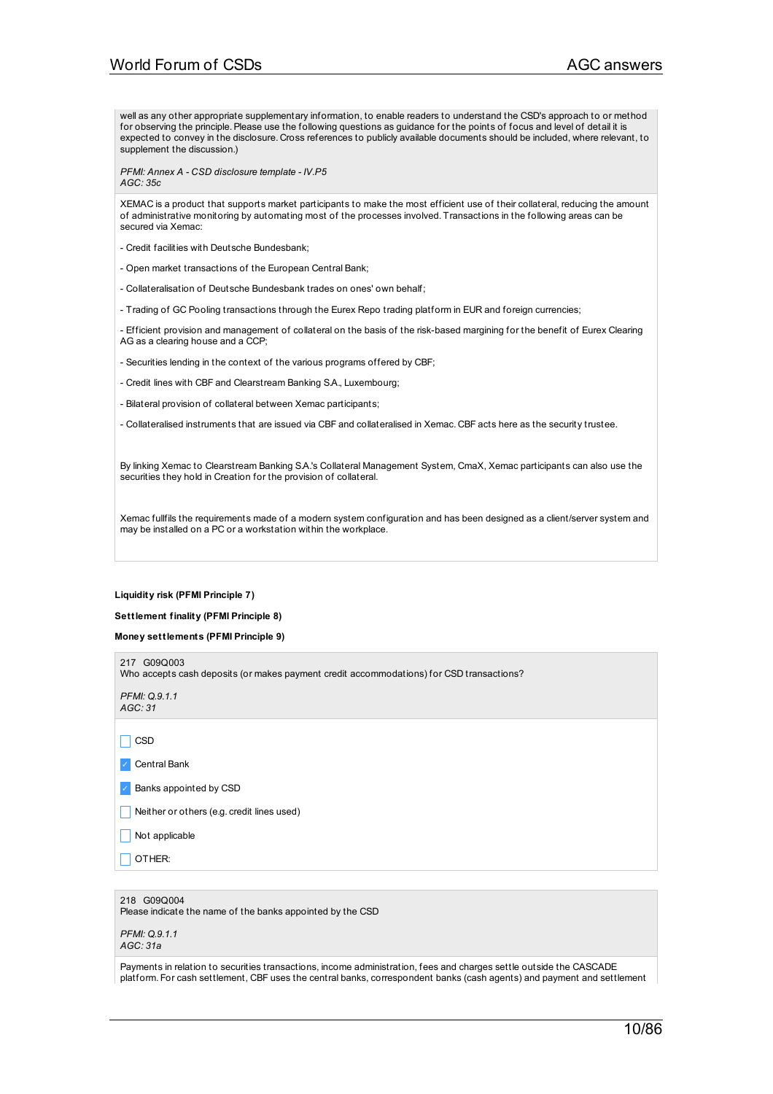well as any other appropriate supplementary information, to enable readers to understand the CSD's approach to or method for observing the principle.Please use the following questions as guidance for the points of focus and level of detail it is expected to convey in the disclosure. Cross references to publicly available documents should be included, where relevant, to supplement the discussion.)

*PFMI: Annex A - CSD disclosure template - IV.P5 AGC: 35c*

XEMAC is a product that supports market participants to make the most efficient use of their collateral, reducing the amount of administrative monitoring by automating most of the processes involved. Transactions in the following areas can be secured via Xemac:

- Credit facilities with Deutsche Bundesbank;
- Open market transactions of the European Central Bank;
- Collateralisation of Deutsche Bundesbank trades on ones' own behalf;
- Trading of GC Pooling transactions through the Eurex Repo trading platform in EUR and foreign currencies;

- Efficient provision and management of collateral on the basis of the risk-based margining for the benefit of Eurex Clearing AG as a clearing house and a CCP;

- Securities lending in the context of the various programs offered by CBF;
- Credit lines with CBF and Clearstream Banking S.A., Luxembourg;
- Bilateral provision of collateral between Xemac participants;
- Collateralised instruments that are issued via CBF and collateralised in Xemac. CBF acts here as the security trustee.

By linking Xemac to Clearstream Banking SA.'s Collateral Management System, CmaX, Xemac participants can also use the securities they hold in Creation for the provision of collateral.

Xemac fullfils the requirements made of a modern system configuration and has been designed as a client/server system and may be installed on a PC or a workstation within the workplace.

#### **Liquidity risk (PFMI Principle 7)**

### **Settlement finality (PFMI Principle 8)**

**Money settlements (PFMI Principle 9)**

Who accepts cash deposits (or makes payment credit accommodations) for CSD transactions? *PFMI: Q.9.1.1 AGC: 31*

217 G09Q003

 $\Box$  CSD

✓ Central Bank

✓ Banks appointed by CSD

Neither or others (e.g. credit lines used)

- $\Box$  Not applicable
- $\Box$  OTHER:

218 G09Q004 Please indicate the name of the banks appointed by the CSD

| <b>PFMI: Q.9.1.1</b> |  |
|----------------------|--|
| AGC: 31a             |  |

Payments in relation to securities transactions, income administration, fees and charges settle outside the CASCADE platform. For cash settlement, CBF uses the central banks, correspondent banks (cash agents) and payment and settlement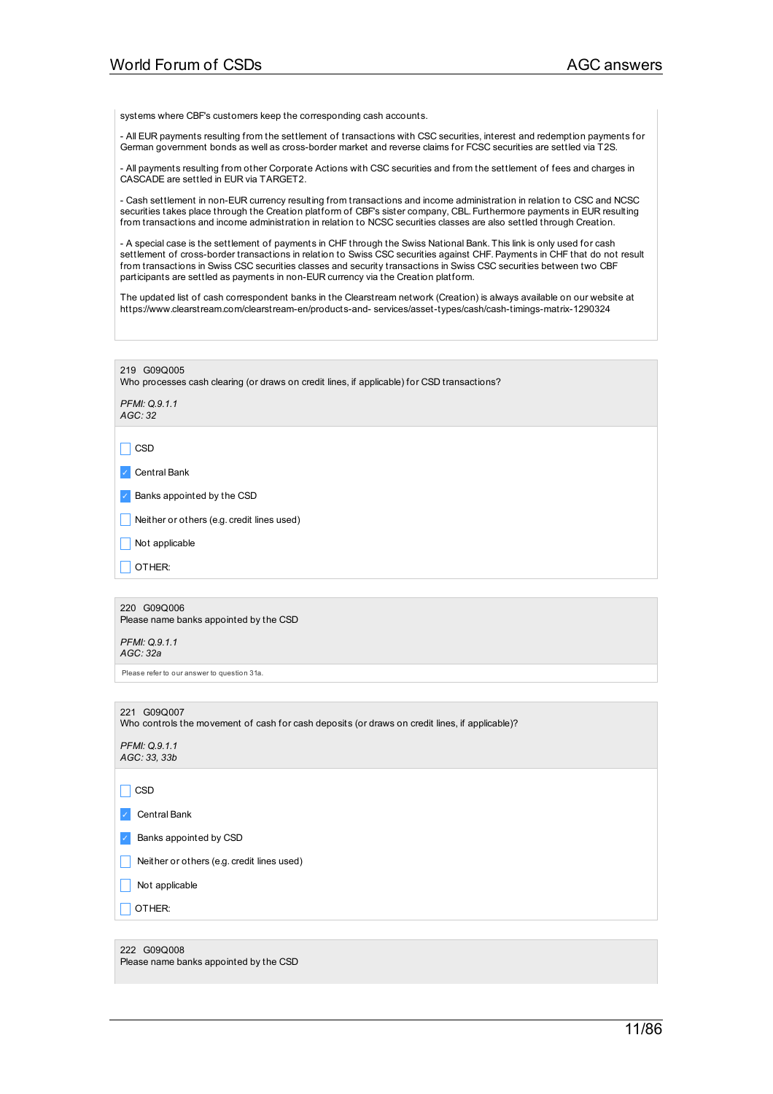systems where CBF's customers keep the corresponding cash accounts.

- All EUR payments resulting from the settlement of transactions with CSC securities, interest and redemption payments for German government bonds as well as cross-border market and reverse claims for FCSC securities are settled via T2S.

- All payments resulting from other Corporate Actions with CSC securities and from the settlement of fees and charges in CASCADE are settled in EUR via TARGET2.

- Cash settlement in non-EUR currency resulting from transactions and income administration in relation to CSC and NCSC securities takes place through the Creation platform of CBF's sister company, CBL. Furthermore payments in EUR resulting from transactions and income administration in relation to NCSC securities classes are also settled through Creation.

- A special case is the settlement of payments in CHF through the Swiss National Bank. This link is only used for cash settlement of cross-border transactions in relation to Swiss CSC securities against CHF.Payments in CHF that do not result from transactions in Swiss CSC securities classes and security transactions in Swiss CSC securities between two CBF participants are settled as payments in non-EUR currency via the Creation platform.

The updated list of cash correspondent banks in the Clearstream network (Creation) is always available on our website at https://www.clearstream.com/clearstream-en/products-and- services/asset-types/cash/cash-timings-matrix-1290324

219 G09Q005

Who processes cash clearing (or draws on credit lines, if applicable) for CSD transactions?

*PFMI: Q.9.1.1 AGC: 32*

 $\Box$  CSD

✓ Central Bank

✓ Banks appointed by the CSD

 $\Box$  Neither or others (e.g. credit lines used)

 $\Box$  Not applicable

 $\Box$  OTHER:

220 G09Q006 Please name banks appointed by the CSD

*PFMI: Q.9.1.1 AGC: 32a*

Please refer to our answer to question 31a.

### 221 G09Q007

Who controls the movement of cash for cash deposits (or draws on credit lines, if applicable)?

*PFMI: Q.9.1.1 AGC: 33, 33b*

 $\Box$  CSD

✓ Central Bank

✓ Banks appointed by CSD

 $\Box$  Neither or others (e.g. credit lines used)

 $\Box$  Not applicable

 $\Box$  OTHER:

222 G09Q008 Please name banks appointed by the CSD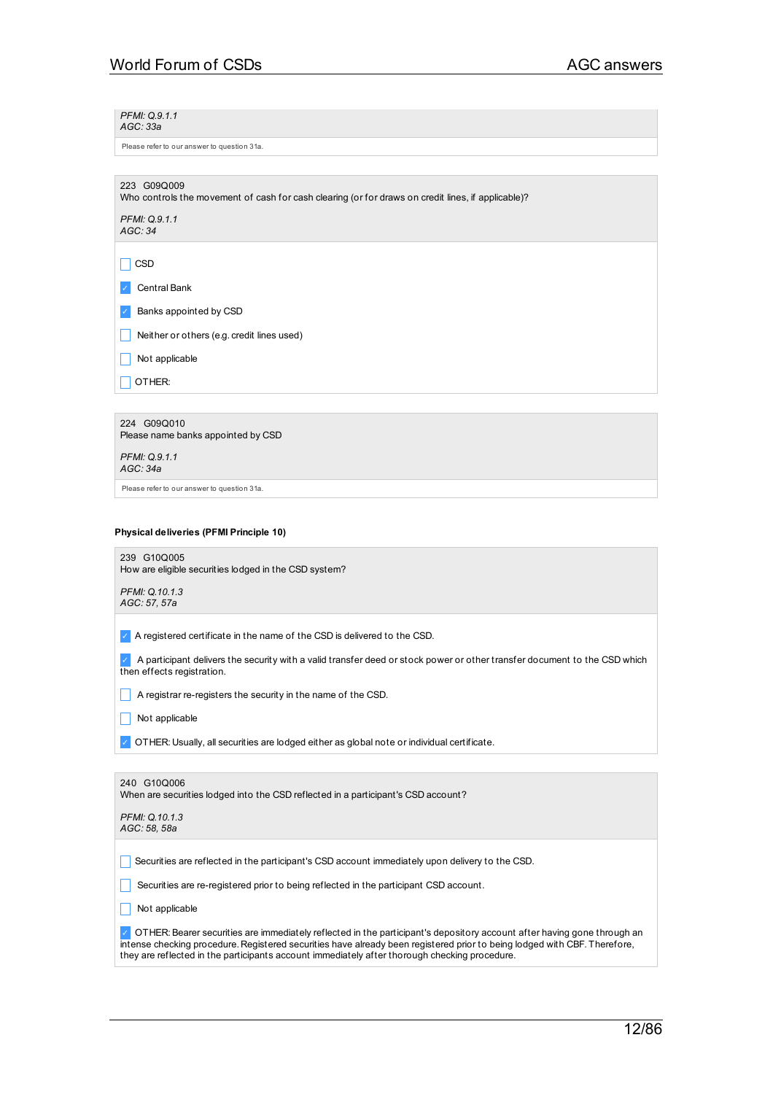*PFMI: Q.9.1.1 AGC: 33a*

Please refer to our answer to question 31a.

Who controls the movement of cash for cash clearing (or for draws on credit lines, if applicable)?

*PFMI: Q.9.1.1 AGC: 34*

 $\Box$  CSD

✓ Central Bank

✓ Banks appointed by CSD

Neither or others (e.g. credit lines used)

 $\Box$  Not applicable

 $\Box$  OTHER:

224 G09Q010 Please name banks appointed by CSD *PFMI: Q.9.1.1 AGC: 34a*

Please refer to our answer to question 31a.

## **Physical deliveries (PFMI Principle 10)**

239 G10Q005 How are eligible securities lodged in the CSD system?

*PFMI: Q.10.1.3 AGC: 57, 57a*

✓ A registered certificate in the name of the CSD is delivered to the CSD.

✓ A participant delivers the security with a valid transfer deed or stock power or other transfer document to the CSD which then effects registration.

\_ A registrar re-registers the security in the name of the CSD.

 $\Box$  Not applicable

|  | $\sim$ OTHER: Usually, all securities are lodged either as global note or individual certificate. |
|--|---------------------------------------------------------------------------------------------------|
|  |                                                                                                   |

| 240 G10Q006<br>When are securities lodged into the CSD reflected in a participant's CSD account? |
|--------------------------------------------------------------------------------------------------|
| PFMI: Q.10.1.3<br>AGC: 58, 58a                                                                   |
|                                                                                                  |
| Securities are reflected in the participant's CSD account immediately upon delivery to the CSD.  |
| Securities are re-registered prior to being reflected in the participant CSD account.            |

 $\Box$  Not applicable

✓ OTHER:Bearer securities are immediately reflected in the participant's depository account after having gone through an intense checking procedure. Registered securities have already been registered prior to being lodged with CBF. Therefore, they are reflected in the participants account immediately after thorough checking procedure.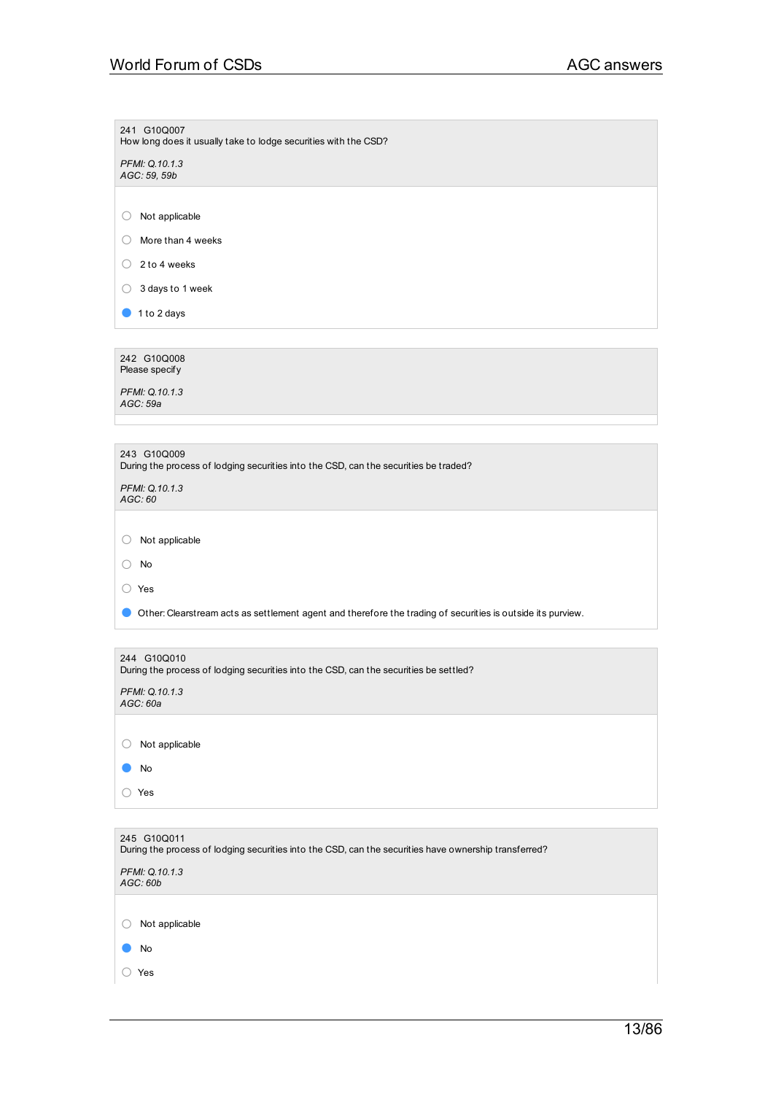| 241 G10Q007<br>How long does it usually take to lodge securities with the CSD?                                       |
|----------------------------------------------------------------------------------------------------------------------|
| PFMI: Q.10.1.3                                                                                                       |
| AGC: 59, 59b                                                                                                         |
|                                                                                                                      |
| Not applicable<br>O                                                                                                  |
| More than 4 weeks<br>O                                                                                               |
| 2 to 4 weeks<br>$\left(\right)$                                                                                      |
| 3 days to 1 week<br>O                                                                                                |
| 1 to 2 days                                                                                                          |
|                                                                                                                      |
| 242 G10Q008<br>Please specify                                                                                        |
| PFMI: Q.10.1.3                                                                                                       |
| AGC: 59a                                                                                                             |
|                                                                                                                      |
| 243 G10Q009                                                                                                          |
| During the process of lodging securities into the CSD, can the securities be traded?                                 |
| PFMI: Q.10.1.3<br>AGC:60                                                                                             |
|                                                                                                                      |
| Not applicable<br>O                                                                                                  |
| No<br>( )                                                                                                            |
| ◯ Yes                                                                                                                |
| Other: Clearstream acts as settlement agent and therefore the trading of securities is outside its purview.          |
|                                                                                                                      |
|                                                                                                                      |
| 244 G10Q010<br>During the process of lodging securities into the CSD, can the securities be settled?                 |
| PFMI: Q.10.1.3                                                                                                       |
| AGC: 60a                                                                                                             |
| Not applicable<br>$\left(\right)$                                                                                    |
|                                                                                                                      |
| No                                                                                                                   |
| ◯ Yes                                                                                                                |
|                                                                                                                      |
| 245 G10Q011<br>During the process of lodging securities into the CSD, can the securities have ownership transferred? |
| PFMI: Q.10.1.3                                                                                                       |
| AGC: 60b                                                                                                             |
|                                                                                                                      |
| Not applicable<br>O                                                                                                  |
| No                                                                                                                   |
| Yes<br>( )                                                                                                           |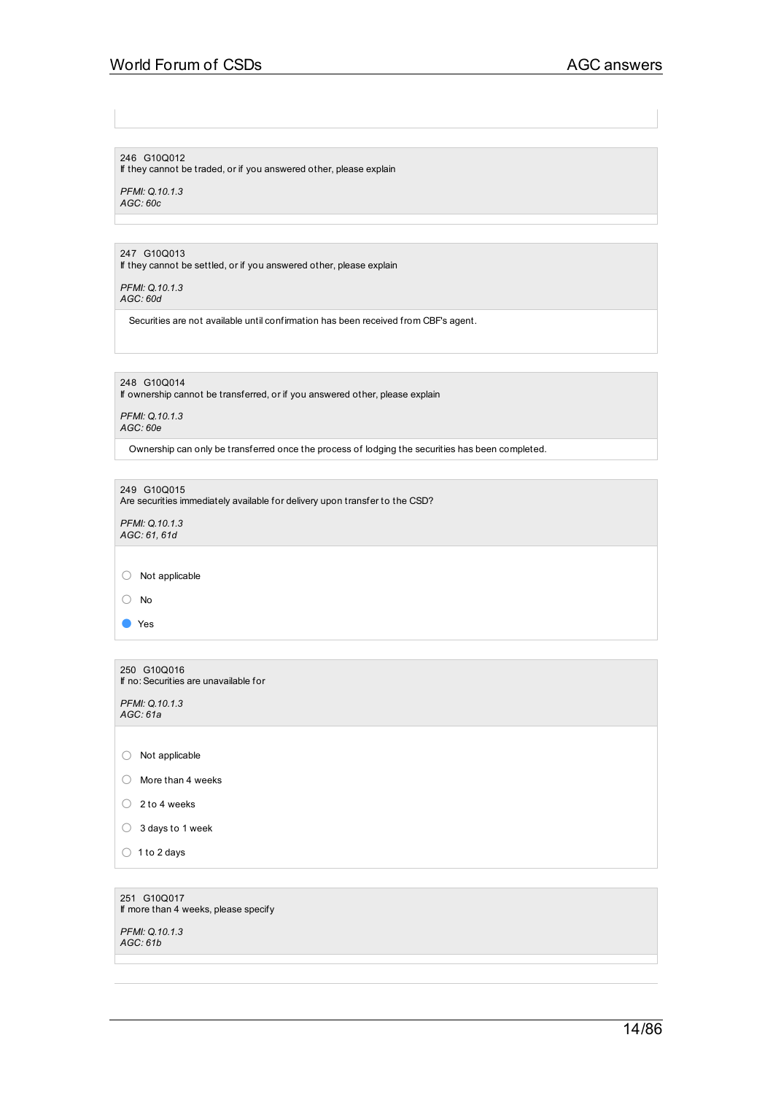## 246 G10Q012

If they cannot be traded, or if you answered other, please explain

*PFMI: Q.10.1.3 AGC: 60c*

## 247 G10Q013

If they cannot be settled, or if you answered other, please explain

*PFMI: Q.10.1.3 AGC: 60d*

Securities are not available until confirmation has been received from CBF's agent.

248 G10Q014

If ownership cannot be transferred, or if you answered other, please explain

*PFMI: Q.10.1.3 AGC: 60e*

Ownership can only be transferred once the process of lodging the securities has been completed.

249 G10Q015

Are securities immediately available for delivery upon transfer to the CSD?

*PFMI: Q.10.1.3 AGC: 61, 61d*

○ Not applicable

○ No

● Yes

250 G10Q016 If no: Securities are unavailable for

*PFMI: Q.10.1.3 AGC: 61a*

○ Not applicable

○ More than <sup>4</sup> weeks

- $\bigcirc$  2 to 4 weeks
- <sup>3</sup> days to <sup>1</sup> week
- $\bigcirc$  1 to 2 days

251 G10Q017 If more than 4 weeks, please specify

*PFMI: Q.10.1.3 AGC: 61b*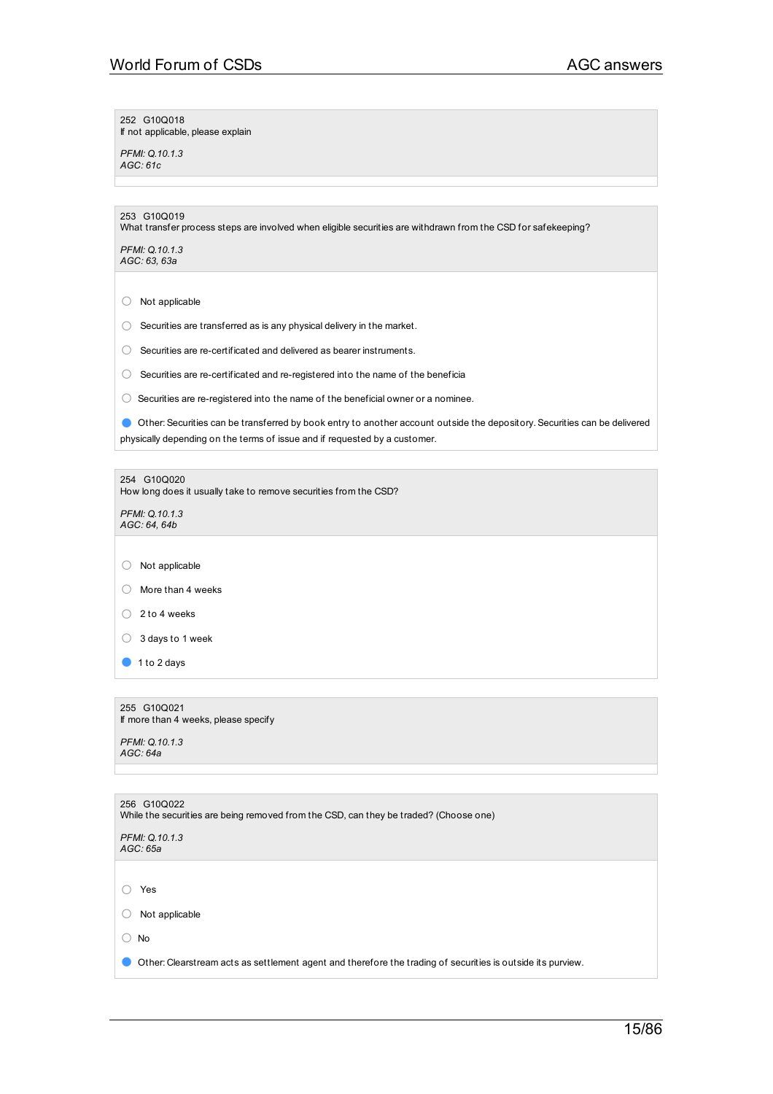252 G10Q018 If not applicable, please explain

*PFMI: Q.10.1.3 AGC: 61c*

| 253 G10Q019<br>What transfer process steps are involved when eligible securities are withdrawn from the CSD for safekeeping?                                                                            |  |  |
|---------------------------------------------------------------------------------------------------------------------------------------------------------------------------------------------------------|--|--|
| PFMI: Q.10.1.3<br>AGC: 63, 63a                                                                                                                                                                          |  |  |
|                                                                                                                                                                                                         |  |  |
| Not applicable<br>O                                                                                                                                                                                     |  |  |
| Securities are transferred as is any physical delivery in the market.<br>O                                                                                                                              |  |  |
| Securities are re-certificated and delivered as bearer instruments.<br>O                                                                                                                                |  |  |
| Securities are re-certificated and re-registered into the name of the beneficia<br>0                                                                                                                    |  |  |
| Securities are re-registered into the name of the beneficial owner or a nominee.<br>( )                                                                                                                 |  |  |
| Other: Securities can be transferred by book entry to another account outside the depository. Securities can be delivered<br>physically depending on the terms of issue and if requested by a customer. |  |  |
|                                                                                                                                                                                                         |  |  |
| 254 G10Q020<br>How long does it usually take to remove securities from the CSD?                                                                                                                         |  |  |
| PFMI: Q.10.1.3<br>AGC: 64, 64b                                                                                                                                                                          |  |  |
|                                                                                                                                                                                                         |  |  |
| Not applicable<br>( )                                                                                                                                                                                   |  |  |
| More than 4 weeks<br>()                                                                                                                                                                                 |  |  |
| 2 to 4 weeks<br>0                                                                                                                                                                                       |  |  |
| 3 days to 1 week<br>O                                                                                                                                                                                   |  |  |
| 1 to 2 days                                                                                                                                                                                             |  |  |
|                                                                                                                                                                                                         |  |  |
| 255 G10Q021<br>If more than 4 weeks, please specify                                                                                                                                                     |  |  |
| PFMI: Q.10.1.3<br>AGC: 64a                                                                                                                                                                              |  |  |
|                                                                                                                                                                                                         |  |  |
| 256 G10Q022                                                                                                                                                                                             |  |  |
| While the securities are being removed from the CSD, can they be traded? (Choose one)                                                                                                                   |  |  |
| PFMI: Q.10.1.3<br>AGC: 65a                                                                                                                                                                              |  |  |
|                                                                                                                                                                                                         |  |  |
| Yes                                                                                                                                                                                                     |  |  |
| Not applicable                                                                                                                                                                                          |  |  |
| $\bigcirc$ No                                                                                                                                                                                           |  |  |
| Other: Clearstream acts as settlement agent and therefore the trading of securities is outside its purview.                                                                                             |  |  |
|                                                                                                                                                                                                         |  |  |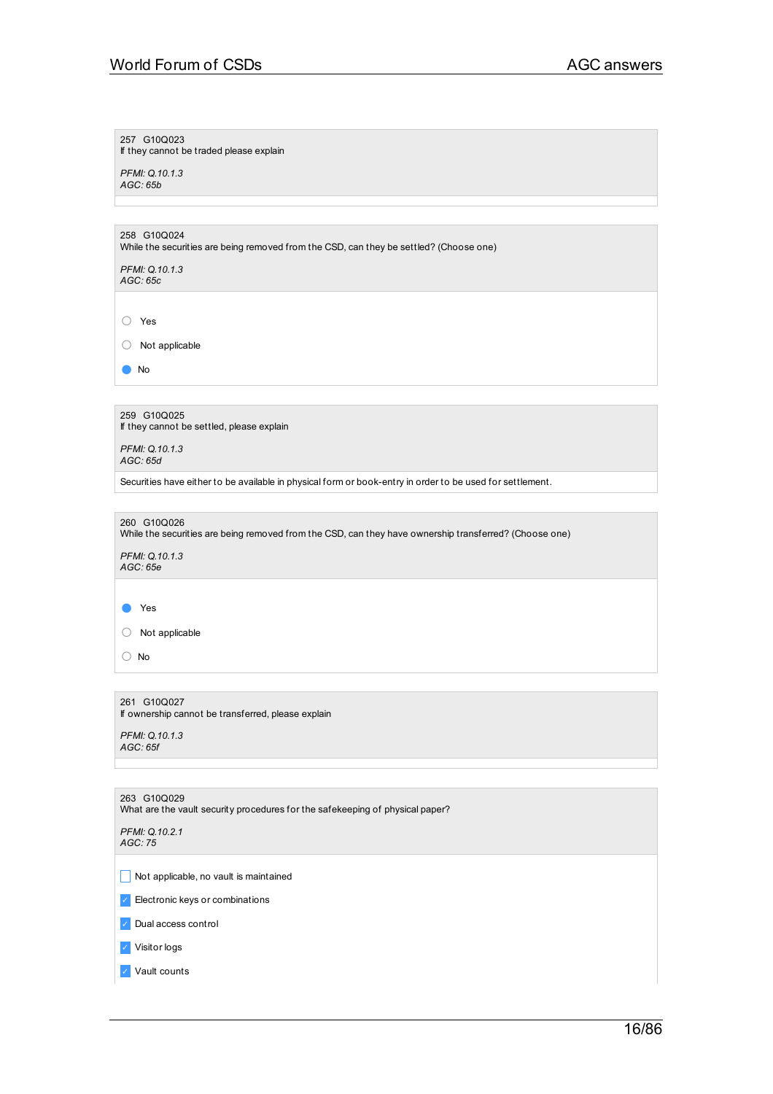257 G10Q023

If they cannot be traded please explain

*PFMI: Q.10.1.3 AGC: 65b*

258 G10Q024

While the securities are being removed from the CSD, can they be settled? (Choose one)

*PFMI: Q.10.1.3 AGC: 65c*

○ Yes

○ Not applicable

● No

259 G10Q025 If they cannot be settled, please explain

*PFMI: Q.10.1.3 AGC: 65d*

Securities have either to be available in physical form or book-entry in order to be used for settlement.

260 G10Q026 While the securities are being removed from the CSD, can they have ownership transferred? (Choose one) *PFMI: Q.10.1.3 AGC: 65e*

● Yes

○ Not applicable

○ No

261 G10Q027 If ownership cannot be transferred, please explain

*PFMI: Q.10.1.3 AGC: 65f*

| 263 G10Q029<br>What are the vault security procedures for the safekeeping of physical paper? |  |  |
|----------------------------------------------------------------------------------------------|--|--|
| PFMI: Q.10.2.1<br>AGC:75                                                                     |  |  |
|                                                                                              |  |  |
| Not applicable, no vault is maintained                                                       |  |  |
| Electronic keys or combinations<br>$\mathcal{L}$                                             |  |  |
| Dual access control<br>$\mathcal{L}$                                                         |  |  |
| Visitor logs<br>$\sqrt{2}$                                                                   |  |  |
| Vault counts                                                                                 |  |  |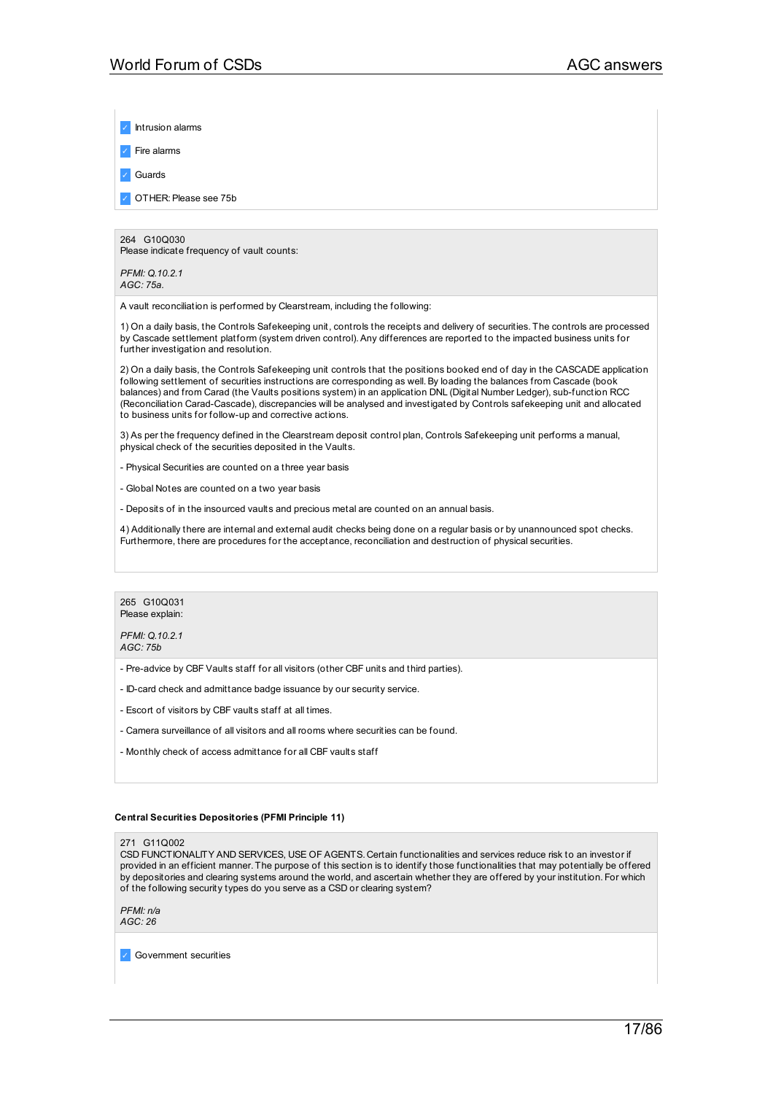Intrusion alarms

✓ Fire alarms

✓ Guards

✓ OTHER:Please see 75b

### 264 G10Q030

Please indicate frequency of vault counts:

*PFMI: Q.10.2.1 AGC: 75a.*

A vault reconciliation is performed by Clearstream, including the following:

1) On a daily basis, the Controls Safekeeping unit, controls the receipts and delivery of securities. The controls are processed by Cascade settlement platform (system driven control).Any differences are reported to the impacted business units for further investigation and resolution.

2) On a daily basis, the Controls Safekeeping unit controls that the positions booked end of day in the CASCADE application following settlement of securities instructions are corresponding as well.By loading the balances from Cascade (book balances) and from Carad (the Vaults positions system) in an application DNL (Digital Number Ledger), sub-function RCC (Reconciliation Carad-Cascade), discrepancies will be analysed and investigated by Controls safekeeping unit and allocated to business units for follow-up and corrective actions.

3) As per the frequency defined in the Clearstream deposit control plan, Controls Safekeeping unit performs a manual, physical check of the securities deposited in the Vaults.

- Physical Securities are counted on a three year basis

- Global Notes are counted on a two year basis

- Deposits of in the insourced vaults and precious metal are counted on an annual basis.

4) Additionally there are internal and external audit checks being done on a regular basis or by unannounced spot checks. Furthermore, there are procedures for the acceptance, reconciliation and destruction of physical securities.



*PFMI: Q.10.2.1 AGC: 75b*

- Pre-advice by CBF Vaults staff for all visitors (other CBF units and third parties).

- ID-card check and admittance badge issuance by our security service.

- Escort of visitors by CBF vaults staff at all times.
- Camera surveillance of all visitors and all rooms where securities can be found.
- Monthly check of access admittance for all CBF vaults staff

## **Central Securities Depositories (PFMI Principle 11)**

271 G11Q002

CSD FUNCTIONALITY AND SERVICES, USE OF AGENTS. Certain functionalities and services reduce risk to an investor if provided in an efficient manner. The purpose of this section is to identify those functionalities that may potentially be offered by depositories and clearing systems around the world, and ascertain whether they are offered by your institution. For which of the following security types do you serve as a CSD or clearing system?

*PFMI: n/a AGC: 26*

✓ Government securities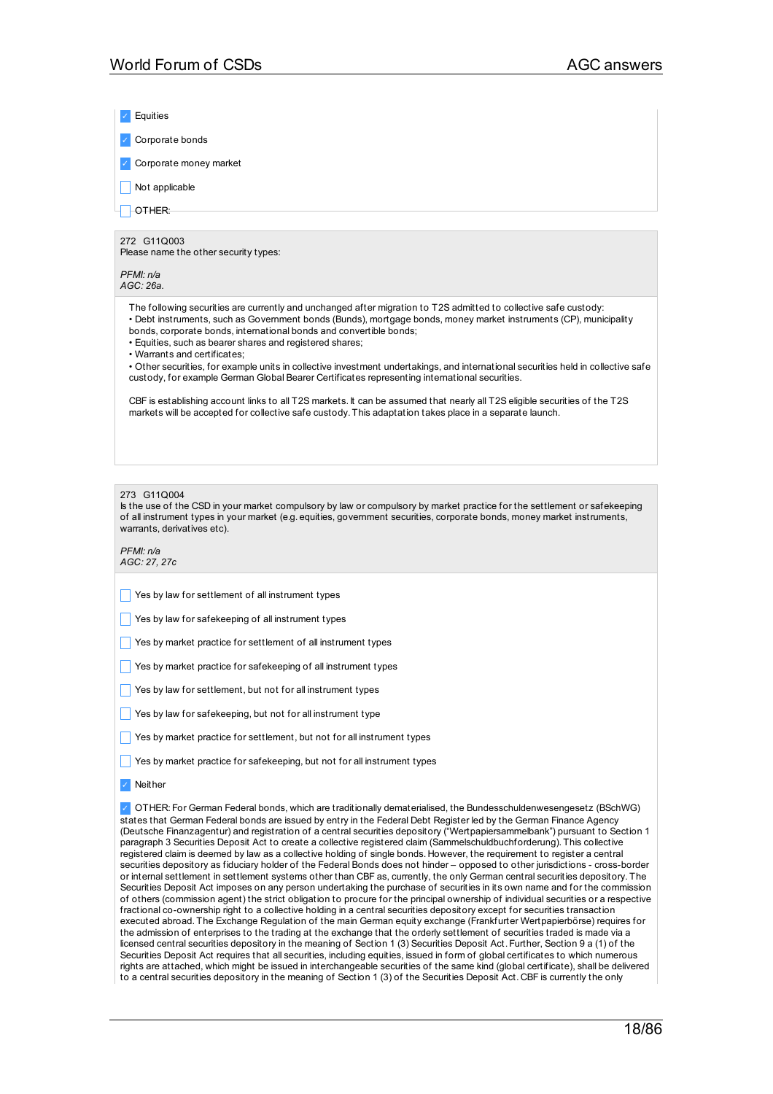| Equities                                                                                                                                                                                                                                                                                                                                                                                                                                                                                                                                                                                                                                                                                                                                                                                                                                                                                                                                                                                                                                                                                                                                                                                                                                                                                                                                                                                                                                                                                                                                                                                                                                                                                                                                                                                                                                                                                                                                                                                                                                                                                             |  |  |
|------------------------------------------------------------------------------------------------------------------------------------------------------------------------------------------------------------------------------------------------------------------------------------------------------------------------------------------------------------------------------------------------------------------------------------------------------------------------------------------------------------------------------------------------------------------------------------------------------------------------------------------------------------------------------------------------------------------------------------------------------------------------------------------------------------------------------------------------------------------------------------------------------------------------------------------------------------------------------------------------------------------------------------------------------------------------------------------------------------------------------------------------------------------------------------------------------------------------------------------------------------------------------------------------------------------------------------------------------------------------------------------------------------------------------------------------------------------------------------------------------------------------------------------------------------------------------------------------------------------------------------------------------------------------------------------------------------------------------------------------------------------------------------------------------------------------------------------------------------------------------------------------------------------------------------------------------------------------------------------------------------------------------------------------------------------------------------------------------|--|--|
| Corporate bonds                                                                                                                                                                                                                                                                                                                                                                                                                                                                                                                                                                                                                                                                                                                                                                                                                                                                                                                                                                                                                                                                                                                                                                                                                                                                                                                                                                                                                                                                                                                                                                                                                                                                                                                                                                                                                                                                                                                                                                                                                                                                                      |  |  |
| Corporate money market                                                                                                                                                                                                                                                                                                                                                                                                                                                                                                                                                                                                                                                                                                                                                                                                                                                                                                                                                                                                                                                                                                                                                                                                                                                                                                                                                                                                                                                                                                                                                                                                                                                                                                                                                                                                                                                                                                                                                                                                                                                                               |  |  |
| Not applicable                                                                                                                                                                                                                                                                                                                                                                                                                                                                                                                                                                                                                                                                                                                                                                                                                                                                                                                                                                                                                                                                                                                                                                                                                                                                                                                                                                                                                                                                                                                                                                                                                                                                                                                                                                                                                                                                                                                                                                                                                                                                                       |  |  |
| OTHER:                                                                                                                                                                                                                                                                                                                                                                                                                                                                                                                                                                                                                                                                                                                                                                                                                                                                                                                                                                                                                                                                                                                                                                                                                                                                                                                                                                                                                                                                                                                                                                                                                                                                                                                                                                                                                                                                                                                                                                                                                                                                                               |  |  |
| 272 G11Q003<br>Please name the other security types:                                                                                                                                                                                                                                                                                                                                                                                                                                                                                                                                                                                                                                                                                                                                                                                                                                                                                                                                                                                                                                                                                                                                                                                                                                                                                                                                                                                                                                                                                                                                                                                                                                                                                                                                                                                                                                                                                                                                                                                                                                                 |  |  |
| PFMI: n/a                                                                                                                                                                                                                                                                                                                                                                                                                                                                                                                                                                                                                                                                                                                                                                                                                                                                                                                                                                                                                                                                                                                                                                                                                                                                                                                                                                                                                                                                                                                                                                                                                                                                                                                                                                                                                                                                                                                                                                                                                                                                                            |  |  |
| AGC: 26a.                                                                                                                                                                                                                                                                                                                                                                                                                                                                                                                                                                                                                                                                                                                                                                                                                                                                                                                                                                                                                                                                                                                                                                                                                                                                                                                                                                                                                                                                                                                                                                                                                                                                                                                                                                                                                                                                                                                                                                                                                                                                                            |  |  |
| The following securities are currently and unchanged after migration to T2S admitted to collective safe custody:<br>• Debt instruments, such as Government bonds (Bunds), mortgage bonds, money market instruments (CP), municipality<br>bonds, corporate bonds, international bonds and convertible bonds;<br>· Equities, such as bearer shares and registered shares;<br>• Warrants and certificates:<br>• Other securities, for example units in collective investment undertakings, and international securities held in collective safe<br>custody, for example German Global Bearer Certificates representing international securities.<br>CBF is establishing account links to all T2S markets. It can be assumed that nearly all T2S eligible securities of the T2S                                                                                                                                                                                                                                                                                                                                                                                                                                                                                                                                                                                                                                                                                                                                                                                                                                                                                                                                                                                                                                                                                                                                                                                                                                                                                                                          |  |  |
| markets will be accepted for collective safe custody. This adaptation takes place in a separate launch.                                                                                                                                                                                                                                                                                                                                                                                                                                                                                                                                                                                                                                                                                                                                                                                                                                                                                                                                                                                                                                                                                                                                                                                                                                                                                                                                                                                                                                                                                                                                                                                                                                                                                                                                                                                                                                                                                                                                                                                              |  |  |
|                                                                                                                                                                                                                                                                                                                                                                                                                                                                                                                                                                                                                                                                                                                                                                                                                                                                                                                                                                                                                                                                                                                                                                                                                                                                                                                                                                                                                                                                                                                                                                                                                                                                                                                                                                                                                                                                                                                                                                                                                                                                                                      |  |  |
| 273 G11Q004<br>Is the use of the CSD in your market compulsory by law or compulsory by market practice for the settlement or safekeeping<br>of all instrument types in your market (e.g. equities, government securities, corporate bonds, money market instruments,<br>warrants, derivatives etc).<br>PFMI: n/a                                                                                                                                                                                                                                                                                                                                                                                                                                                                                                                                                                                                                                                                                                                                                                                                                                                                                                                                                                                                                                                                                                                                                                                                                                                                                                                                                                                                                                                                                                                                                                                                                                                                                                                                                                                     |  |  |
| AGC: 27, 27c                                                                                                                                                                                                                                                                                                                                                                                                                                                                                                                                                                                                                                                                                                                                                                                                                                                                                                                                                                                                                                                                                                                                                                                                                                                                                                                                                                                                                                                                                                                                                                                                                                                                                                                                                                                                                                                                                                                                                                                                                                                                                         |  |  |
| Yes by law for settlement of all instrument types                                                                                                                                                                                                                                                                                                                                                                                                                                                                                                                                                                                                                                                                                                                                                                                                                                                                                                                                                                                                                                                                                                                                                                                                                                                                                                                                                                                                                                                                                                                                                                                                                                                                                                                                                                                                                                                                                                                                                                                                                                                    |  |  |
| Yes by law for safekeeping of all instrument types                                                                                                                                                                                                                                                                                                                                                                                                                                                                                                                                                                                                                                                                                                                                                                                                                                                                                                                                                                                                                                                                                                                                                                                                                                                                                                                                                                                                                                                                                                                                                                                                                                                                                                                                                                                                                                                                                                                                                                                                                                                   |  |  |
| Yes by market practice for settlement of all instrument types                                                                                                                                                                                                                                                                                                                                                                                                                                                                                                                                                                                                                                                                                                                                                                                                                                                                                                                                                                                                                                                                                                                                                                                                                                                                                                                                                                                                                                                                                                                                                                                                                                                                                                                                                                                                                                                                                                                                                                                                                                        |  |  |
| Yes by market practice for safekeeping of all instrument types                                                                                                                                                                                                                                                                                                                                                                                                                                                                                                                                                                                                                                                                                                                                                                                                                                                                                                                                                                                                                                                                                                                                                                                                                                                                                                                                                                                                                                                                                                                                                                                                                                                                                                                                                                                                                                                                                                                                                                                                                                       |  |  |
| Yes by law for settlement, but not for all instrument types                                                                                                                                                                                                                                                                                                                                                                                                                                                                                                                                                                                                                                                                                                                                                                                                                                                                                                                                                                                                                                                                                                                                                                                                                                                                                                                                                                                                                                                                                                                                                                                                                                                                                                                                                                                                                                                                                                                                                                                                                                          |  |  |
| Yes by law for safekeeping, but not for all instrument type                                                                                                                                                                                                                                                                                                                                                                                                                                                                                                                                                                                                                                                                                                                                                                                                                                                                                                                                                                                                                                                                                                                                                                                                                                                                                                                                                                                                                                                                                                                                                                                                                                                                                                                                                                                                                                                                                                                                                                                                                                          |  |  |
| Yes by market practice for settlement, but not for all instrument types                                                                                                                                                                                                                                                                                                                                                                                                                                                                                                                                                                                                                                                                                                                                                                                                                                                                                                                                                                                                                                                                                                                                                                                                                                                                                                                                                                                                                                                                                                                                                                                                                                                                                                                                                                                                                                                                                                                                                                                                                              |  |  |
| Yes by market practice for safekeeping, but not for all instrument types                                                                                                                                                                                                                                                                                                                                                                                                                                                                                                                                                                                                                                                                                                                                                                                                                                                                                                                                                                                                                                                                                                                                                                                                                                                                                                                                                                                                                                                                                                                                                                                                                                                                                                                                                                                                                                                                                                                                                                                                                             |  |  |
| Neither                                                                                                                                                                                                                                                                                                                                                                                                                                                                                                                                                                                                                                                                                                                                                                                                                                                                                                                                                                                                                                                                                                                                                                                                                                                                                                                                                                                                                                                                                                                                                                                                                                                                                                                                                                                                                                                                                                                                                                                                                                                                                              |  |  |
| OTHER: For German Federal bonds, which are traditionally dematerialised, the Bundesschuldenwesengesetz (BSchWG)<br>states that German Federal bonds are issued by entry in the Federal Debt Register led by the German Finance Agency<br>(Deutsche Finanzagentur) and registration of a central securities depository ("Wertpapiersammelbank") pursuant to Section 1<br>paragraph 3 Securities Deposit Act to create a collective registered claim (Sammelschuldbuchforderung). This collective<br>registered claim is deemed by law as a collective holding of single bonds. However, the requirement to register a central<br>securities depository as fiduciary holder of the Federal Bonds does not hinder – opposed to other jurisdictions - cross-border<br>or internal settlement in settlement systems other than CBF as, currently, the only German central securities depository. The<br>Securities Deposit Act imposes on any person undertaking the purchase of securities in its own name and for the commission<br>of others (commission agent) the strict obligation to procure for the principal ownership of individual securities or a respective<br>fractional co-ownership right to a collective holding in a central securities depository except for securities transaction<br>executed abroad. The Exchange Regulation of the main German equity exchange (Frankfurter Wertpapierbörse) requires for<br>the admission of enterprises to the trading at the exchange that the orderly settlement of securities traded is made via a<br>licensed central securities depository in the meaning of Section 1 (3) Securities Deposit Act. Further, Section 9 a (1) of the<br>Securities Deposit Act requires that all securities, including equities, issued in form of global certificates to which numerous<br>rights are attached, which might be issued in interchangeable securities of the same kind (global certificate), shall be delivered<br>to a central securities depository in the meaning of Section 1 (3) of the Securities Deposit Act. CBF is currently the only |  |  |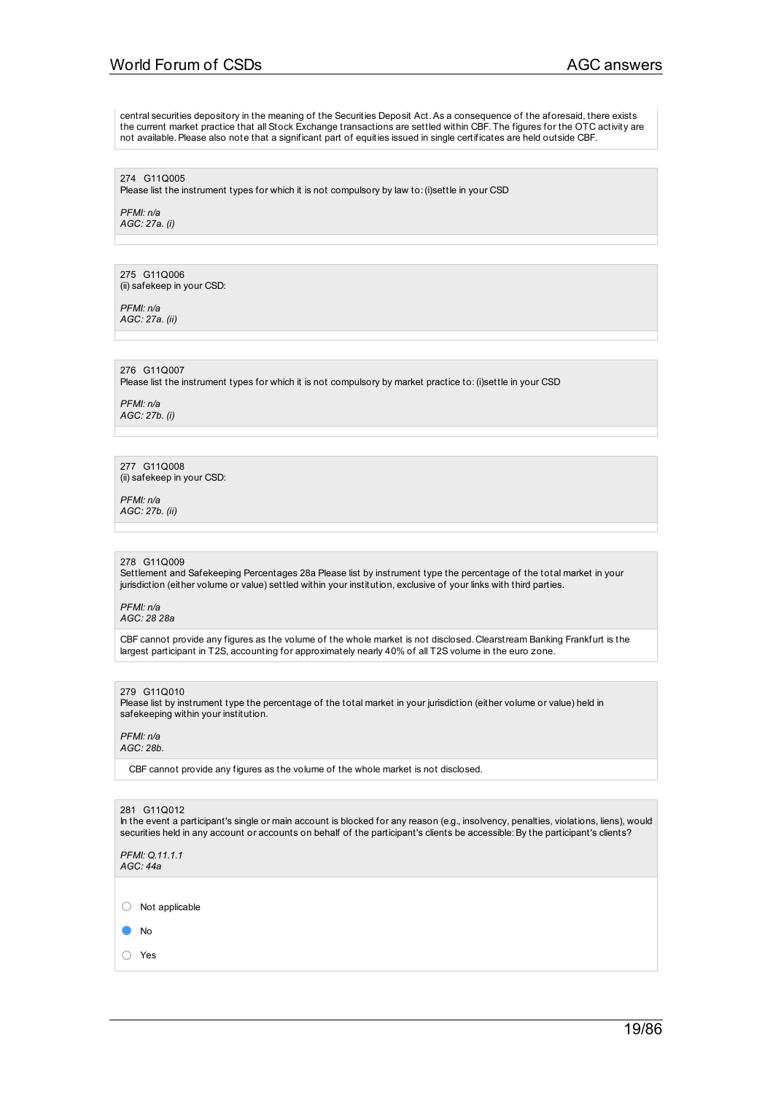# World Forum of CSDs AGC answers

central securities depository in the meaning of the Securities Deposit Act.As a consequence of the aforesaid, there exists the current market practice that all Stock Exchange transactions are settled within CBF. The figures for the OTC activity are not available.Please also note that a significant part of equities issued in single certificates are held outside CBF.

274 G11Q005

Please list the instrument types for which it is not compulsory by law to:(i)settle in your CSD

*PFMI: n/a AGC: 27a. (i)*

275 G11Q006 (ii) safekeep in your CSD:

*PFMI: n/a AGC: 27a. (ii)*

276 G11Q007

Please list the instrument types for which it is not compulsory by market practice to:(i)settle in your CSD

*PFMI: n/a AGC: 27b. (i)*

277 G11Q008 (ii) safekeep in your CSD:

*PFMI: n/a AGC: 27b. (ii)*

#### 278 G11Q009

Settlement and Safekeeping Percentages 28a Please list by instrument type the percentage of the total market in your jurisdiction (either volume or value) settled within your institution, exclusive of your links with third parties.

*PFMI: n/a AGC: 28 28a*

CBF cannot provide any figures as the volume of the whole market is not disclosed. Clearstream Banking Frankfurt is the largest participant in T2S, accounting for approximately nearly 40% of all T2S volume in the euro zone.

#### 279 G11Q010

Please list by instrument type the percentage of the total market in your jurisdiction (either volume or value) held in safekeeping within your institution.

#### *PFMI: n/a AGC: 28b.*

CBF cannot provide any figures as the volume of the whole market is not disclosed.

#### 281 G11Q012

In the event a participant's single or main account is blocked for any reason (e.g., insolvency, penalties, violations, liens), would securities held in any account or accounts on behalf of the participant's clients be accessible: By the participant's clients?

*PFMI: Q.11.1.1 AGC: 44a*

○ Not applicable

● No

○ Yes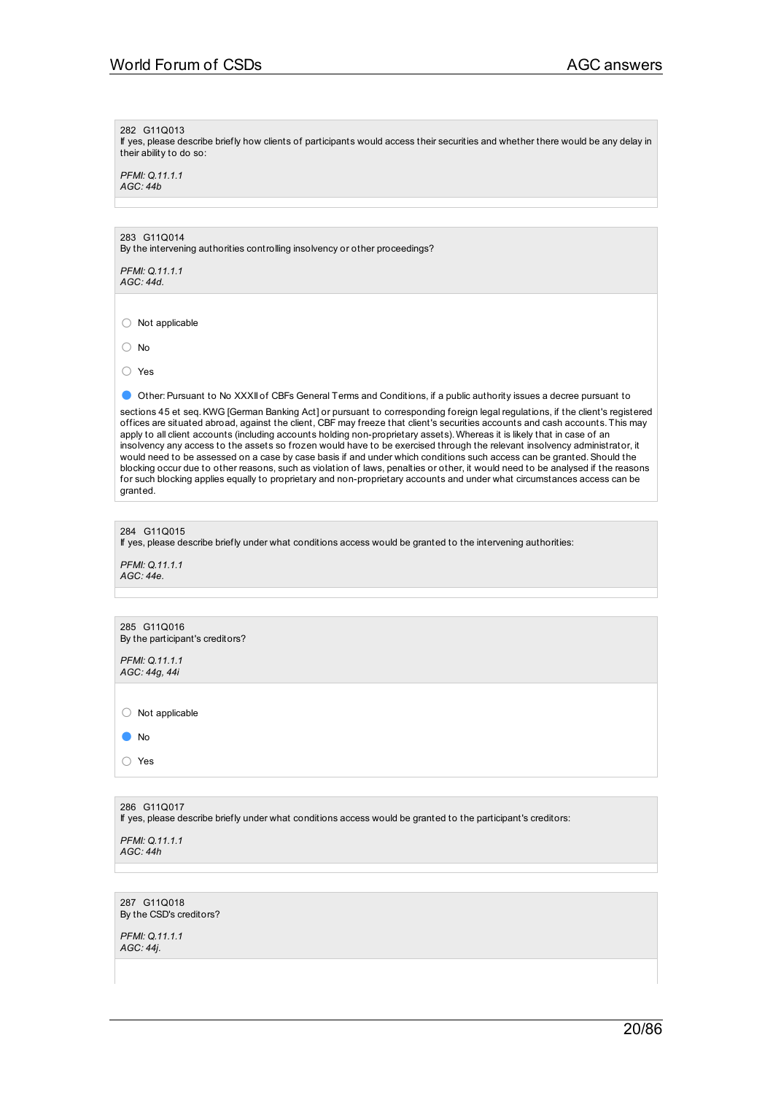### 282 G11Q013

If yes, please describe briefly how clients of participants would access their securities and whether there would be any delay in their ability to do so:

*PFMI: Q.11.1.1 AGC: 44b*

## 283 G11Q014

By the intervening authorities controlling insolvency or other proceedings?

*PFMI: Q.11.1.1 AGC: 44d.*

○ Not applicable

○ No

○ Yes

● Other: Pursuant to No XXXII of CBFs General Terms and Conditions, if a public authority issues a decree pursuant to

sections 45 et seq. KWG [German Banking Act] or pursuant to corresponding foreign legal regulations, if the client's registered offices are situated abroad, against the client, CBF may freeze that client's securities accounts and cash accounts. This may apply to all client accounts (including accounts holding non-proprietary assets). Whereas it is likely that in case of an insolvency any access to the assets so frozen would have to be exercised through the relevant insolvency administrator, it would need to be assessed on a case by case basis if and under which conditions such access can be granted.Should the blocking occur due to other reasons, such as violation of laws, penalties or other, it would need to be analysed if the reasons for such blocking applies equally to proprietary and non-proprietary accounts and under what circumstances access can be granted.

### 284 G11Q015

If yes, please describe briefly under what conditions access would be granted to the intervening authorities:

*PFMI: Q.11.1.1 AGC: 44e.*

| 285 G11Q016<br>By the participant's creditors? |
|------------------------------------------------|
| PFMI: Q.11.1.1<br>AGC: 44g, 44i                |
|                                                |
| Not applicable                                 |
| No                                             |
| Yes                                            |
|                                                |

## 286 G11Q017

If yes, please describe briefly under what conditions access would be granted to the participant's creditors:

*PFMI: Q.11.1.1 AGC: 44h*

287 G11Q018 By the CSD's creditors?

*PFMI: Q.11.1.1 AGC: 44j.*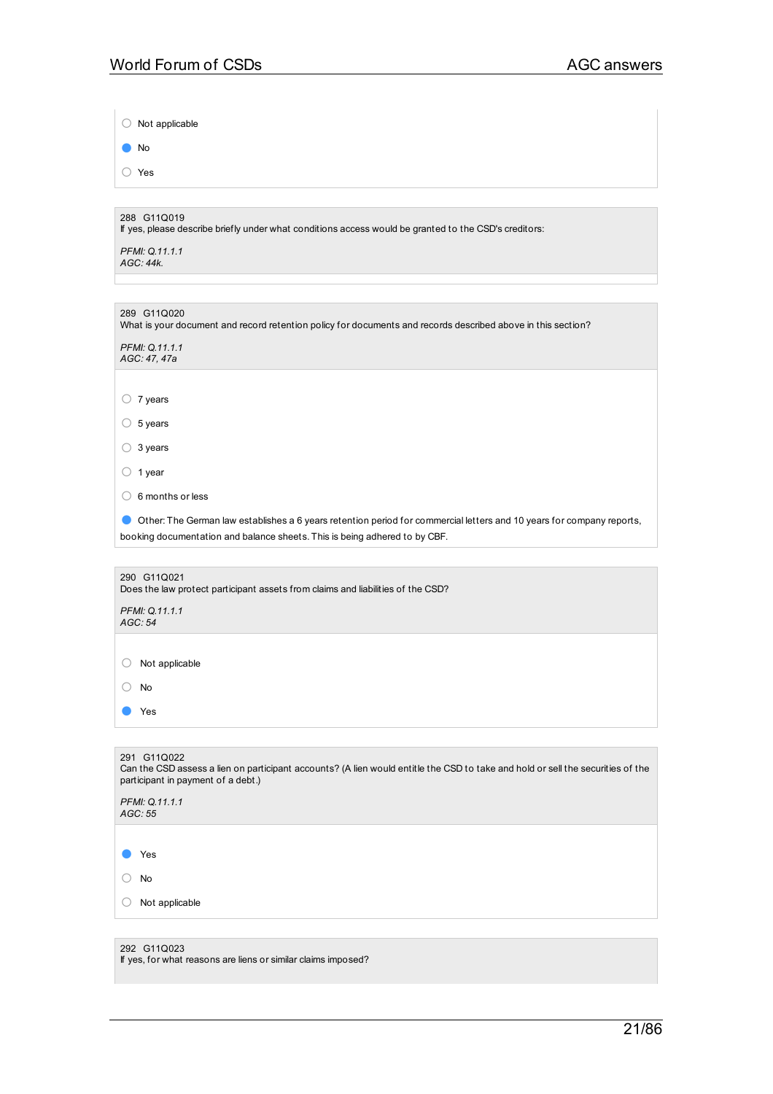$\begin{array}{c} \hline \end{array}$ 

| $\bigcirc$ Not applicable                                                                                                                                                            |
|--------------------------------------------------------------------------------------------------------------------------------------------------------------------------------------|
| No                                                                                                                                                                                   |
| ◯ Yes                                                                                                                                                                                |
|                                                                                                                                                                                      |
| 288 G11Q019<br>If yes, please describe briefly under what conditions access would be granted to the CSD's creditors:                                                                 |
| PFMI: Q.11.1.1<br>AGC: 44k.                                                                                                                                                          |
|                                                                                                                                                                                      |
| 289 G11Q020<br>What is your document and record retention policy for documents and records described above in this section?                                                          |
| PFMI: Q.11.1.1<br>AGC: 47, 47a                                                                                                                                                       |
|                                                                                                                                                                                      |
| $\circ$ 7 years                                                                                                                                                                      |
| $\circ$ 5 years                                                                                                                                                                      |
| 3 years<br>O                                                                                                                                                                         |
| $\circ$ 1 year                                                                                                                                                                       |
| $\circ$ 6 months or less                                                                                                                                                             |
| Other: The German law establishes a 6 years retention period for commercial letters and 10 years for company reports,                                                                |
| booking documentation and balance sheets. This is being adhered to by CBF.                                                                                                           |
| 290 G11Q021                                                                                                                                                                          |
| Does the law protect participant assets from claims and liabilities of the CSD?                                                                                                      |
| PFMI: Q.11.1.1<br>AGC: 54                                                                                                                                                            |
|                                                                                                                                                                                      |
| Not applicable<br>O                                                                                                                                                                  |
| No<br>$\left(\right)$                                                                                                                                                                |
| Yes                                                                                                                                                                                  |
|                                                                                                                                                                                      |
| 291 G11Q022<br>Can the CSD assess a lien on participant accounts? (A lien would entitle the CSD to take and hold or sell the securities of the<br>participant in payment of a debt.) |
| PFMI: Q.11.1.1<br>AGC: 55                                                                                                                                                            |
|                                                                                                                                                                                      |
| Yes                                                                                                                                                                                  |
| No                                                                                                                                                                                   |
| Not applicable                                                                                                                                                                       |
|                                                                                                                                                                                      |
| 292 G11Q023<br>If yes, for what reasons are liens or similar claims imposed?                                                                                                         |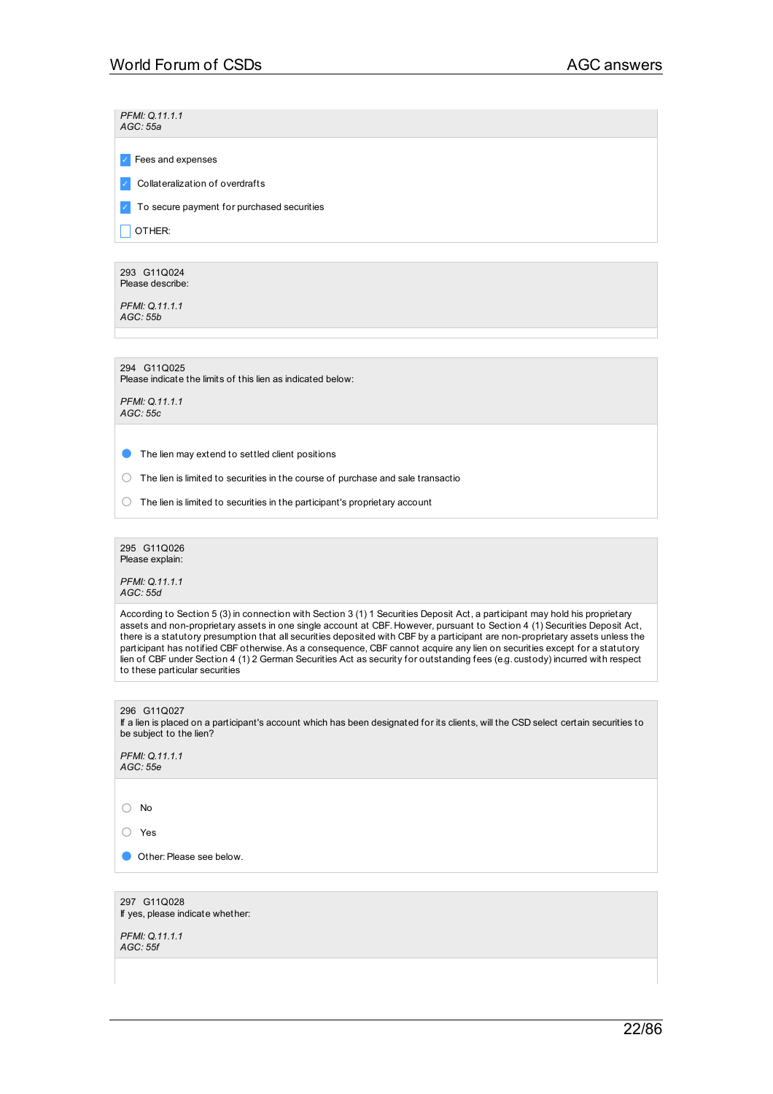*PFMI: Q.11.1.1 AGC: 55a*

✓ Fees and expenses

✓ Collateralization of overdrafts

✓ To secure payment for purchased securities

 $\Box$  OTHER:

293 G11Q024 Please describe:

*PFMI: Q.11.1.1 AGC: 55b*

294 G11Q025

Please indicate the limits of this lien as indicated below:

*PFMI: Q.11.1.1 AGC: 55c*

● The lien may extend to settled client positions

○ The lien is limited to securities in the course of purchase and sale transactio

 $\bigcirc$  The lien is limited to securities in the participant's proprietary account

295 G11Q026 Please explain:

*PFMI: Q.11.1.1 AGC: 55d*

According to Section 5 (3) in connection with Section 3 (1) 1 Securities Deposit Act, a participant may hold his proprietary assets and non-proprietary assets in one single account at CBF. However, pursuant to Section 4 (1) Securities Deposit Act, there is a statutory presumption that all securities deposited with CBF by a participant are non-proprietary assets unless the participant has notified CBF otherwise.As a consequence, CBF cannot acquire any lien on securities except for a statutory lien of CBF under Section 4 (1) 2 German Securities Act as security for outstanding fees (e.g. custody) incurred with respect to these particular securities

296 G11Q027 If a lien is placed on a participant's account which has been designated for its clients, will the CSD select certain securities to be subject to the lien?

*PFMI: Q.11.1.1 AGC: 55e*

○ No

○ Yes

**Other: Please see below.** 

297 G11Q028 If yes, please indicate whether: *PFMI: Q.11.1.1 AGC: 55f*

22/86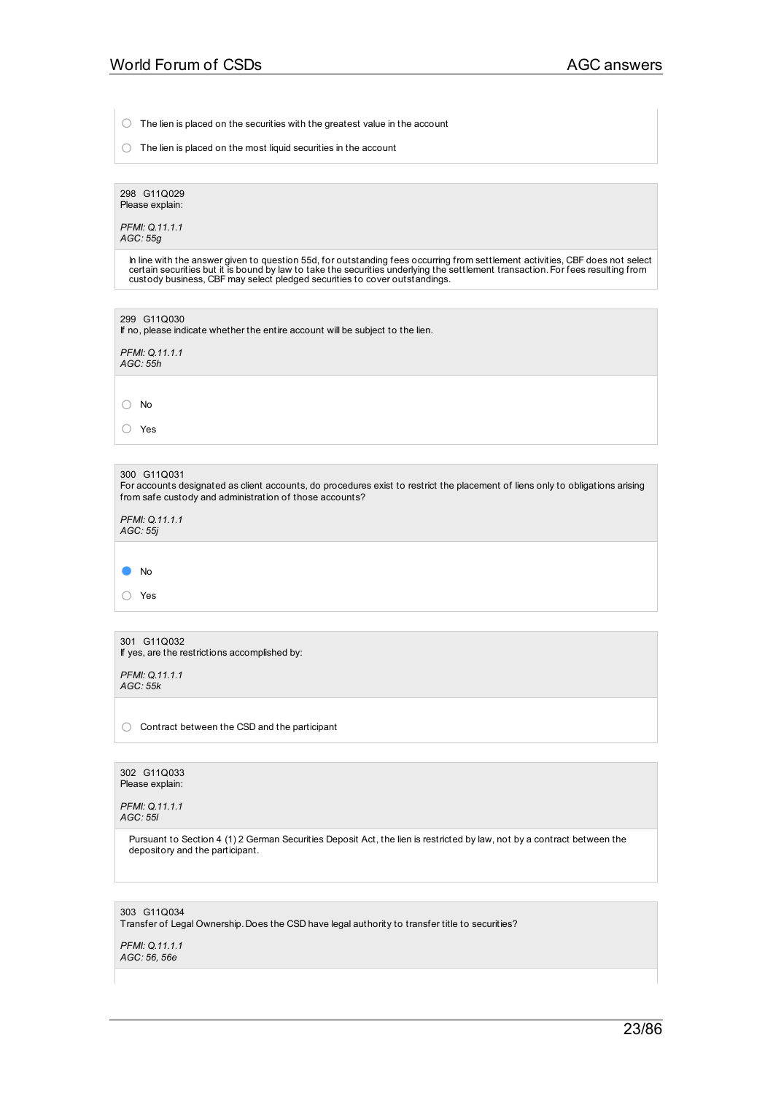○ The lien is placed on the securities with the greatest value in the account

 $\bigcirc$  The lien is placed on the most liquid securities in the account

298 G11Q029 Please explain:

*PFMI: Q.11.1.1 AGC: 55g*

In line with the answer given to question 55d, for outstanding fees occurring from settlement activities, CBF does not select<br>certain securities but it is bound by law to take the securities underlying the settlement trans

| 299 G11Q030<br>If no, please indicate whether the entire account will be subject to the lien.                                                                                                            |
|----------------------------------------------------------------------------------------------------------------------------------------------------------------------------------------------------------|
| PFMI: Q.11.1.1<br>AGC: 55h                                                                                                                                                                               |
|                                                                                                                                                                                                          |
| $\bigcap$<br>No                                                                                                                                                                                          |
| Yes                                                                                                                                                                                                      |
|                                                                                                                                                                                                          |
| 300 G11Q031<br>For accounts designated as client accounts, do procedures exist to restrict the placement of liens only to obligations arising<br>from safe custody and administration of those accounts? |
| PFMI: Q.11.1.1                                                                                                                                                                                           |

*AGC: 55j*

● No

○ Yes

301 G11Q032 If yes, are the restrictions accomplished by:

*PFMI: Q.11.1.1 AGC: 55k*

○ Contract between the CSD and the participant

302 G11Q033 Please explain:

*PFMI: Q.11.1.1 AGC: 55l*

> Pursuant to Section 4 (1) 2 German Securities Deposit Act, the lien is restricted by law, not by a contract between the depository and the participant.

303 G11Q034 Transfer of Legal Ownership. Does the CSD have legal authority to transfer title to securities?

*PFMI: Q.11.1.1 AGC: 56, 56e*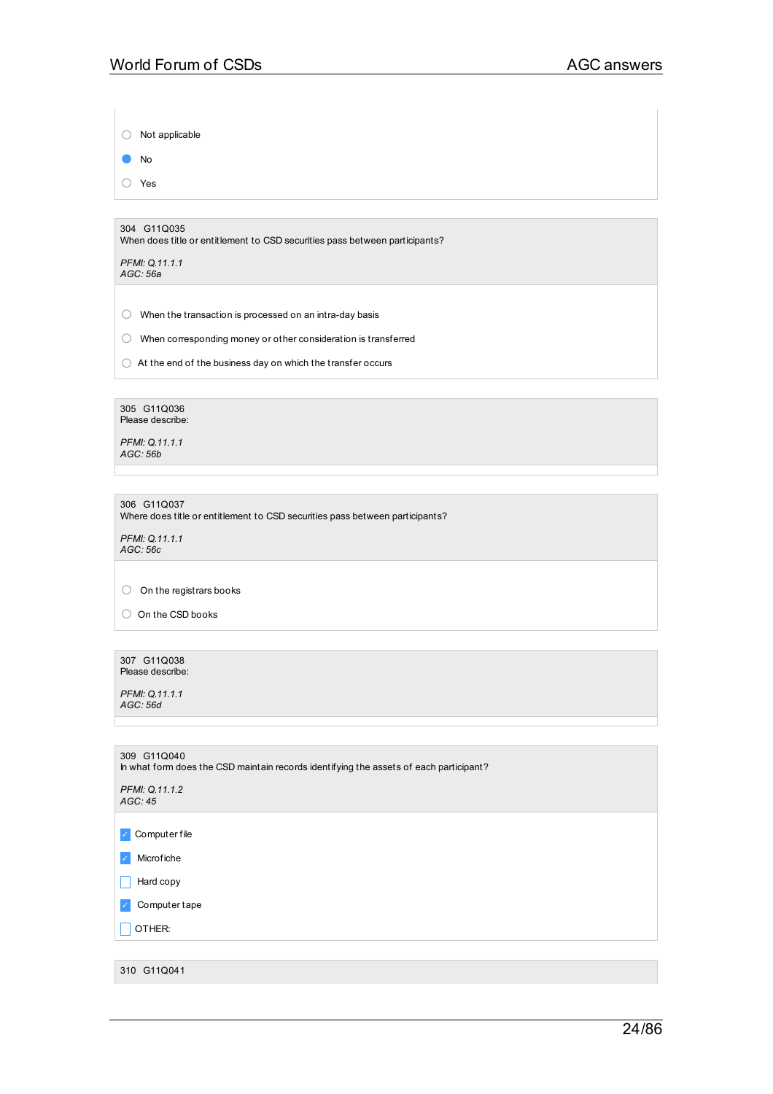○ Not applicable

● No

○ Yes

304 G11Q035 When does title or entitlement to CSD securities pass between participants?

*PFMI: Q.11.1.1 AGC: 56a*

 $\bigcirc$  When the transaction is processed on an intra-day basis

○ When corresponding money or other consideration is transferred

 $\bigcirc$  At the end of the business day on which the transfer occurs

305 G11Q036 Please describe:

*PFMI: Q.11.1.1 AGC: 56b*

306 G11Q037 Where does title or entitlement to CSD securities pass between participants?

*PFMI: Q.11.1.1 AGC: 56c*

○ On the registrars books

○ On the CSD books

307 G11Q038 Please describe:

*PFMI: Q.11.1.1 AGC: 56d*

| 309 G11Q040<br>In what form does the CSD maintain records identifying the assets of each participant? |  |  |  |
|-------------------------------------------------------------------------------------------------------|--|--|--|
| PFMI: Q.11.1.2<br>AGC: 45                                                                             |  |  |  |
|                                                                                                       |  |  |  |
| Computer file                                                                                         |  |  |  |
| Microfiche<br>$\checkmark$                                                                            |  |  |  |
| Hard copy                                                                                             |  |  |  |
| Computer tape                                                                                         |  |  |  |
| OTHER:                                                                                                |  |  |  |
|                                                                                                       |  |  |  |
| 310 G11Q041                                                                                           |  |  |  |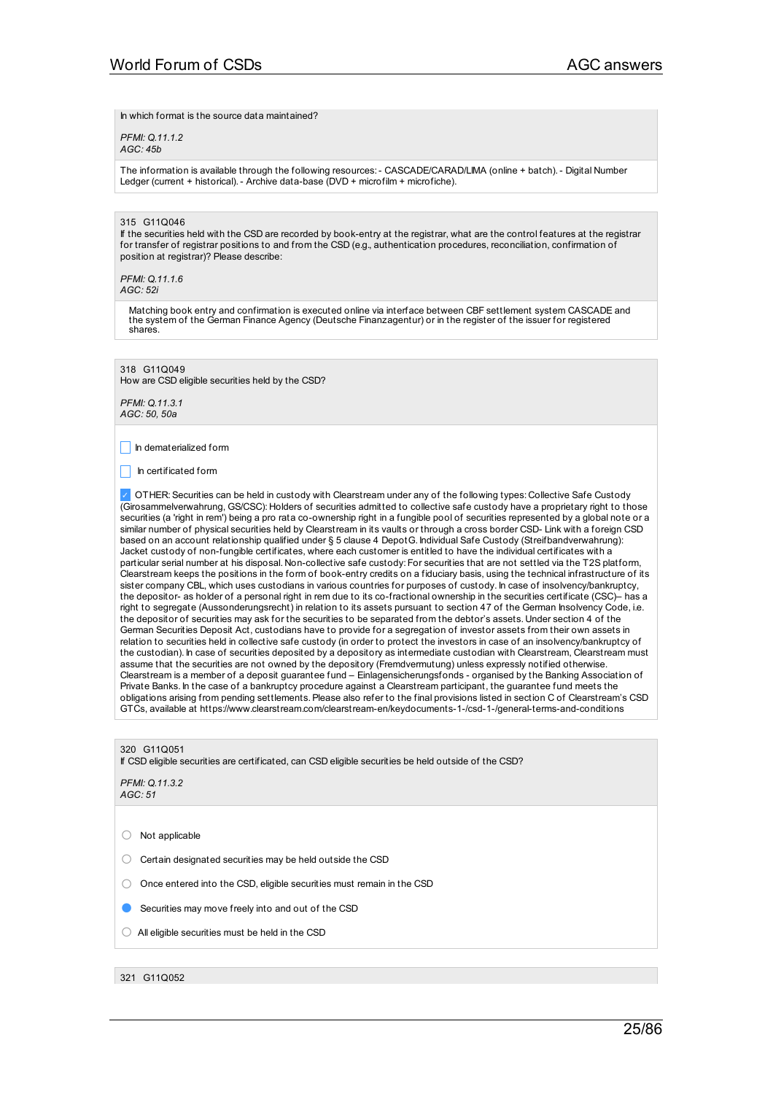In which format is the source data maintained?

*PFMI: Q.11.1.2 AGC: 45b*

The information is available through the following resources:- CASCADE/CARAD/LIMA (online + batch).- Digital Number Ledger (current + historical). - Archive data-base (DVD + microfilm + microfiche).

### 315 G11Q046

If the securities held with the CSD are recorded by book-entry at the registrar, what are the control features at the registrar for transfer of registrar positions to and from the CSD (e.g., authentication procedures, reconciliation, confirmation of position at registrar)? Please describe:

*PFMI: Q.11.1.6 AGC: 52i*

> Matching book entry and confirmation is executed online via interface between CBF settlement system CASCADE and the system of the German Finance Agency (Deutsche Finanzagentur) or in the register of the issuer for registered shares.

318 G11Q049 How are CSD eligible securities held by the CSD?

*PFMI: Q.11.3.1 AGC: 50, 50a*

 $\Box$  In dematerialized form

 $\Box$  In certificated form

び OTHER: Securities can be held in custody with Clearstream under any of the following types: Collective Safe Custody (Girosammelverwahrung, GS/CSC): Holders of securities admitted to collective safe custody have a proprietary right to those securities (a 'right in rem') being a pro rata co-ownership right in a fungible pool of securities represented by a global note or a similar number of physical securities held by Clearstream in its vaults or through a cross border CSD- Link with a foreign CSD based on an account relationship qualified under § 5 clause 4 DepotG. Individual Safe Custody (Streifbandverwahrung): Jacket custody of non-fungible certificates, where each customer is entitled to have the individual certificates with a particular serial number at his disposal. Non-collective safe custody: For securities that are not settled via the T2S platform, Clearstream keeps the positions in the form of book-entry credits on a fiduciary basis, using the technical infrastructure of its sister company CBL, which uses custodians in various countries for purposes of custody. In case of insolvency/bankruptcy, the depositor- as holder of a personal right in rem due to its co-fractional ownership in the securities certificate (CSC)– has a right to segregate (Aussonderungsrecht) in relation to its assets pursuant to section 47 of the German Insolvency Code, i.e. the depositor of securities may ask for the securities to be separated from the debtor's assets. Under section 4 of the German Securities Deposit Act, custodians have to provide for a segregation of investor assets from their own assets in relation to securities held in collective safe custody (in order to protect the investors in case of an insolvency/bankruptcy of the custodian). In case of securities deposited by a depository as intermediate custodian with Clearstream, Clearstream must assume that the securities are not owned by the depository (Fremdvermutung) unless expressly notified otherwise. Clearstream is a member of a deposit guarantee fund – Einlagensicherungsfonds - organised by the Banking Association of Private Banks. In the case of a bankruptcy procedure against a Clearstream participant, the guarantee fund meets the obligations arising from pending settlements.Please also refer to the final provisions listed in section C of Clearstream's CSD GTCs, available at https://www.clearstream.com/clearstream-en/keydocuments-1-/csd-1-/general-terms-and-conditions

### 320 G11Q051

If CSD eligible securities are certificated, can CSD eligible securities be held outside of the CSD?

*PFMI: Q.11.3.2 AGC: 51*

○ Not applicable

○ Certain designated securities may be held outside the CSD

○ Once entered into the CSD, eligible securities must remain in the CSD

**B** Securities may move freely into and out of the CSD

- $\bigcirc$  All eligible securities must be held in the CSD
- 321 G11Q052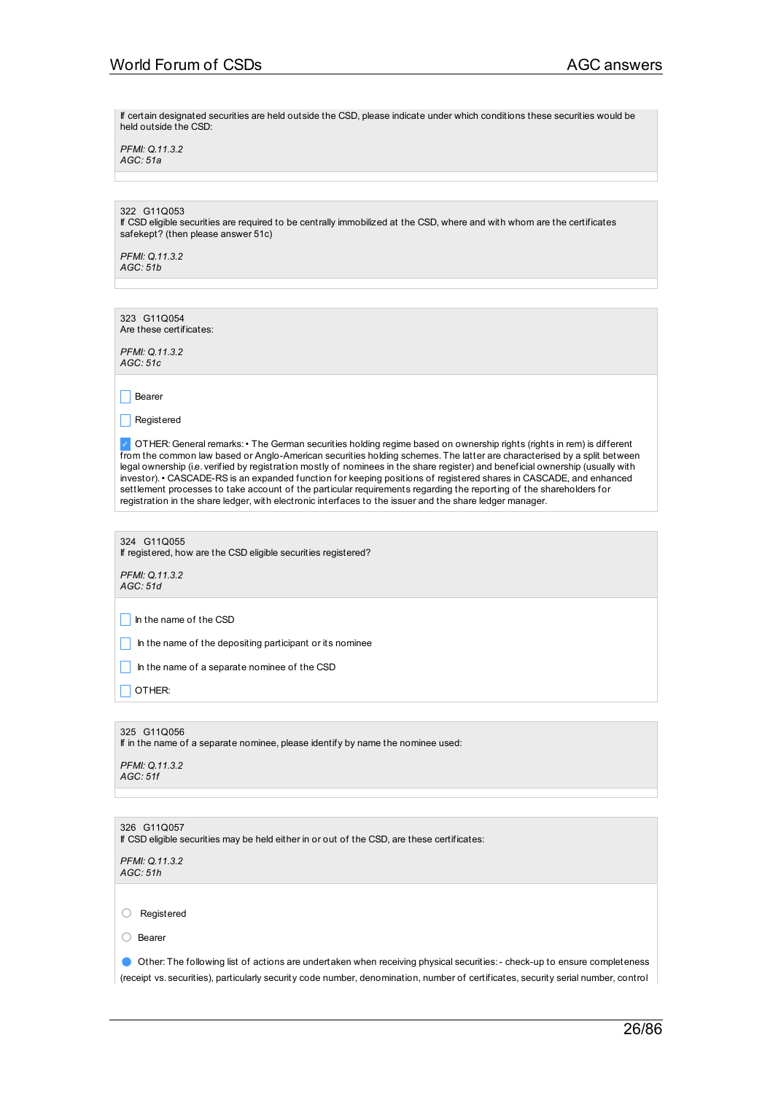If certain designated securities are held outside the CSD, please indicate under which conditions these securities would be held outside the CSD:

*PFMI: Q.11.3.2 AGC: 51a*

## 322 G11Q053

If CSD eligible securities are required to be centrally immobilized at the CSD, where and with whom are the certificates safekept? (then please answer 51c)

*PFMI: Q.11.3.2 AGC: 51b*

323 G11Q054 Are these certificates:

*PFMI: Q.11.3.2 AGC: 51c*

 $\Box$  Bearer

 $\Box$  Registered

✓ OTHER: General remarks:• The German securities holding regime based on ownership rights (rights in rem) is different from the common law based or Anglo-American securities holding schemes. The latter are characterised by a split between legal ownership (i.e. verified by registration mostly of nominees in the share register) and beneficial ownership (usually with investor).• CASCADE-RS is an expanded function for keeping positions of registered shares in CASCADE, and enhanced settlement processes to take account of the particular requirements regarding the reporting of the shareholders for registration in the share ledger, with electronic interfaces to the issuer and the share ledger manager.

324 G11Q055 If registered, how are the CSD eligible securities registered?

*PFMI: Q.11.3.2 AGC: 51d*

 $\Box$  In the name of the CSD

 $\Box$  In the name of the depositing participant or its nominee

 $\Box$  In the name of a separate nominee of the CSD

 $\Box$  OTHER:

### 325 G11Q056

If in the name of a separate nominee, please identify by name the nominee used:

*PFMI: Q.11.3.2 AGC: 51f*

326 G11Q057

If CSD eligible securities may be held either in or out of the CSD, are these certificates:

*PFMI: Q.11.3.2 AGC: 51h*

○ Registered

○ Bearer

● Other: The following list of actions are undertaken when receiving physical securities:- check-up to ensure completeness (receipt vs. securities), particularly security code number, denomination, number of certificates, security serial number, control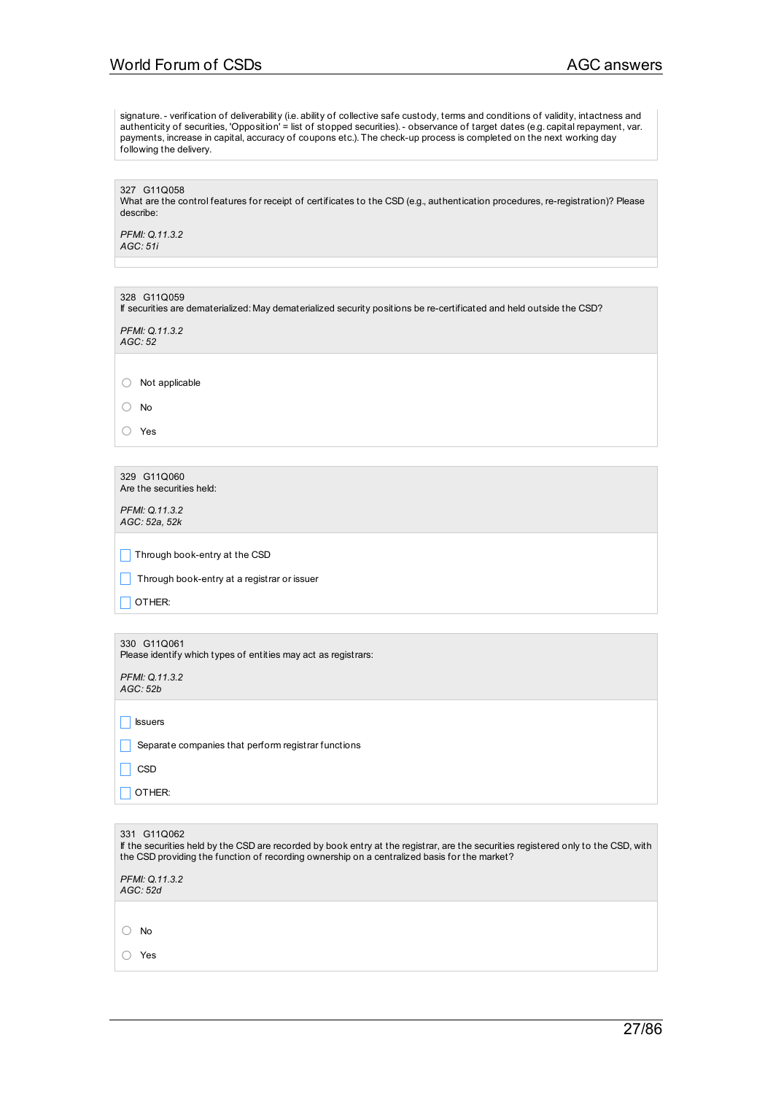# World Forum of CSDs AGC answers

signature.- verification of deliverability (i.e. ability of collective safe custody, terms and conditions of validity, intactness and authenticity of securities, 'Opposition' = list of stopped securities).- observance of target dates (e.g. capital repayment, var. payments, increase in capital, accuracy of coupons etc.). The check-up process is completed on the next working day following the delivery.

327 G11Q058 What are the control features for receipt of certificates to the CSD (e.g., authentication procedures, re-registration)? Please describe:

*PFMI: Q.11.3.2 AGC: 51i*

| 328 G11Q059<br>If securities are dematerialized: May dematerialized security positions be re-certificated and held outside the CSD? |  |
|-------------------------------------------------------------------------------------------------------------------------------------|--|
| PFMI: 0.11.3.2<br>AGC:52                                                                                                            |  |

○ Not applicable

○ No

○ Yes

| 329 G11Q060              |
|--------------------------|
| Are the securities held: |

*PFMI: Q.11.3.2 AGC: 52a, 52k*

 $\Box$  Through book-entry at the CSD

 $\Box$  Through book-entry at a registrar or issuer

|                                                                | 330 G11Q061 |  |
|----------------------------------------------------------------|-------------|--|
| Please identify which types of entities may act as registrars: |             |  |

*PFMI: Q.11.3.2 AGC: 52b*

 $\Box$  Issuers

**Separate companies that perform registrar functions** 

| ×<br>M<br>۰,<br>۰. |  |
|--------------------|--|
|--------------------|--|

 $\Box$  OTHER:

| 331 G11Q062<br>If the securities held by the CSD are recorded by book entry at the registrar, are the securities registered only to the CSD, with<br>the CSD providing the function of recording ownership on a centralized basis for the market? |  |
|---------------------------------------------------------------------------------------------------------------------------------------------------------------------------------------------------------------------------------------------------|--|
| PFMI: Q.11.3.2<br>AGC: 52d                                                                                                                                                                                                                        |  |
|                                                                                                                                                                                                                                                   |  |
| No                                                                                                                                                                                                                                                |  |
| Yes                                                                                                                                                                                                                                               |  |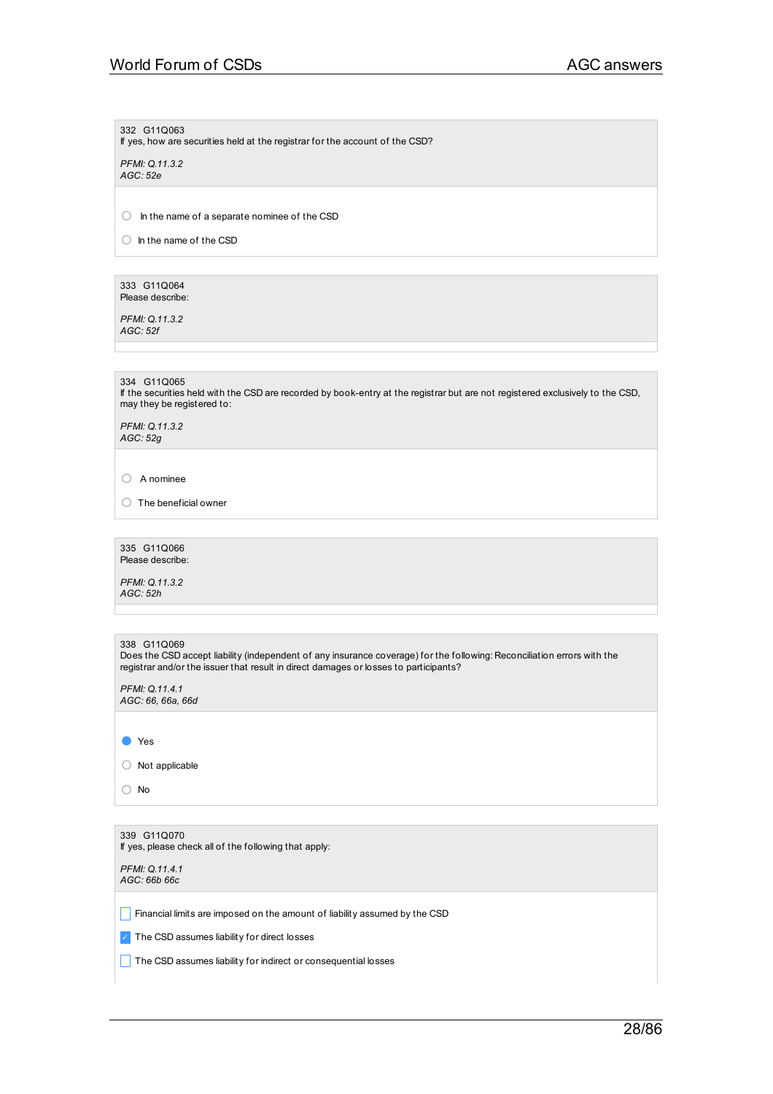332 G11Q063

If yes, how are securities held at the registrar for the account of the CSD?

*PFMI: Q.11.3.2 AGC: 52e*

○ In the name of <sup>a</sup> separate nominee of the CSD

○ In the name of the CSD

333 G11Q064 Please describe:

*PFMI: Q.11.3.2 AGC: 52f*

334 G11Q065

If the securities held with the CSD are recorded by book-entry at the registrar but are not registered exclusively to the CSD, may they be registered to:

*PFMI: Q.11.3.2 AGC: 52g*

○ <sup>A</sup> nominee

○ The beneficial owner

335 G11Q066 Please describe:

*PFMI: Q.11.3.2 AGC: 52h*

|  | 338 G11Q069 |
|--|-------------|
|  |             |

Does the CSD accept liability (independent of any insurance coverage) for the following: Reconciliation errors with the registrar and/or the issuer that result in direct damages or losses to participants?

*PFMI: Q.11.4.1 AGC: 66, 66a, 66d*

● Yes

○ Not applicable

○ No

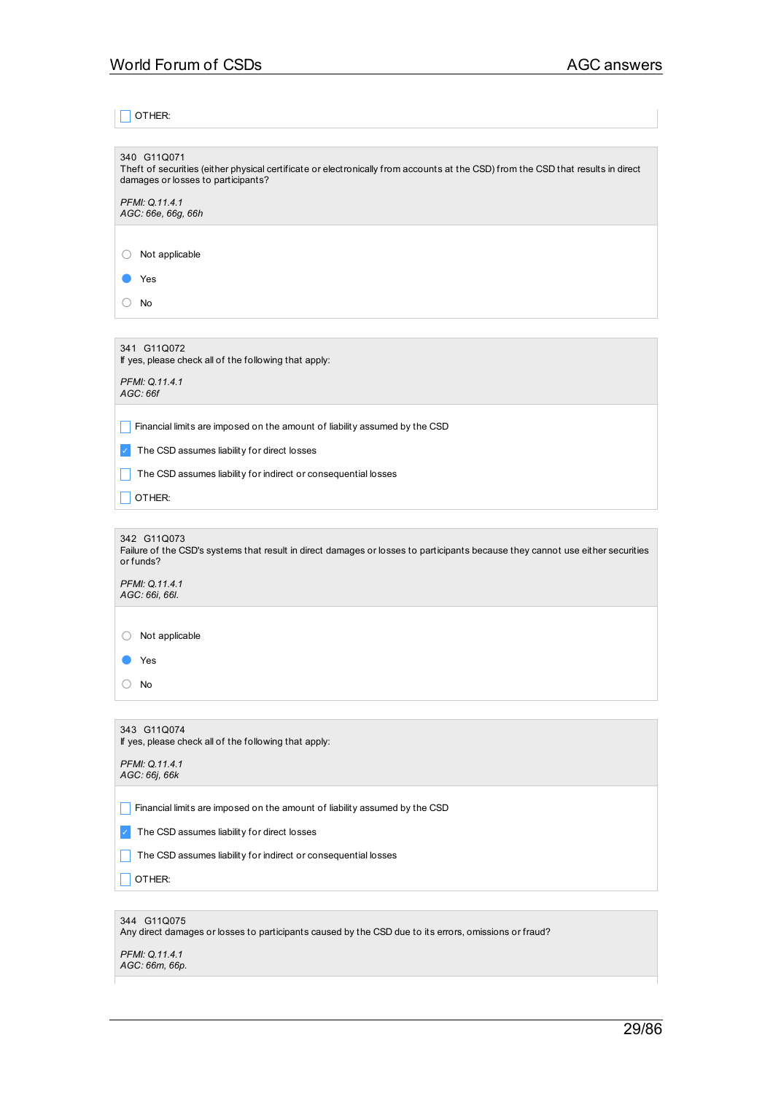# $\Box$  OTHER:

| 340 G11Q071<br>Theft of securities (either physical certificate or electronically from accounts at the CSD) from the CSD that results in direct<br>damages or losses to participants? |  |  |
|---------------------------------------------------------------------------------------------------------------------------------------------------------------------------------------|--|--|
| PFMI: Q.11.4.1<br>AGC: 66e, 66g, 66h                                                                                                                                                  |  |  |
|                                                                                                                                                                                       |  |  |
| Not applicable                                                                                                                                                                        |  |  |
| Yes                                                                                                                                                                                   |  |  |
| No                                                                                                                                                                                    |  |  |
|                                                                                                                                                                                       |  |  |
| 341 G11Q072<br>If yes, please check all of the following that apply:                                                                                                                  |  |  |
| PFMI: Q.11.4.1<br>AGC: 66f                                                                                                                                                            |  |  |
| Financial limits are imposed on the amount of liability assumed by the CSD                                                                                                            |  |  |
| The CSD assumes liability for direct losses                                                                                                                                           |  |  |
| The CSD assumes liability for indirect or consequential losses                                                                                                                        |  |  |
| OTHER:                                                                                                                                                                                |  |  |
|                                                                                                                                                                                       |  |  |
| 342 G11Q073<br>Failure of the CSD's systems that result in direct damages or losses to participants because they cannot use either securities<br>or funds?                            |  |  |
| PFMI: Q.11.4.1<br>AGC: 66i, 66l.                                                                                                                                                      |  |  |
|                                                                                                                                                                                       |  |  |
| Not applicable                                                                                                                                                                        |  |  |
| Yes                                                                                                                                                                                   |  |  |
| No                                                                                                                                                                                    |  |  |
|                                                                                                                                                                                       |  |  |
| 343 G11Q074<br>If yes, please check all of the following that apply:                                                                                                                  |  |  |
| PFMI: Q.11.4.1<br>AGC: 66j, 66k                                                                                                                                                       |  |  |
| Financial limits are imposed on the amount of liability assumed by the CSD                                                                                                            |  |  |
| The CSD assumes liability for direct losses                                                                                                                                           |  |  |
| The CSD assumes liability for indirect or consequential losses                                                                                                                        |  |  |
| OTHER:                                                                                                                                                                                |  |  |
|                                                                                                                                                                                       |  |  |
| 344 G11Q075<br>Any direct damages or losses to participants caused by the CSD due to its errors, omissions or fraud?                                                                  |  |  |
| PFMI: Q.11.4.1<br>AGC: 66m, 66p.                                                                                                                                                      |  |  |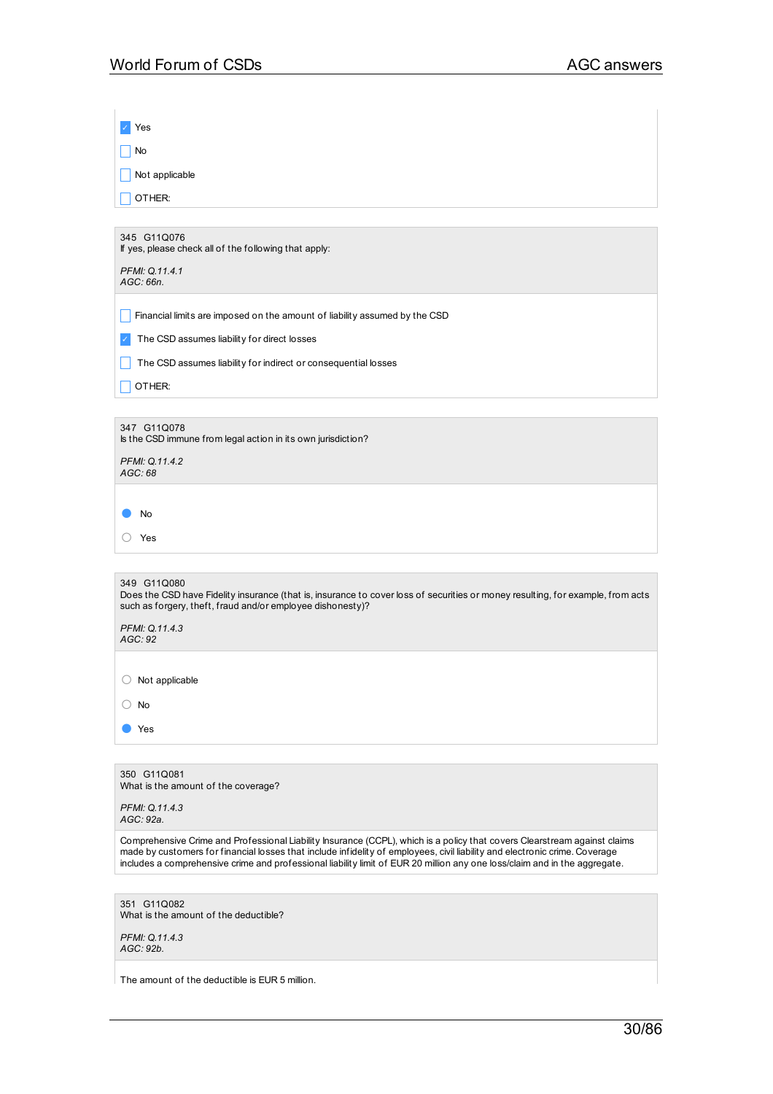| Yes                                                                                                                                                                                                                                                                                                                                                                                    |
|----------------------------------------------------------------------------------------------------------------------------------------------------------------------------------------------------------------------------------------------------------------------------------------------------------------------------------------------------------------------------------------|
| No                                                                                                                                                                                                                                                                                                                                                                                     |
| Not applicable                                                                                                                                                                                                                                                                                                                                                                         |
| OTHER:                                                                                                                                                                                                                                                                                                                                                                                 |
|                                                                                                                                                                                                                                                                                                                                                                                        |
| 345 G11Q076<br>If yes, please check all of the following that apply:                                                                                                                                                                                                                                                                                                                   |
| PFMI: Q.11.4.1<br>AGC: 66n.                                                                                                                                                                                                                                                                                                                                                            |
|                                                                                                                                                                                                                                                                                                                                                                                        |
| Financial limits are imposed on the amount of liability assumed by the CSD                                                                                                                                                                                                                                                                                                             |
| The CSD assumes liability for direct losses                                                                                                                                                                                                                                                                                                                                            |
| The CSD assumes liability for indirect or consequential losses                                                                                                                                                                                                                                                                                                                         |
| OTHER:                                                                                                                                                                                                                                                                                                                                                                                 |
| 347 G11Q078                                                                                                                                                                                                                                                                                                                                                                            |
| Is the CSD immune from legal action in its own jurisdiction?                                                                                                                                                                                                                                                                                                                           |
| PFMI: Q.11.4.2<br>AGC: 68                                                                                                                                                                                                                                                                                                                                                              |
|                                                                                                                                                                                                                                                                                                                                                                                        |
| No                                                                                                                                                                                                                                                                                                                                                                                     |
| Yes                                                                                                                                                                                                                                                                                                                                                                                    |
|                                                                                                                                                                                                                                                                                                                                                                                        |
| 349 G11Q080<br>Does the CSD have Fidelity insurance (that is, insurance to cover loss of securities or money resulting, for example, from acts<br>such as forgery, theft, fraud and/or employee dishonesty)?                                                                                                                                                                           |
| PFMI: Q.11.4.3                                                                                                                                                                                                                                                                                                                                                                         |
| AGC: 92                                                                                                                                                                                                                                                                                                                                                                                |
| Not applicable<br>( )                                                                                                                                                                                                                                                                                                                                                                  |
| No                                                                                                                                                                                                                                                                                                                                                                                     |
| Yes                                                                                                                                                                                                                                                                                                                                                                                    |
|                                                                                                                                                                                                                                                                                                                                                                                        |
| 350 G11Q081                                                                                                                                                                                                                                                                                                                                                                            |
| What is the amount of the coverage?<br>PFMI: Q.11.4.3                                                                                                                                                                                                                                                                                                                                  |
| AGC: 92a.                                                                                                                                                                                                                                                                                                                                                                              |
| Comprehensive Crime and Professional Liability Insurance (CCPL), which is a policy that covers Clearstream against claims<br>made by customers for financial losses that include infidelity of employees, civil liability and electronic crime. Coverage<br>includes a comprehensive crime and professional liability limit of EUR 20 million any one loss/claim and in the aggregate. |
|                                                                                                                                                                                                                                                                                                                                                                                        |
| 351 G11Q082<br>What is the amount of the deductible?                                                                                                                                                                                                                                                                                                                                   |
| PFMI: Q.11.4.3                                                                                                                                                                                                                                                                                                                                                                         |
| AGC: 92b.                                                                                                                                                                                                                                                                                                                                                                              |
| The amount of the deductible is EUR 5 million.                                                                                                                                                                                                                                                                                                                                         |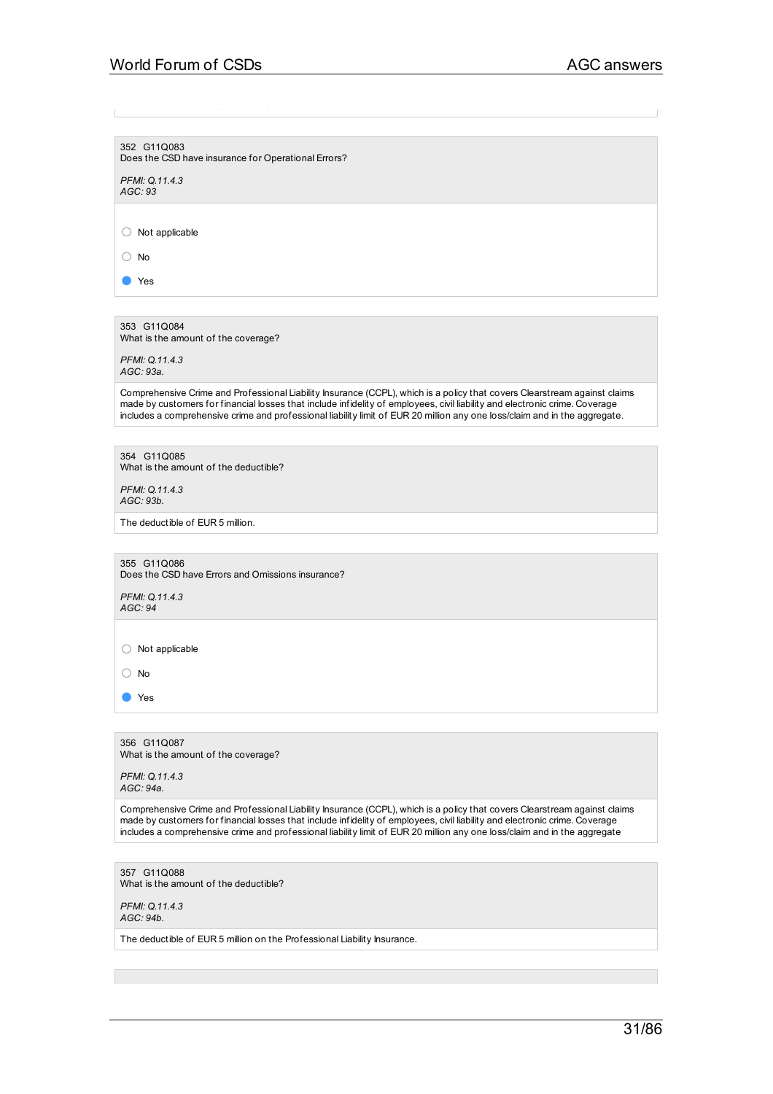352 G11Q083 Does the CSD have insurance for Operational Errors?

*PFMI: Q.11.4.3 AGC: 93*

○ Not applicable

○ No

● Yes

353 G11Q084 What is the amount of the coverage?

*PFMI: Q.11.4.3 AGC: 93a.*

Comprehensive Crime and Professional Liability Insurance (CCPL), which is a policy that covers Clearstream against claims made by customers for financial losses that include infidelity of employees, civil liability and electronic crime. Coverage includes a comprehensive crime and professional liability limit of EUR 20 million any one loss/claim and in the aggregate.

354 G11Q085 What is the amount of the deductible?

*PFMI: Q.11.4.3 AGC: 93b.*

The deductible of EUR 5 million.

355 G11Q086 Does the CSD have Errors and Omissions insurance?

*PFMI: Q.11.4.3 AGC: 94*

○ Not applicable

○ No

● Yes

356 G11Q087 What is the amount of the coverage?

*PFMI: Q.11.4.3 AGC: 94a.*

Comprehensive Crime and Professional Liability Insurance (CCPL), which is a policy that covers Clearstream against claims made by customers for financial losses that include infidelity of employees, civil liability and electronic crime. Coverage includes a comprehensive crime and professional liability limit of EUR 20 million any one loss/claim and in the aggregate

357 G11Q088 What is the amount of the deductible?

*PFMI: Q.11.4.3 AGC: 94b.*

The deductible of EUR 5 million on the Professional Liability Insurance.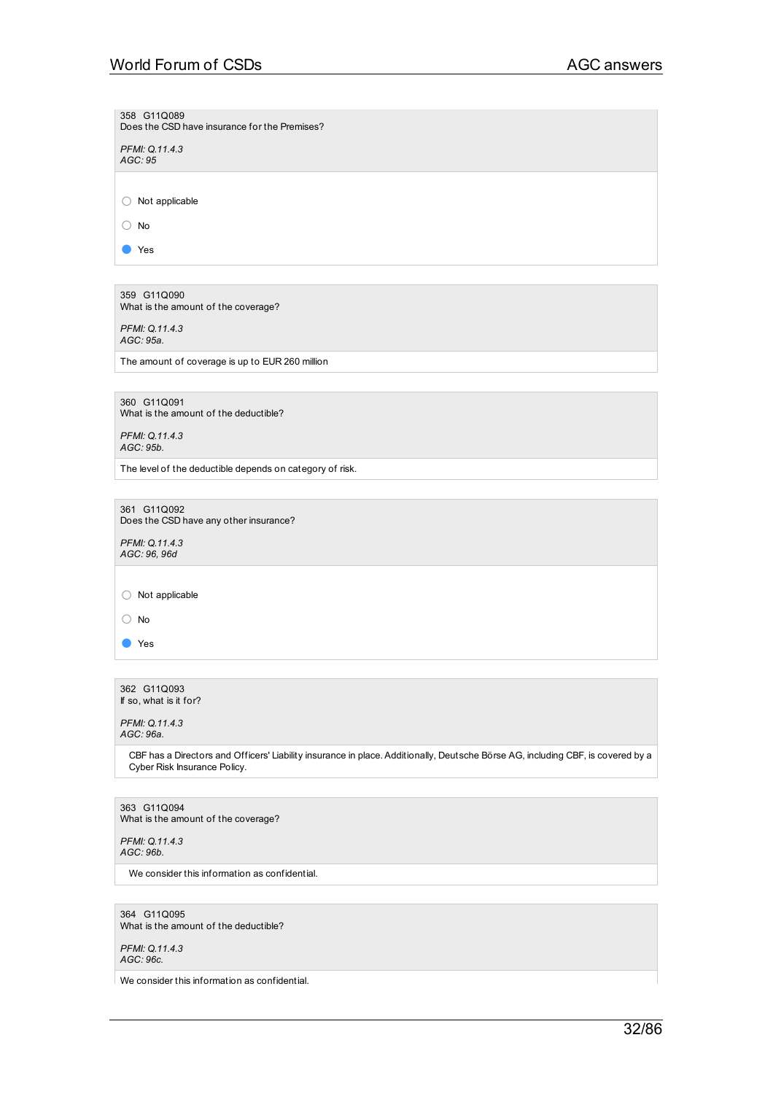# World Forum of CSDs AGC answers

358 G11Q089 Does the CSD have insurance for the Premises?

*PFMI: Q.11.4.3 AGC: 95*

○ Not applicable

○ No

● Yes

359 G11Q090 What is the amount of the coverage?

*PFMI: Q.11.4.3 AGC: 95a.*

The amount of coverage is up to EUR 260 million

360 G11Q091 What is the amount of the deductible?

*PFMI: Q.11.4.3 AGC: 95b.*

The level of the deductible depends on category of risk.

361 G11Q092 Does the CSD have any other insurance?

*PFMI: Q.11.4.3 AGC: 96, 96d*

○ Not applicable

○ No

● Yes

362 G11Q093 If so, what is it for?

*PFMI: Q.11.4.3 AGC: 96a.*

> CBF has a Directors and Officers' Liability insurance in place. Additionally, Deutsche Börse AG, including CBF, is covered by a Cyber Risk Insurance Policy.

363 G11Q094 What is the amount of the coverage?

*PFMI: Q.11.4.3 AGC: 96b.*

We consider this information as confidential.

364 G11Q095 What is the amount of the deductible?

*PFMI: Q.11.4.3 AGC: 96c.*

We consider this information as confidential.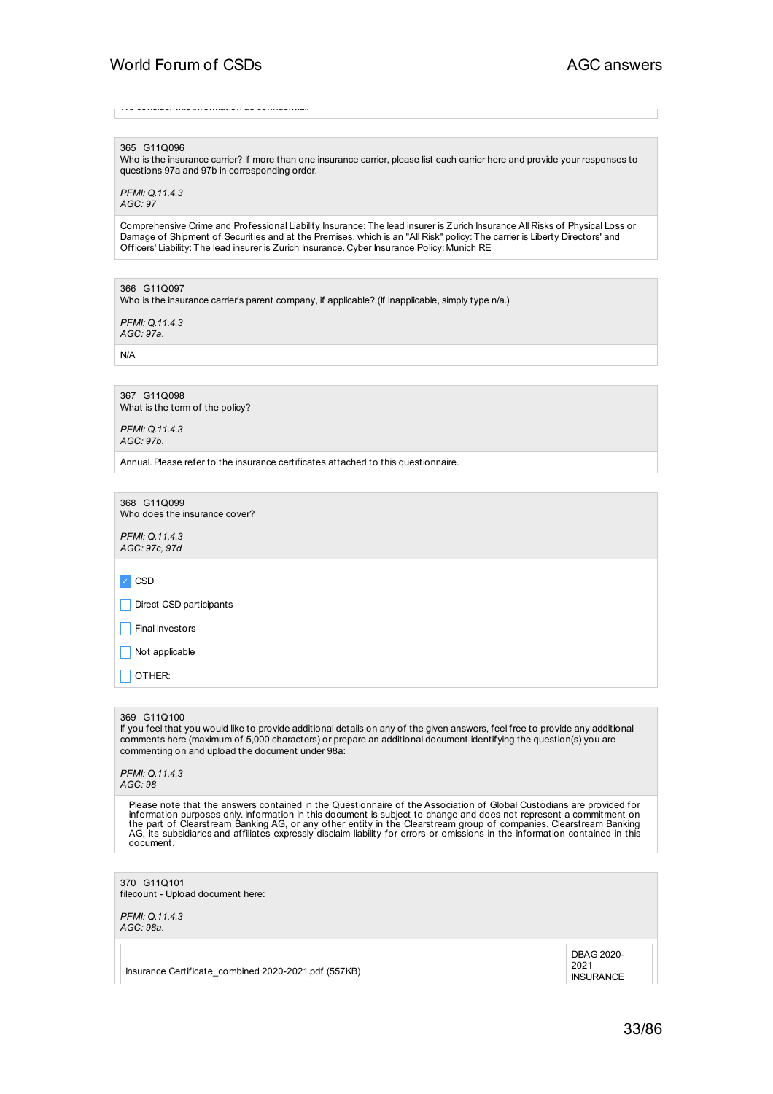We consider this information as confidential.

### 365 G11Q096

Who is the insurance carrier? If more than one insurance carrier, please list each carrier here and provide your responses to questions 97a and 97b in corresponding order.

*PFMI: Q.11.4.3 AGC: 97*

Comprehensive Crime and Professional Liability Insurance: The lead insurer is Zurich Insurance All Risks of Physical Loss or Damage of Shipment of Securities and at the Premises, which is an "All Risk" policy: The carrier is Liberty Directors' and Officers' Liability: The lead insurer is Zurich Insurance. Cyber Insurance Policy: Munich RE

366 G11Q097

Who is the insurance carrier's parent company, if applicable? (If inapplicable, simply type n/a.)

*PFMI: Q.11.4.3 AGC: 97a.*

N/A

367 G11Q098 What is the term of the policy?

*PFMI: Q.11.4.3 AGC: 97b.*

Annual.Please refer to the insurance certificates attached to this questionnaire.

368 G11Q099 Who does the insurance cover?

*PFMI: Q.11.4.3 AGC: 97c, 97d*

✓ CSD

Direct CSD participants

Final investors

 $\Box$  Not applicable

 $\Box$  OTHER:

#### 369 G11Q100

If you feel that you would like to provide additional details on any of the given answers, feel free to provide any additional comments here (maximum of 5,000 characters) or prepare an additional document identifying the question(s) you are commenting on and upload the document under 98a:

*PFMI: Q.11.4.3*

*AGC: 98*

Please note that the answers contained in the Questionnaire of the Association of Global Custodians are provided for information purposes only. Information in this document is subject to change and does not represent a commitment on<br>the part of Clearstream Banking AG, or any other entity in the Clearstream group of companies. Clearstream document.

## 370 G11Q101

filecount - Upload document here:

*PFMI: Q.11.4.3 AGC: 98a.*

> DBAG 2020- 2021 **INSURANCE**

Insurance Certificate\_combined 2020-2021.pdf (557KB)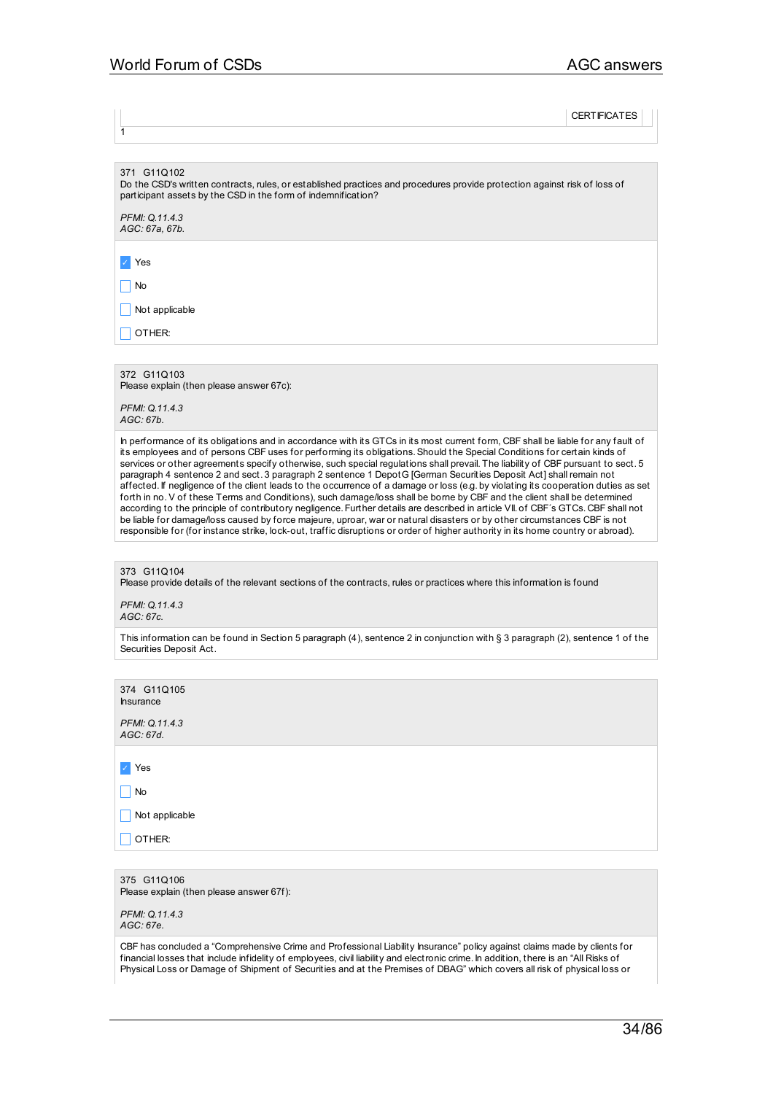**CERTIFICATES** 

371 G11Q102

Do the CSD's written contracts, rules, or established practices and procedures provide protection against risk of loss of participant assets by the CSD in the form of indemnification?

*PFMI: Q.11.4.3 AGC: 67a, 67b.*

✓ Yes

1

 $\Box$  No

 $\Box$  Not applicable

 $\Box$  OTHER:

372 G11Q103

Please explain (then please answer 67c):

*PFMI: Q.11.4.3 AGC: 67b.*

In performance of its obligations and in accordance with its GTCs in its most current form, CBF shall be liable for any fault of its employees and of persons CBF uses for performing its obligations.Should the Special Conditions for certain kinds of services or other agreements specify otherwise, such special regulations shall prevail. The liability of CBF pursuant to sect. 5 paragraph 4 sentence 2 and sect. 3 paragraph 2 sentence 1 DepotG [German Securities Deposit Act] shall remain not affected. If negligence of the client leads to the occurrence of a damage or loss (e.g. by violating its cooperation duties as set forth in no.V of these Terms and Conditions), such damage/loss shall be borne by CBF and the client shall be determined according to the principle of contributory negligence. Further details are described in article VII. of CBF's GTCs. CBF shall not be liable for damage/loss caused by force majeure, uproar, war or natural disasters or by other circumstances CBF is not responsible for (for instance strike, lock-out, traffic disruptions or order of higher authority in its home country or abroad).

373 G11Q104

Please provide details of the relevant sections of the contracts, rules or practices where this information is found

*PFMI: Q.11.4.3 AGC: 67c.*

This information can be found in Section 5 paragraph (4), sentence 2 in conjunction with § 3 paragraph (2), sentence 1 of the Securities Deposit Act.

| 374 G11Q105<br>Insurance                                |
|---------------------------------------------------------|
| PFMI: Q.11.4.3<br>AGC: 67d.                             |
|                                                         |
| $ $ Yes                                                 |
| No<br>H                                                 |
| Not applicable                                          |
| OTHER:                                                  |
|                                                         |
| 375 G11Q106<br>Please explain (then please answer 67f): |
| PFMI: Q.11.4.3<br>AGC·67e                               |

CBF has concluded a "Comprehensive Crime and Professional Liability Insurance" policy against claims made by clients for financial losses that include infidelity of employees, civil liability and electronic crime. In addition, there is an "All Risks of Physical Loss or Damage of Shipment of Securities and at the Premises of DBAG" which covers all risk of physical loss or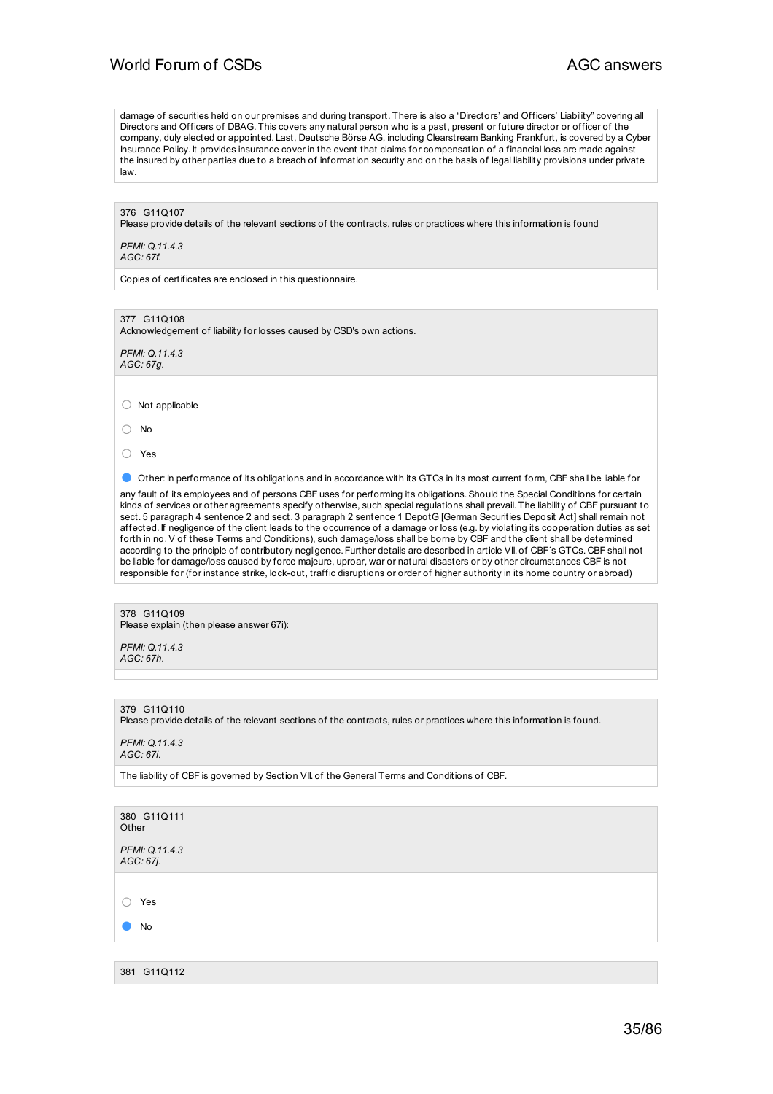damage of securities held on our premises and during transport. There is also a "Directors' and Officers' Liability" covering all Directors and Officers of DBAG. This covers any natural person who is a past, present or future director or officer of the company, duly elected or appointed. Last, Deutsche Börse AG, including Clearstream Banking Frankfurt, is covered by a Cyber Insurance Policy. It provides insurance cover in the event that claims for compensation of a financial loss are made against the insured by other parties due to a breach of information security and on the basis of legal liability provisions under private law.

376 G11Q107 Please provide details of the relevant sections of the contracts, rules or practices where this information is found

*PFMI: Q.11.4.3 AGC: 67f.*

Copies of certificates are enclosed in this questionnaire.

377 G11Q108 Acknowledgement of liability for losses caused by CSD's own actions.

*PFMI: Q.11.4.3 AGC: 67g.*

○ Not applicable

○ No

○ Yes

● Other: In performance of its obligations and in accordance with its GTCs in its most current form, CBF shall be liable for

any fault of its employees and of persons CBF uses for performing its obligations.Should the Special Conditions for certain kinds of services or other agreements specify otherwise, such special regulations shall prevail. The liability of CBF pursuant to sect. 5 paragraph 4 sentence 2 and sect. 3 paragraph 2 sentence 1 DepotG [German Securities Deposit Act] shall remain not affected. If negligence of the client leads to the occurrence of a damage or loss (e.g. by violating its cooperation duties as set forth in no.V of these Terms and Conditions), such damage/loss shall be borne by CBF and the client shall be determined according to the principle of contributory negligence. Further details are described in article VII. of CBF´s GTCs. CBF shall not be liable for damage/loss caused by force majeure, uproar, war or natural disasters or by other circumstances CBF is not responsible for (for instance strike, lock-out, traffic disruptions or order of higher authority in its home country or abroad)

378 G11Q109 Please explain (then please answer 67i):

*PFMI: Q.11.4.3 AGC: 67h.*

379 G11Q110

Please provide details of the relevant sections of the contracts, rules or practices where this information is found.

*PFMI: Q.11.4.3 AGC: 67i.*

The liability of CBF is governed by Section VII. of the General Terms and Conditions of CBF.

380 G11Q111 Other *PFMI: Q.11.4.3 AGC: 67j.*

○ Yes

● No

381 G11Q112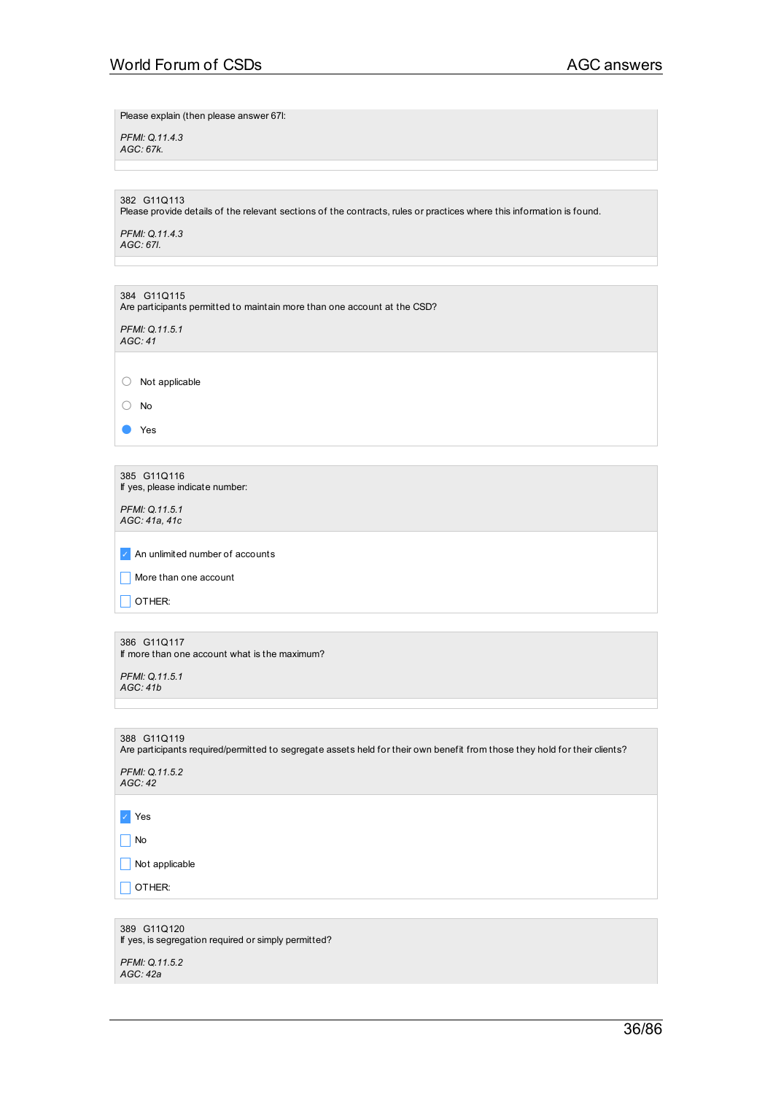Please explain (then please answer 67l:

*PFMI: Q.11.4.3 AGC: 67k.*

382 G11Q113 Please provide details of the relevant sections of the contracts, rules or practices where this information is found.

*PFMI: Q.11.4.3 AGC: 67l.*

| 384 G11Q115<br>Are participants permitted to maintain more than one account at the CSD? |
|-----------------------------------------------------------------------------------------|
| PFMI: Q.11.5.1<br>AGC: 41                                                               |

○ Not applicable

○ No

● Yes

385 G11Q116 If yes, please indicate number:

*PFMI: Q.11.5.1 AGC: 41a, 41c*

✓ An unlimited number of accounts

 $\Box$  More than one account

 $\Box$  OTHER:

386 G11Q117 If more than one account what is the maximum?

*PFMI: Q.11.5.1 AGC: 41b*

388 G11Q119

Are participants required/permitted to segregate assets held for their own benefit from those they hold for their clients?

*PFMI: Q.11.5.2 AGC: 42*

✓ Yes

 $\prod$  No

 $\Box$  Not applicable

 $\Box$  OTHER:

389 G11Q120 If yes, is segregation required or simply permitted? *PFMI: Q.11.5.2 AGC: 42a*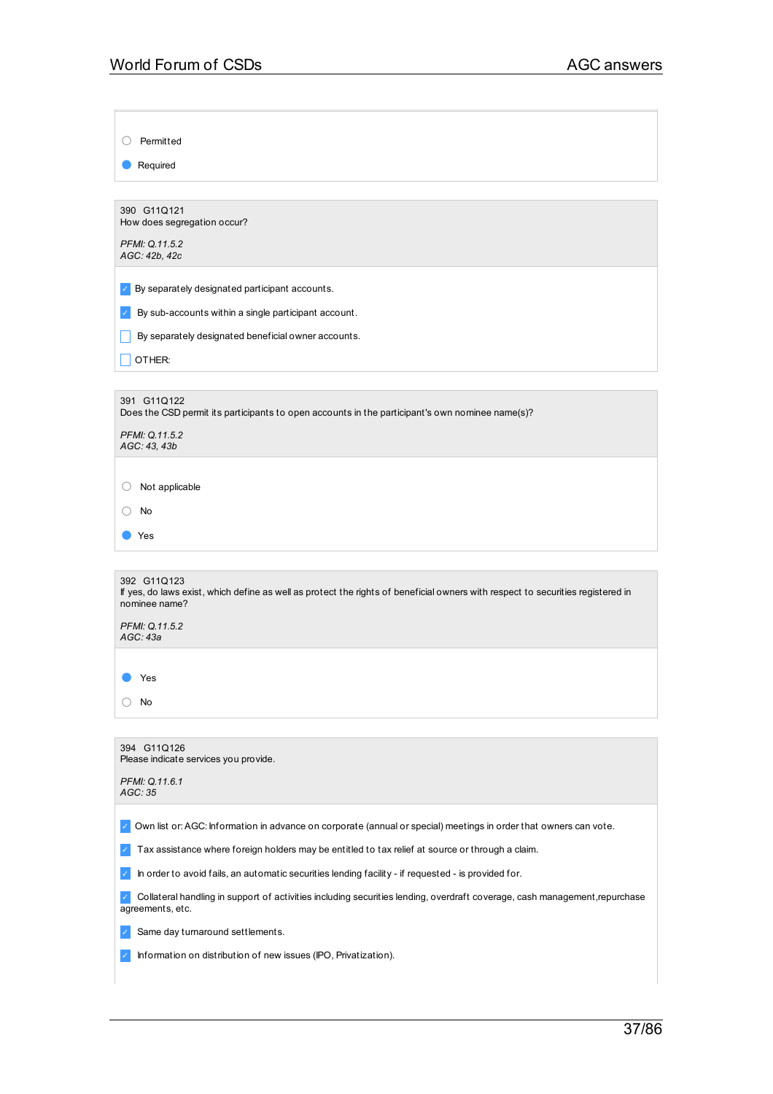○ Permitted

● Required

390 G11Q121 How does segregation occur? *PFMI: Q.11.5.2*

*AGC: 42b, 42c*

 $\triangleright$  By separately designated participant accounts.

 $\triangleright$  By sub-accounts within a single participant account.

**By separately designated beneficial owner accounts.** 

 $\Box$  OTHER:

391 G11Q122 Does the CSD permit its participants to open accounts in the participant's own nominee name(s)?

| PFMI: Q.11.5.2 |  |
|----------------|--|
| AGC: 43, 43b   |  |

○ Not applicable

| $\sim$ |  |
|--------|--|
|        |  |

392 G11Q123 If yes, do laws exist, which define as well as protect the rights of beneficial owners with respect to securities registered in nominee name?

*PFMI: Q.11.5.2 AGC: 43a*

● Yes

○ No

|               | 394 G11Q126<br>Please indicate services you provide.                                                                                           |
|---------------|------------------------------------------------------------------------------------------------------------------------------------------------|
|               | PFMI: Q.11.6.1<br>AGC: 35                                                                                                                      |
|               |                                                                                                                                                |
|               | Own list or: AGC: Information in advance on corporate (annual or special) meetings in order that owners can vote.                              |
| $\mathcal{A}$ | Tax assistance where foreign holders may be entitled to tax relief at source or through a claim.                                               |
| $\checkmark$  | In order to avoid fails, an automatic securities lending facility - if requested - is provided for.                                            |
|               | Collateral handling in support of activities including securities lending, overdraft coverage, cash management, repurchase<br>agreements, etc. |
|               | Same day turnaround settlements.                                                                                                               |
| $\sqrt{ }$    | Information on distribution of new issues (IPO, Privatization).                                                                                |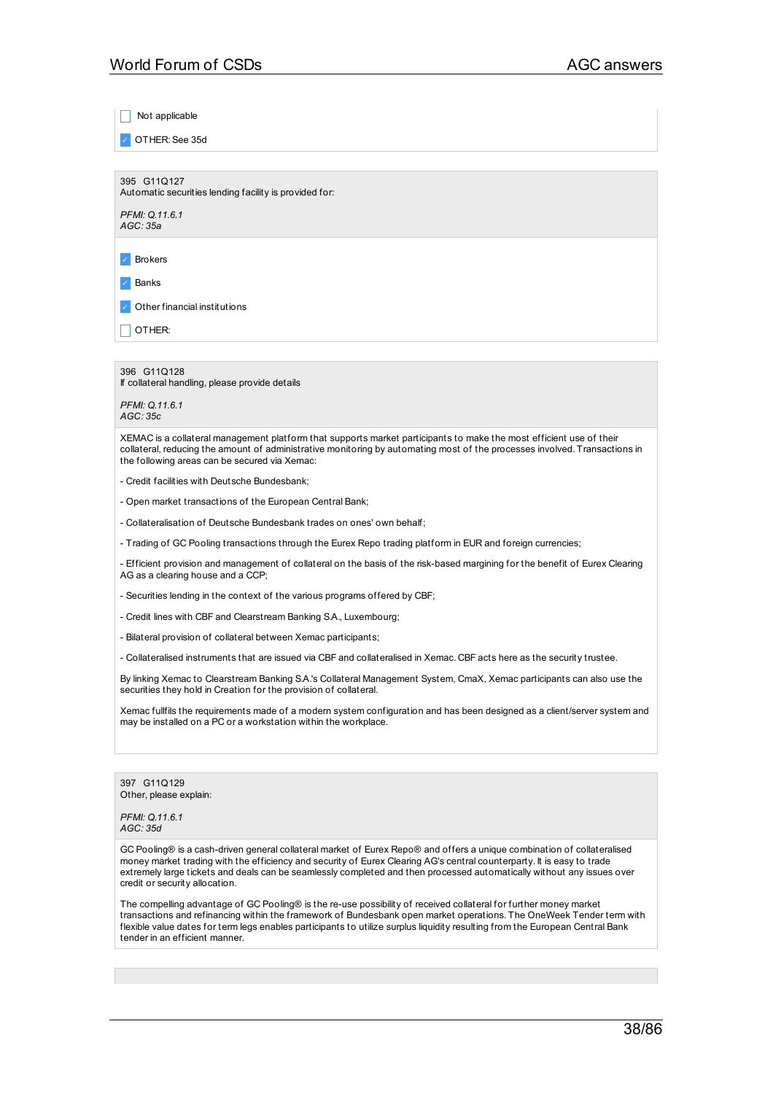Not applicable

✓ OTHER:See 35d

395 G11Q127 Automatic securities lending facility is provided for:

*PFMI: Q.11.6.1 AGC: 35a*

✓ Brokers

✓ Banks

✓ Other financial institutions

| OTHER:

396 G11Q128 If collateral handling, please provide details

*PFMI: Q.11.6.1 AGC: 35c*

XEMAC is a collateral management platform that supports market participants to make the most efficient use of their collateral, reducing the amount of administrative monitoring by automating most of the processes involved. Transactions in the following areas can be secured via Xemac:

- Credit facilities with Deutsche Bundesbank;

- Open market transactions of the European Central Bank;

- Collateralisation of Deutsche Bundesbank trades on ones' own behalf;

- Trading of GC Pooling transactions through the Eurex Repo trading platform in EUR and foreign currencies;

- Efficient provision and management of collateral on the basis of the risk-based margining for the benefit of Eurex Clearing AG as a clearing house and a CCP;

- Securities lending in the context of the various programs offered by CBF;

- Credit lines with CBF and Clearstream Banking S.A., Luxembourg;

- Bilateral provision of collateral between Xemac participants;

- Collateralised instruments that are issued via CBF and collateralised in Xemac. CBF acts here as the security trustee.

By linking Xemac to Clearstream Banking S.A.'s Collateral Management System, CmaX, Xemac participants can also use the securities they hold in Creation for the provision of collateral.

Xemac fullfils the requirements made of a modern system configuration and has been designed as a client/server system and may be installed on a PC or a workstation within the workplace.

397 G11Q129 Other, please explain:

*PFMI: Q.11.6.1 AGC: 35d*

GC Pooling® is a cash-driven general collateral market of Eurex Repo® and offers a unique combination of collateralised money market trading with the efficiency and security of Eurex Clearing AG's central counterparty. It is easy to trade extremely large tickets and deals can be seamlessly completed and then processed automatically without any issues over credit or security allocation.

The compelling advantage of GC Pooling® is the re-use possibility of received collateral for further money market transactions and refinancing within the framework of Bundesbank open market operations. The OneWeek Tender term with flexible value dates for term legs enables participants to utilize surplus liquidity resulting from the European Central Bank tender in an efficient manner.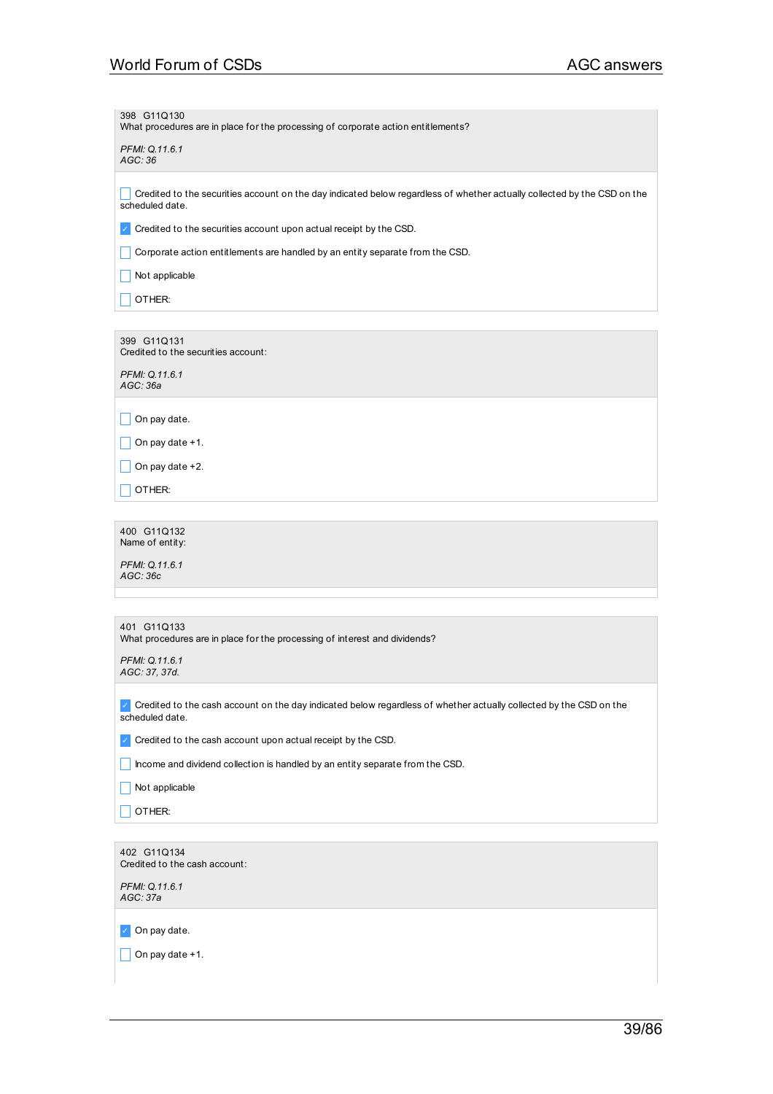# World Forum of CSDs **AGC** answers

| 398 G11Q130<br>What procedures are in place for the processing of corporate action entitlements?                                            |
|---------------------------------------------------------------------------------------------------------------------------------------------|
| PFMI: Q.11.6.1<br>AGC: 36                                                                                                                   |
|                                                                                                                                             |
| Credited to the securities account on the day indicated below regardless of whether actually collected by the CSD on the<br>scheduled date. |
| Credited to the securities account upon actual receipt by the CSD.<br>$\checkmark$                                                          |
| Corporate action entitlements are handled by an entity separate from the CSD.                                                               |
| Not applicable                                                                                                                              |
| OTHER:                                                                                                                                      |
|                                                                                                                                             |
| 399 G11Q131<br>Credited to the securities account:                                                                                          |
| PFMI: Q.11.6.1<br>AGC: 36a                                                                                                                  |
| On pay date.                                                                                                                                |
| On pay date +1.                                                                                                                             |
| On pay date +2.                                                                                                                             |
| OTHER:                                                                                                                                      |
|                                                                                                                                             |
| 400 G11Q132<br>Name of entity:                                                                                                              |
| PFMI: Q.11.6.1<br>AGC: 36c                                                                                                                  |
|                                                                                                                                             |
|                                                                                                                                             |
| 401 G11Q133<br>What procedures are in place for the processing of interest and dividends?                                                   |
| PFMI: Q.11.6.1<br>AGC: 37, 37d.                                                                                                             |
| Credited to the cash account on the day indicated below regardless of whether actually collected by the CSD on the<br>scheduled date.       |
| Credited to the cash account upon actual receipt by the CSD.<br>$\checkmark$                                                                |
| Income and dividend collection is handled by an entity separate from the CSD.                                                               |
| Not applicable                                                                                                                              |
| OTHER:                                                                                                                                      |
|                                                                                                                                             |
| 402 G11Q134                                                                                                                                 |
| Credited to the cash account:                                                                                                               |
| PFMI: Q.11.6.1                                                                                                                              |

*AGC: 37a*

✓ On pay date.

 $\Box$  On pay date +1.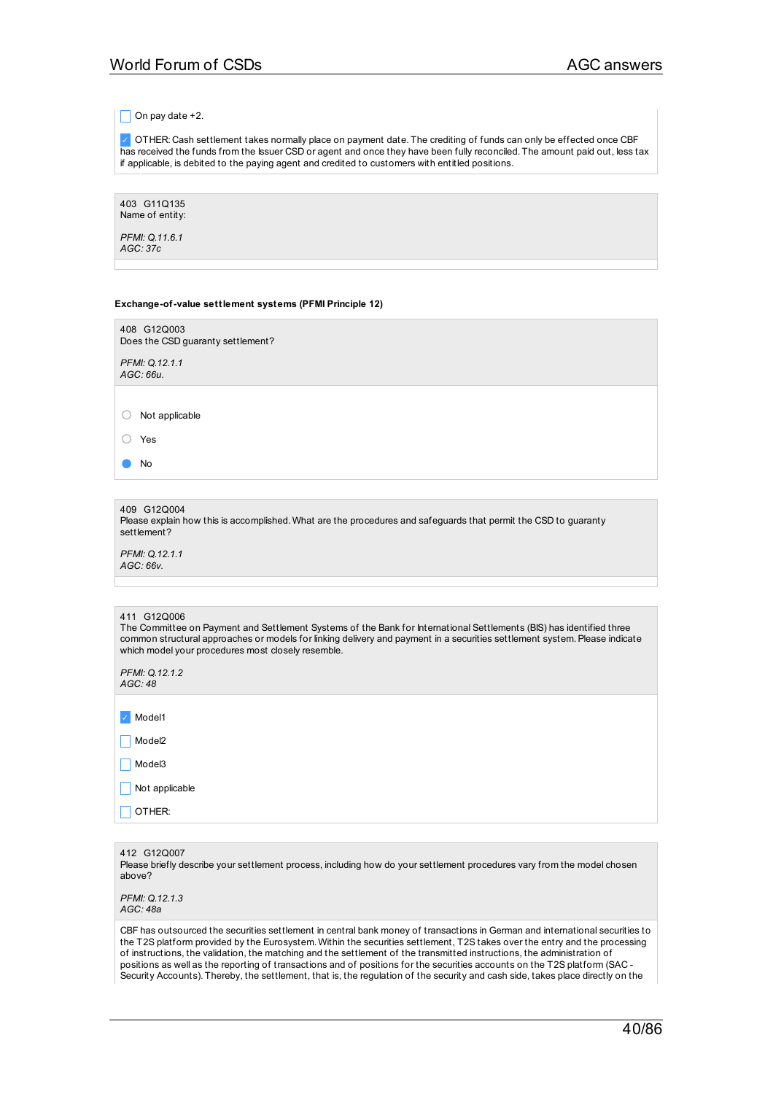$\Box$  On pay date +2.

✓ OTHER: Cash settlement takes normally place on payment date. The crediting of funds can only be effected once CBF has received the funds from the Issuer CSD or agent and once they have been fully reconciled. The amount paid out, less tax if applicable, is debited to the paying agent and credited to customers with entitled positions.

403 G11Q135 Name of entity:

*PFMI: Q.11.6.1 AGC: 37c*

#### **Exchange-of-value settlement systems (PFMI Principle 12)**

| 408 G12Q003<br>Does the CSD guaranty settlement?                                                                                                                                                                                                                                                                        |
|-------------------------------------------------------------------------------------------------------------------------------------------------------------------------------------------------------------------------------------------------------------------------------------------------------------------------|
| PFMI: Q.12.1.1<br>AGC: 66u.                                                                                                                                                                                                                                                                                             |
|                                                                                                                                                                                                                                                                                                                         |
| Not applicable                                                                                                                                                                                                                                                                                                          |
| Yes                                                                                                                                                                                                                                                                                                                     |
| No                                                                                                                                                                                                                                                                                                                      |
|                                                                                                                                                                                                                                                                                                                         |
| 409 G12Q004<br>Please explain how this is accomplished. What are the procedures and safeguards that permit the CSD to guaranty<br>settlement?                                                                                                                                                                           |
| PFMI: Q.12.1.1<br>AGC: 66v.                                                                                                                                                                                                                                                                                             |
|                                                                                                                                                                                                                                                                                                                         |
|                                                                                                                                                                                                                                                                                                                         |
| 411 G12Q006<br>The Committee on Payment and Settlement Systems of the Bank for International Settlements (BIS) has identified three<br>common structural approaches or models for linking delivery and payment in a securities settlement system. Please indicate<br>which model your procedures most closely resemble. |
| PFMI: Q.12.1.2<br>AGC:48                                                                                                                                                                                                                                                                                                |
| Model1                                                                                                                                                                                                                                                                                                                  |
| Model <sub>2</sub>                                                                                                                                                                                                                                                                                                      |
| Model <sub>3</sub>                                                                                                                                                                                                                                                                                                      |
| Not applicable                                                                                                                                                                                                                                                                                                          |
| OTHER:                                                                                                                                                                                                                                                                                                                  |
|                                                                                                                                                                                                                                                                                                                         |

412 G12Q007

Please briefly describe your settlement process, including how do your settlement procedures vary from the model chosen above?

*PFMI: Q.12.1.3 AGC: 48a*

CBF has outsourced the securities settlement in central bank money of transactions in German and international securities to the T2S platform provided by the Eurosystem. Within the securities settlement, T2S takes over the entry and the processing of instructions, the validation, the matching and the settlement of the transmitted instructions, the administration of positions as well as the reporting of transactions and of positions for the securities accounts on the T2S platform (SAC - Security Accounts). Thereby, the settlement, that is, the regulation of the security and cash side, takes place directly on the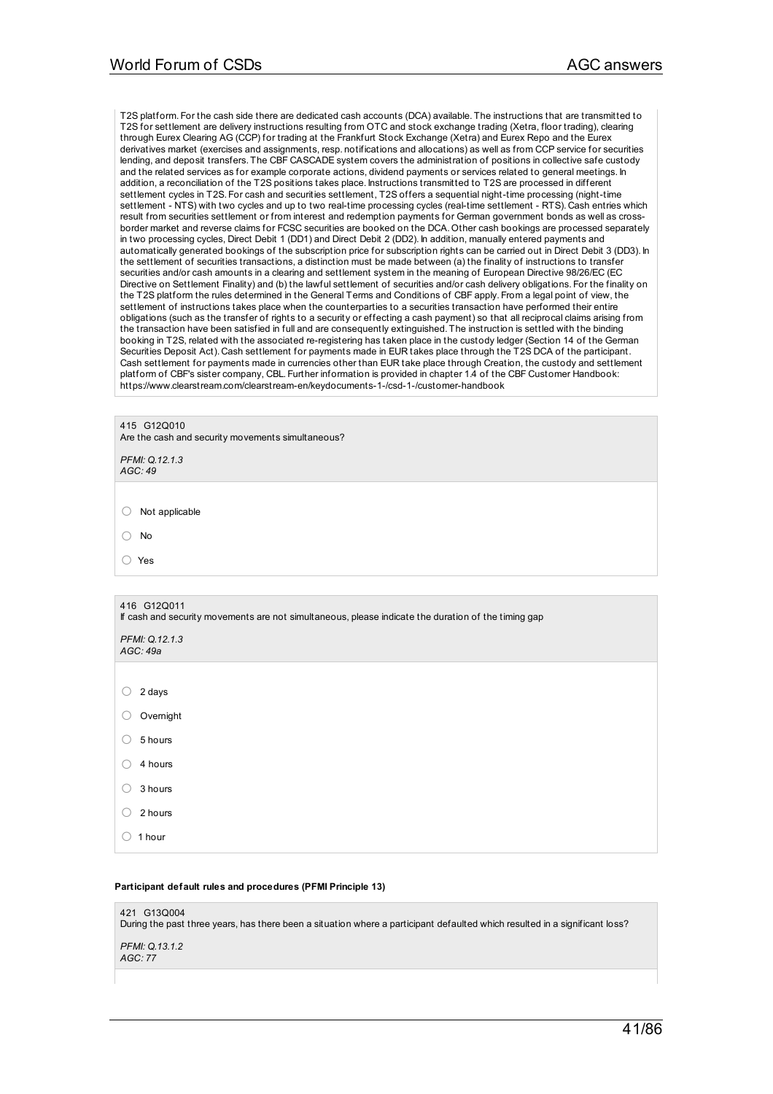T2S platform. For the cash side there are dedicated cash accounts (DCA) available. The instructions that are transmitted to T2S for settlement are delivery instructions resulting from OTC and stock exchange trading (Xetra, floor trading), clearing through Eurex Clearing AG (CCP) for trading at the Frankfurt Stock Exchange (Xetra) and Eurex Repo and the Eurex derivatives market (exercises and assignments, resp. notifications and allocations) as well as from CCP service for securities lending, and deposit transfers. The CBF CASCADE system covers the administration of positions in collective safe custody and the related services as for example corporate actions, dividend payments or services related to general meetings. In addition, a reconciliation of the T2S positions takes place. Instructions transmitted to T2S are processed in different settlement cycles in T2S. For cash and securities settlement, T2S offers a sequential night-time processing (night-time settlement - NTS) with two cycles and up to two real-time processing cycles (real-time settlement - RTS). Cash entries which result from securities settlement or from interest and redemption payments for German government bonds as well as crossborder market and reverse claims for FCSC securities are booked on the DCA. Other cash bookings are processed separately in two processing cycles, Direct Debit 1 (DD1) and Direct Debit 2 (DD2). In addition, manually entered payments and automatically generated bookings of the subscription price for subscription rights can be carried out in Direct Debit 3 (DD3). In the settlement of securities transactions, a distinction must be made between (a) the finality of instructions to transfer securities and/or cash amounts in a clearing and settlement system in the meaning of European Directive 98/26/EC (EC Directive on Settlement Finality) and (b) the lawful settlement of securities and/or cash delivery obligations. For the finality on the T2S platform the rules determined in the General Terms and Conditions of CBF apply. From a legal point of view, the settlement of instructions takes place when the counterparties to a securities transaction have performed their entire obligations (such as the transfer of rights to a security or effecting a cash payment) so that all reciprocal claims arising from the transaction have been satisfied in full and are consequently extinguished. The instruction is settled with the binding booking in T2S, related with the associated re-registering has taken place in the custody ledger (Section 14 of the German Securities Deposit Act). Cash settlement for payments made in EUR takes place through the T2S DCA of the participant. Cash settlement for payments made in currencies other than EUR take place through Creation, the custody and settlement platform of CBF's sister company, CBL. Further information is provided in chapter 1.4 of the CBF Customer Handbook: https://www.clearstream.com/clearstream-en/keydocuments-1-/csd-1-/customer-handbook

415 G12Q010 Are the cash and security movements simultaneous?

*PFMI: Q.12.1.3 AGC: 49*

○ Not applicable

○ No

○ Yes

| 416 G12Q011<br>If cash and security movements are not simultaneous, please indicate the duration of the timing gap |  |
|--------------------------------------------------------------------------------------------------------------------|--|
| PFMI: Q.12.1.3<br>AGC: 49a                                                                                         |  |
|                                                                                                                    |  |
| 2 days                                                                                                             |  |
| Overnight<br>Ο.                                                                                                    |  |
| 5 hours<br>( )                                                                                                     |  |
| 4 hours                                                                                                            |  |
| 3 hours                                                                                                            |  |
| 2 hours                                                                                                            |  |
| 1 hour                                                                                                             |  |

#### **Participant default rules and procedures (PFMI Principle 13)**

| 421 G13Q004<br>During the past three years, has there been a situation where a participant defaulted which resulted in a significant loss? |
|--------------------------------------------------------------------------------------------------------------------------------------------|
| PFMI: 0.13.1.2<br>AGC: 77                                                                                                                  |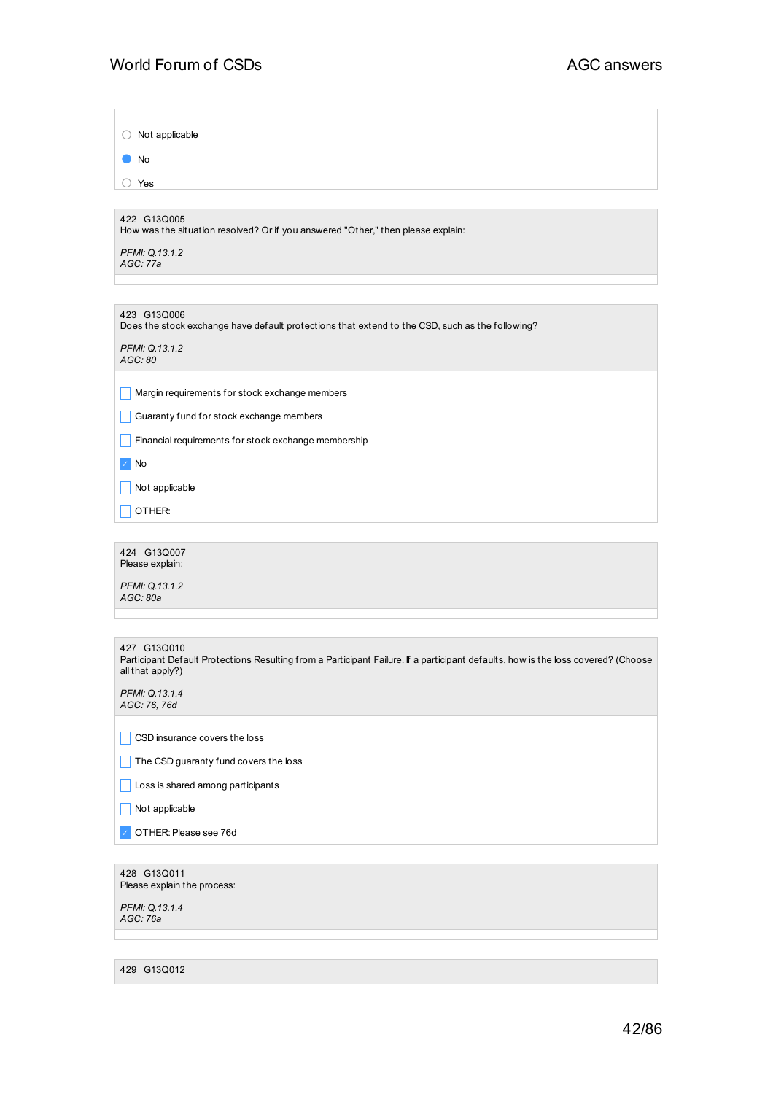○ Not applicable

● No

○ Yes

422 G13Q005

How was the situation resolved? Or if you answered "Other," then please explain:

*PFMI: Q.13.1.2 AGC: 77a*

423 G13Q006 Does the stock exchange have default protections that extend to the CSD, such as the following?

*PFMI: Q.13.1.2 AGC: 80*

 $\Box$  Margin requirements for stock exchange members

 $\Box$  Guaranty fund for stock exchange members

 $\Box$  Financial requirements for stock exchange membership

✓ No

 $\Box$  Not applicable

 $\Box$  OTHER:

424 G13Q007 Please explain:

*PFMI: Q.13.1.2 AGC: 80a*

427 G13Q010 Participant Default Protections Resulting from a Participant Failure. If a participant defaults, how is the loss covered? (Choose all that apply?)

*PFMI: Q.13.1.4 AGC: 76, 76d*

 $\Box$  CSD insurance covers the loss

 $\Box$  The CSD guaranty fund covers the loss

Loss is shared among participants

 $\Box$  Not applicable

✓ OTHER:Please see 76d

428 G13Q011 Please explain the process:

*PFMI: Q.13.1.4 AGC: 76a*

429 G13Q012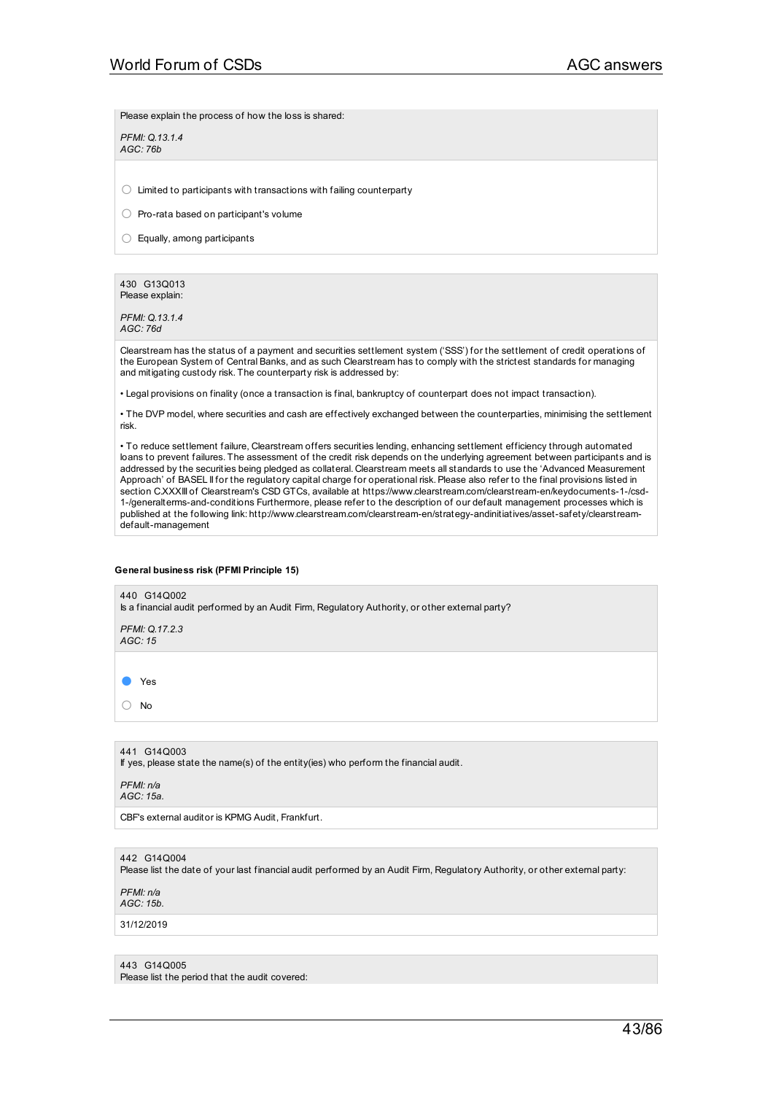Please explain the process of how the loss is shared:

*PFMI: Q.13.1.4 AGC: 76b*

 $\bigcirc$  Limited to participants with transactions with failing counterparty

○ Pro-rata based on participant's volume

○ Equally, among participants

430 G13Q013 Please explain:

*PFMI: Q.13.1.4 AGC: 76d*

Clearstream has the status of a payment and securities settlement system ('SSS') for the settlement of credit operations of the European System of Central Banks, and as such Clearstream has to comply with the strictest standards for managing and mitigating custody risk. The counterparty risk is addressed by:

• Legal provisions on finality (once a transaction is final, bankruptcy of counterpart does not impact transaction).

• The DVP model, where securities and cash are effectively exchanged between the counterparties, minimising the settlement risk.

• To reduce settlement failure, Clearstream offers securities lending, enhancing settlement efficiency through automated loans to prevent failures. The assessment of the credit risk depends on the underlying agreement between participants and is addressed by the securities being pledged as collateral. Clearstream meets all standards to use the 'Advanced Measurement Approach' of BASEL II for the regulatory capital charge for operational risk. Please also refer to the final provisions listed in section C.XXXIII of Clearstream's CSD GTCs, available at https://www.clearstream.com/clearstream-en/keydocuments-1-/csd-1-/generalterms-and-conditions Furthermore, please refer to the description of our default management processes which is published at the following link: http://www.clearstream.com/clearstream-en/strategy-andinitiatives/asset-safety/clearstreamdefault-management

#### **General business risk (PFMI Principle 15)**

440 G14Q002 Is a financial audit performed by an Audit Firm, Regulatory Authority, or other external party? *PFMI: Q.17.2.3 AGC: 15* ● Yes ○ No

441 G14Q003

If yes, please state the name(s) of the entity(ies) who perform the financial audit.

*PFMI: n/a AGC: 15a.*

CBF's external auditor is KPMG Audit, Frankfurt.

442 G14Q004

Please list the date of your last financial audit performed by an Audit Firm, Regulatory Authority, or other external party:

*PFMI: n/a AGC: 15b.*

31/12/2019

### 443 G14Q005

Please list the period that the audit covered: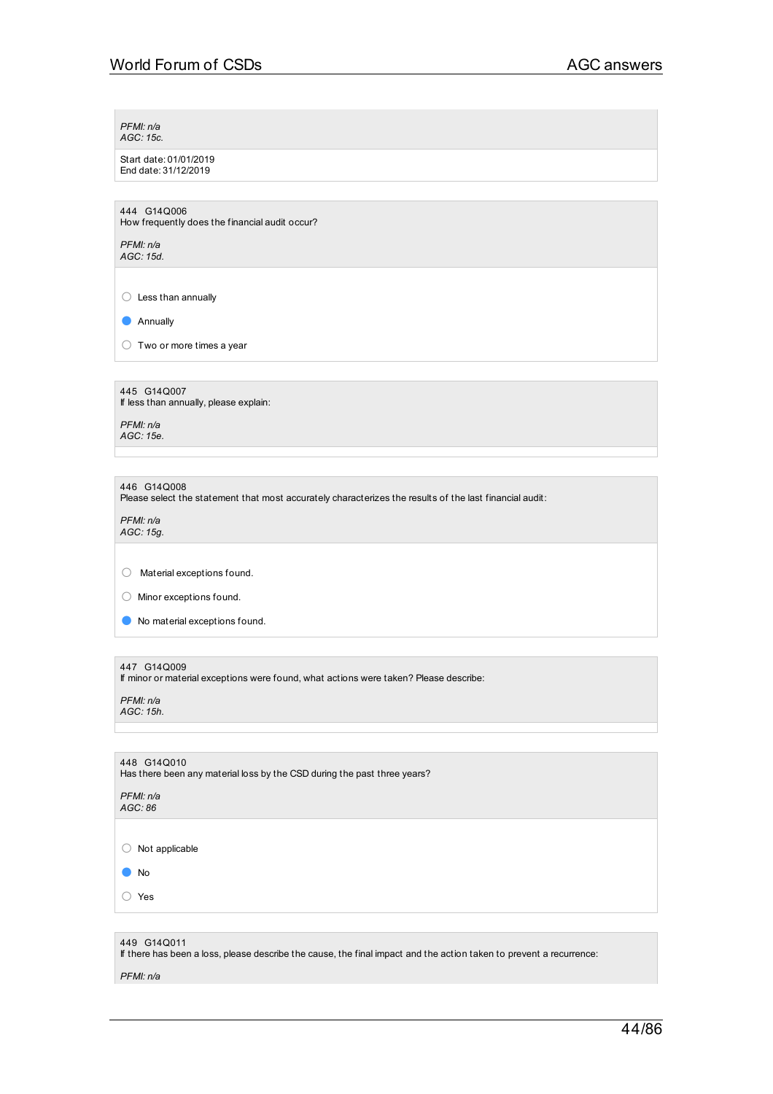*PFMI: n/a AGC: 15c.*

Start date: 01/01/2019 End date: 31/12/2019

444 G14Q006 How frequently does the financial audit occur?

*PFMI: n/a AGC: 15d.*

 $\bigcirc$  Less than annually

● Annually

 $\bigcirc$  Two or more times a year

445 G14Q007 If less than annually, please explain:

*PFMI: n/a AGC: 15e.*

446 G14Q008

Please select the statement that most accurately characterizes the results of the last financial audit:

*PFMI: n/a AGC: 15g.*

 $\bigcirc$  Material exceptions found.

○ Minor exceptions found.

● No material exceptions found.

### 447 G14Q009

If minor or material exceptions were found, what actions were taken? Please describe:

*PFMI: n/a AGC: 15h.*

| 448 G14Q010<br>Has there been any material loss by the CSD during the past three years?                                            |
|------------------------------------------------------------------------------------------------------------------------------------|
| PFMI: n/a<br>AGC:86                                                                                                                |
|                                                                                                                                    |
| Not applicable                                                                                                                     |
| <b>No</b>                                                                                                                          |
| Yes                                                                                                                                |
|                                                                                                                                    |
| 449 G14Q011<br>If there has been a loss, please describe the cause, the final impact and the action taken to prevent a recurrence: |

*PFMI: n/a*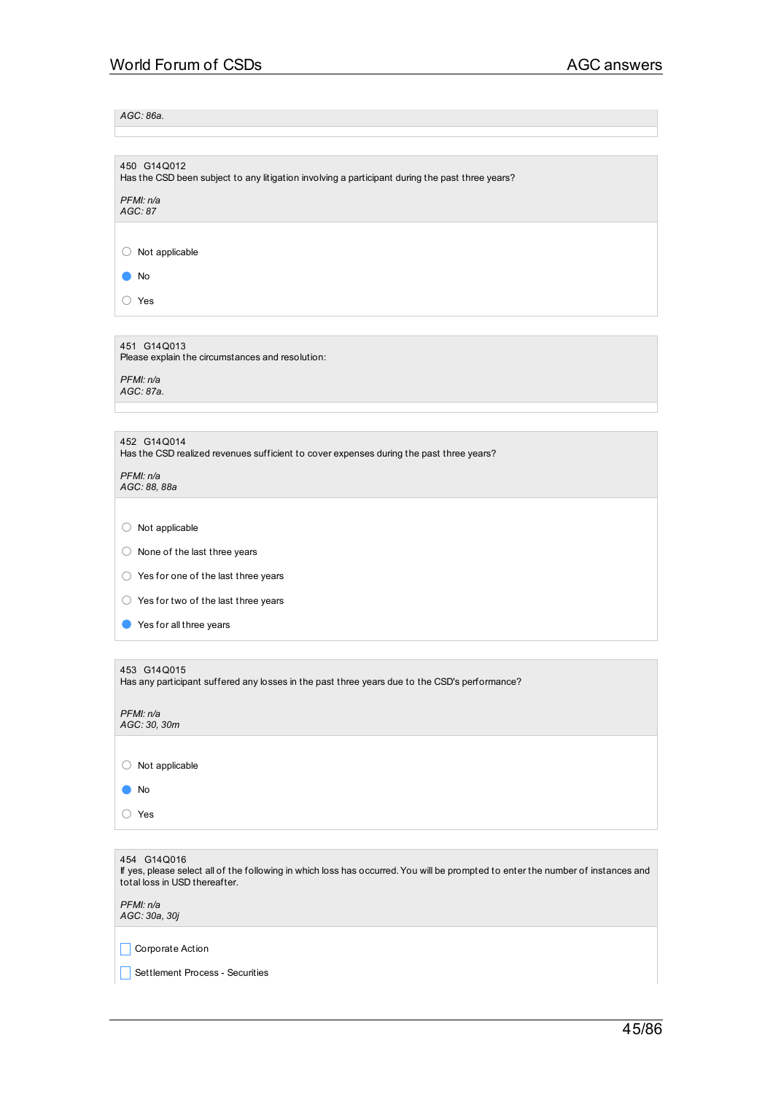*AGC: 86a.*

| 450 G14Q012<br>Has the CSD been subject to any litigation involving a participant during the past three years?                                                                   |
|----------------------------------------------------------------------------------------------------------------------------------------------------------------------------------|
| PFMI: n/a<br>AGC: 87                                                                                                                                                             |
|                                                                                                                                                                                  |
| Not applicable<br>Ő                                                                                                                                                              |
| No                                                                                                                                                                               |
| ○ Yes                                                                                                                                                                            |
|                                                                                                                                                                                  |
| 451 G14Q013<br>Please explain the circumstances and resolution:                                                                                                                  |
| PFMI: n/a<br>AGC: 87a.                                                                                                                                                           |
|                                                                                                                                                                                  |
| 452 G14Q014<br>Has the CSD realized revenues sufficient to cover expenses during the past three years?                                                                           |
| PFMI: n/a<br>AGC: 88, 88a                                                                                                                                                        |
|                                                                                                                                                                                  |
| $\bigcirc$ Not applicable                                                                                                                                                        |
| $\bigcirc$ None of the last three years                                                                                                                                          |
| $\bigcirc$ Yes for one of the last three years                                                                                                                                   |
| $\bigcirc$ Yes for two of the last three years                                                                                                                                   |
| Yes for all three years                                                                                                                                                          |
|                                                                                                                                                                                  |
| 453 G14Q015<br>Has any participant suffered any losses in the past three years due to the CSD's performance?                                                                     |
| PFMI: n/a<br>AGC: 30, 30m                                                                                                                                                        |
|                                                                                                                                                                                  |
| Not applicable<br>$\left(\right)$                                                                                                                                                |
| No                                                                                                                                                                               |
| ○ Yes                                                                                                                                                                            |
|                                                                                                                                                                                  |
| 454 G14Q016<br>If yes, please select all of the following in which loss has occurred. You will be prompted to enter the number of instances and<br>total loss in USD thereafter. |
| PFMI: n/a<br>AGC: 30a, 30j                                                                                                                                                       |

Corporate Action

**Settlement Process - Securities**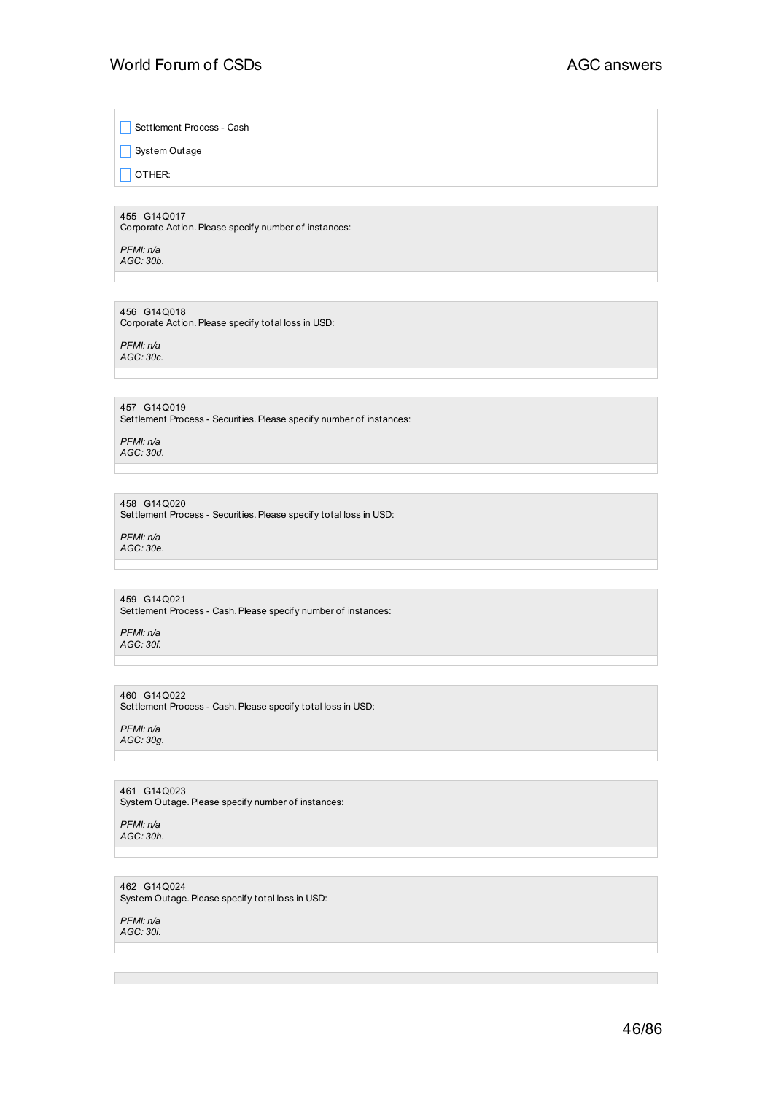Settlement Process - Cash

System Outage

 $\Box$  OTHER:

455 G14Q017 Corporate Action.Please specify number of instances:

*PFMI: n/a AGC: 30b.*

456 G14Q018 Corporate Action. Please specify total loss in USD:

*PFMI: n/a AGC: 30c.*

457 G14Q019 Settlement Process - Securities. Please specify number of instances:

*PFMI: n/a AGC: 30d.*

458 G14Q020 Settlement Process - Securities. Please specify total loss in USD:

*PFMI: n/a AGC: 30e.*

459 G14Q021 Settlement Process - Cash. Please specify number of instances:

*PFMI: n/a AGC: 30f.*

460 G14Q022 Settlement Process - Cash. Please specify total loss in USD:

*PFMI: n/a AGC: 30g.*

461 G14Q023 System Outage. Please specify number of instances:

*PFMI: n/a AGC: 30h.*

462 G14Q024 System Outage.Please specify total loss in USD:

*PFMI: n/a AGC: 30i.*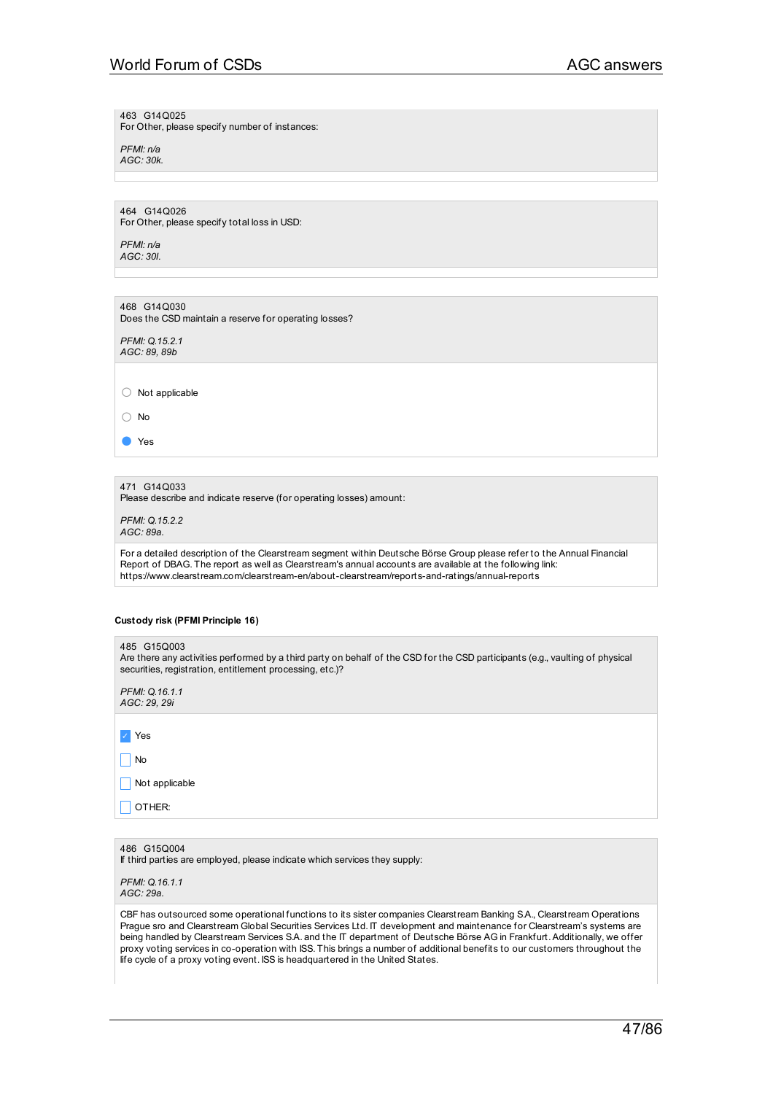# World Forum of CSDs AGC answers

463 G14Q025

For Other, please specify number of instances:

*PFMI: n/a AGC: 30k.*

464 G14Q026 For Other, please specify total loss in USD:

*PFMI: n/a AGC: 30l.*

468 G14Q030 Does the CSD maintain a reserve for operating losses?

*PFMI: Q.15.2.1 AGC: 89, 89b*

○ Not applicable

○ No

● Yes

471 G14Q033

Please describe and indicate reserve (for operating losses) amount:

*PFMI: Q.15.2.2 AGC: 89a.*

For a detailed description of the Clearstream segment within Deutsche Börse Group please refer to the Annual Financial Report of DBAG. The report as well as Clearstream's annual accounts are available at the following link: https://www.clearstream.com/clearstream-en/about-clearstream/reports-and-ratings/annual-reports

### **Custody risk (PFMI Principle 16)**

| 485 G15Q003<br>Are there any activities performed by a third party on behalf of the CSD for the CSD participants (e.g., vaulting of physical<br>securities, registration, entitlement processing, etc.)? |
|----------------------------------------------------------------------------------------------------------------------------------------------------------------------------------------------------------|
| PFMI: Q.16.1.1<br>AGC: 29, 29i                                                                                                                                                                           |
|                                                                                                                                                                                                          |
| Yes                                                                                                                                                                                                      |
| No                                                                                                                                                                                                       |
| Not applicable                                                                                                                                                                                           |
| OTHER:                                                                                                                                                                                                   |
|                                                                                                                                                                                                          |
| 486 G15Q004<br>If third parties are employed, please indicate which services they supply:                                                                                                                |

*PFMI: Q.16.1.1 AGC: 29a.*

CBF has outsourced some operational functions to its sister companies Clearstream Banking S.A., Clearstream Operations Prague sro and Clearstream Global Securities Services Ltd. IT development and maintenance for Clearstream's systems are being handled by Clearstream Services S.A. and the IT department of Deutsche Börse AG in Frankfurt. Additionally, we offer proxy voting services in co-operation with ISS. This brings a number of additional benefits to our customers throughout the life cycle of a proxy voting event. ISS is headquartered in the United States.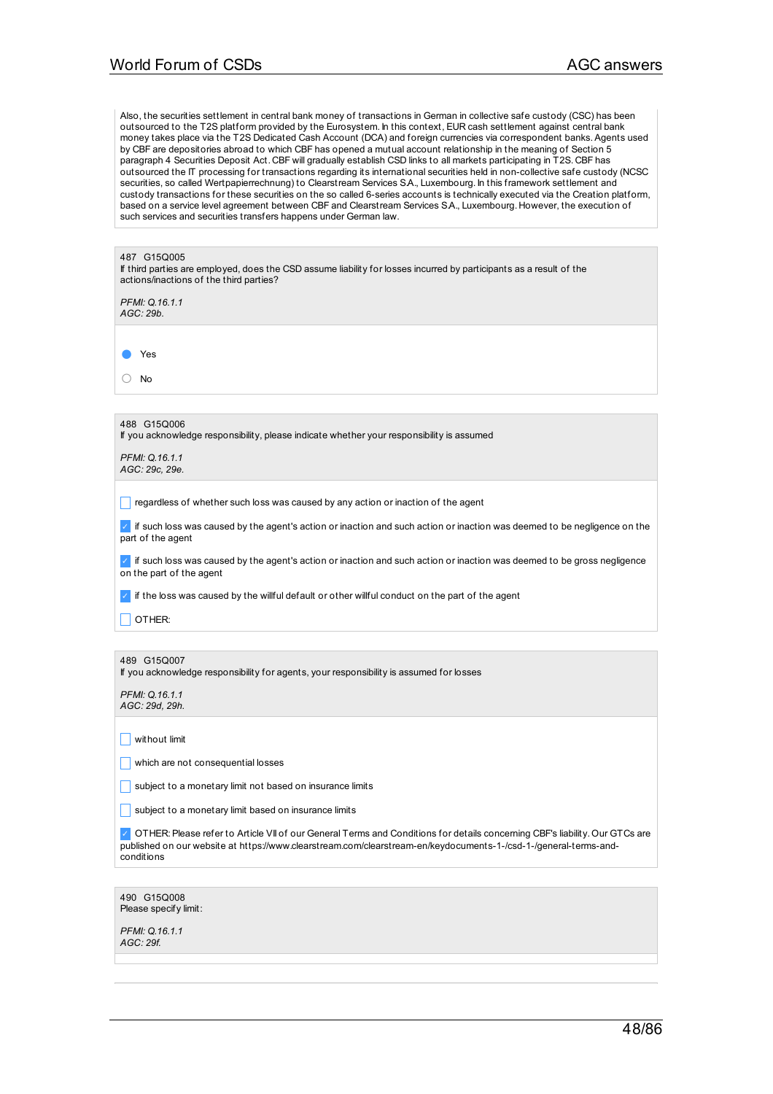Also, the securities settlement in central bank money of transactions in German in collective safe custody (CSC) has been outsourced to the T2S platform provided by the Eurosystem. In this context, EUR cash settlement against central bank money takes place via the T2S Dedicated Cash Account (DCA) and foreign currencies via correspondent banks.Agents used by CBF are depositories abroad to which CBF has opened a mutual account relationship in the meaning of Section 5 paragraph 4 Securities Deposit Act. CBF will gradually establish CSD links to all markets participating in T2S. CBF has outsourced the IT processing for transactions regarding its international securities held in non-collective safe custody (NCSC securities, so called Wertpapierrechnung) to Clearstream Services S.A., Luxembourg. In this framework settlement and custody transactions for these securities on the so called 6-series accounts is technically executed via the Creation platform, based on a service level agreement between CBF and Clearstream Services S.A., Luxembourg. However, the execution of such services and securities transfers happens under German law.

| 487 G15Q005                                                                                                                                                    |
|----------------------------------------------------------------------------------------------------------------------------------------------------------------|
| If third parties are employed, does the CSD assume liability for losses incurred by participants as a result of the<br>actions/inactions of the third parties? |
| PFMI: Q.16.1.1<br>AGC: 29b.                                                                                                                                    |
|                                                                                                                                                                |
| Yes                                                                                                                                                            |
| No                                                                                                                                                             |
|                                                                                                                                                                |
| 488 G15Q006<br>If you acknowledge responsibility, please indicate whether your responsibility is assumed                                                       |
| PFMI: Q.16.1.1<br>AGC: 29c, 29e.                                                                                                                               |
|                                                                                                                                                                |
| regardless of whether such loss was caused by any action or inaction of the agent                                                                              |
| if such loss was caused by the agent's action or inaction and such action or inaction was deemed to be negligence on the<br>part of the agent                  |
| if such loss was caused by the agent's action or inaction and such action or inaction was deemed to be gross negligence<br>on the part of the agent            |
| if the loss was caused by the willful default or other willful conduct on the part of the agent                                                                |
| OTHER:                                                                                                                                                         |
|                                                                                                                                                                |
| 489 G15Q007<br>If you acknowledge responsibility for agents, your responsibility is assumed for losses                                                         |
| PFMI: Q.16.1.1                                                                                                                                                 |

 $\Box$  without limit

 $\Box$  which are not consequential losses

**Subject to a monetary limit not based on insurance limits** 

 $\Box$  subject to a monetary limit based on insurance limits

✓ OTHER:Please refer to Article VII of our General Terms and Conditions for details concerning CBF's liability. Our GTCs are published on our website at https://www.clearstream.com/clearstream-en/keydocuments-1-/csd-1-/general-terms-andconditions

490 G15Q008 Please specify limit:

*PFMI: Q.16.1.1 AGC: 29f.*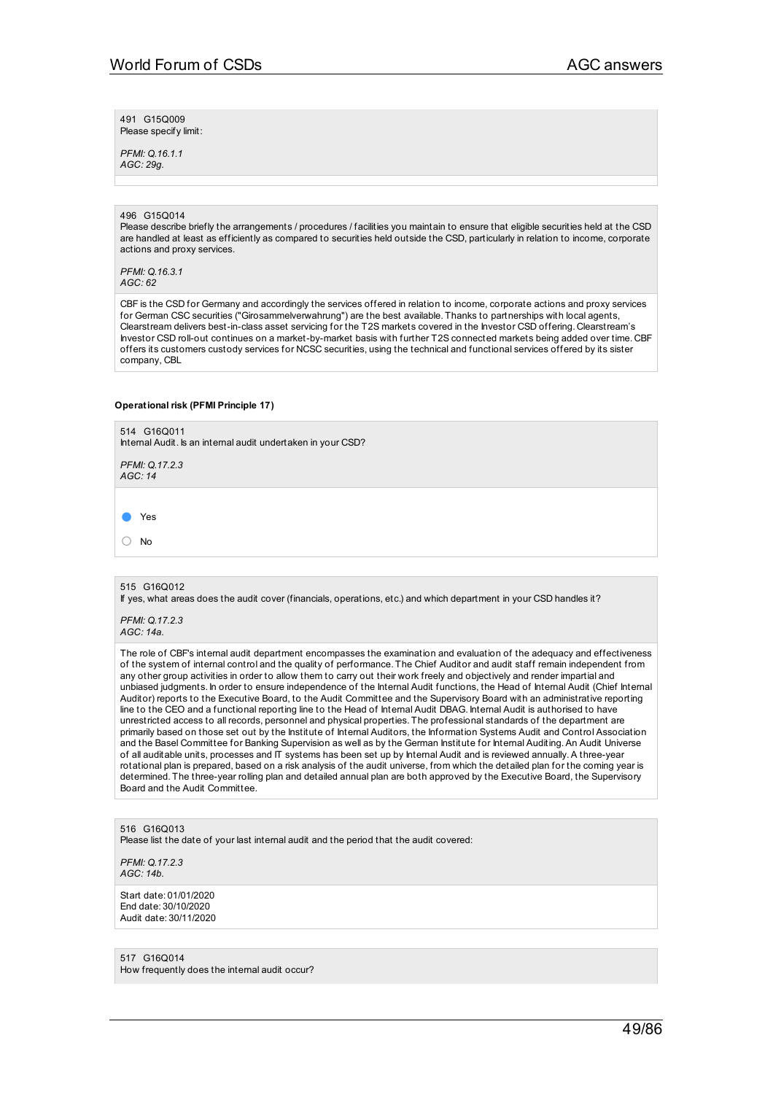491 G15Q009 Please specify limit:

*PFMI: Q.16.1.1 AGC: 29g.*

### 496 G15Q014

Please describe briefly the arrangements / procedures / facilities you maintain to ensure that eligible securities held at the CSD are handled at least as efficiently as compared to securities held outside the CSD, particularly in relation to income, corporate actions and proxy services.

*PFMI: Q.16.3.1 AGC: 62*

CBF is the CSD for Germany and accordingly the services offered in relation to income, corporate actions and proxy services for German CSC securities ("Girosammelverwahrung") are the best available. Thanks to partnerships with local agents, Clearstream delivers best-in-class asset servicing for the T2S markets covered in the Investor CSD offering. Clearstream's Investor CSD roll-out continues on a market-by-market basis with further T2S connected markets being added over time. CBF offers its customers custody services for NCSC securities, using the technical and functional services offered by its sister company, CBL

#### **Operational risk (PFMI Principle 17)**

514 G16Q011 Internal Audit. Is an internal audit undertaken in your CSD? *PFMI: Q.17.2.3 AGC: 14* ● Yes ○ No 515 G16Q012 If yes, what areas does the audit cover (financials, operations, etc.) and which department in your CSD handles it? *PFMI: Q.17.2.3 AGC: 14a.* The role of CBF's internal audit department encompasses the examination and evaluation of the adequacy and effectiveness

of the system of internal control and the quality of performance. The Chief Auditor and audit staff remain independent from any other group activities in order to allow them to carry out their work freely and objectively and render impartial and unbiased judgments. In order to ensure independence of the Internal Audit functions, the Head of Internal Audit (Chief Internal Auditor) reports to the Executive Board, to the Audit Committee and the Supervisory Board with an administrative reporting line to the CEO and a functional reporting line to the Head of Internal Audit DBAG. Internal Audit is authorised to have unrestricted access to all records, personnel and physical properties. The professional standards of the department are primarily based on those set out by the Institute of Internal Auditors, the Information Systems Audit and Control Association and the Basel Committee for Banking Supervision as well as by the German Institute for Internal Auditing. An Audit Universe of all auditable units, processes and IT systems has been set up by Internal Audit and is reviewed annually.A three-year rotational plan is prepared, based on a risk analysis of the audit universe, from which the detailed plan for the coming year is determined. The three-year rolling plan and detailed annual plan are both approved by the Executive Board, the Supervisory Board and the Audit Committee.

516 G16Q013 Please list the date of your last internal audit and the period that the audit covered:

*PFMI: Q.17.2.3 AGC: 14b.*

Start date: 01/01/2020 End date: 30/10/2020 Audit date: 30/11/2020

517 G16Q014 How frequently does the internal audit occur?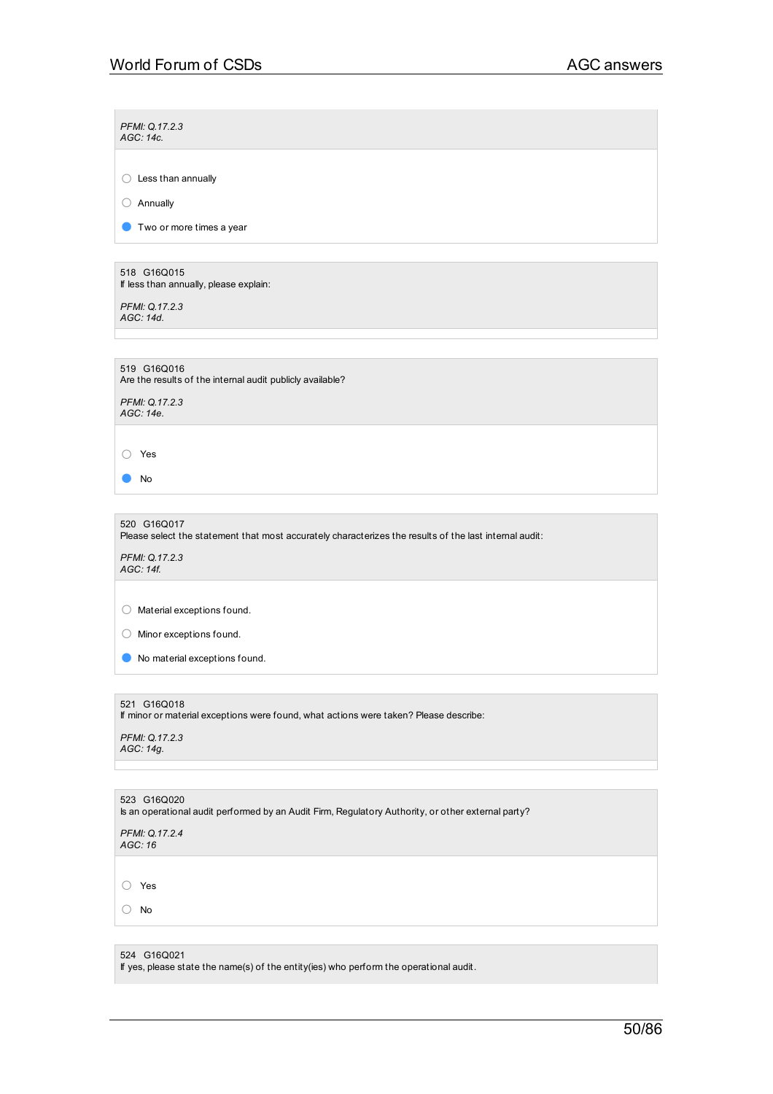$\sim$ 

÷.

| PFMI: Q.17.2.3<br>AGC: 14c.                                                                                           |
|-----------------------------------------------------------------------------------------------------------------------|
| $\bigcirc$ Less than annually                                                                                         |
|                                                                                                                       |
| Annually<br>O                                                                                                         |
| Two or more times a year                                                                                              |
| 518 G16Q015                                                                                                           |
| If less than annually, please explain:                                                                                |
| PFMI: Q.17.2.3<br>AGC: 14d.                                                                                           |
|                                                                                                                       |
| 519 G16Q016<br>Are the results of the internal audit publicly available?                                              |
| PFMI: Q.17.2.3<br>AGC: 14e.                                                                                           |
| ◯ Yes                                                                                                                 |
| No                                                                                                                    |
|                                                                                                                       |
| 520 G16Q017<br>Please select the statement that most accurately characterizes the results of the last internal audit: |
| PFMI: Q.17.2.3<br>AGC: 14f.                                                                                           |
|                                                                                                                       |
| $\bigcirc$ Material exceptions found.                                                                                 |
| $\bigcirc$ Minor exceptions found.                                                                                    |
| No material exceptions found.                                                                                         |
|                                                                                                                       |
| 521 G16Q018<br>If minor or material exceptions were found, what actions were taken? Please describe:                  |
| PFMI: Q.17.2.3<br>AGC: 14g.                                                                                           |
|                                                                                                                       |
| 523 G16Q020<br>Is an operational audit performed by an Audit Firm, Regulatory Authority, or other external party?     |
| PFMI: Q.17.2.4<br>AGC: 16                                                                                             |
|                                                                                                                       |
| Yes<br>$\left(\right)$                                                                                                |
| No<br>$\left( \ \right)$                                                                                              |
|                                                                                                                       |
| 524 G16Q021                                                                                                           |

If yes, please state the name(s) of the entity(ies) who perform the operational audit.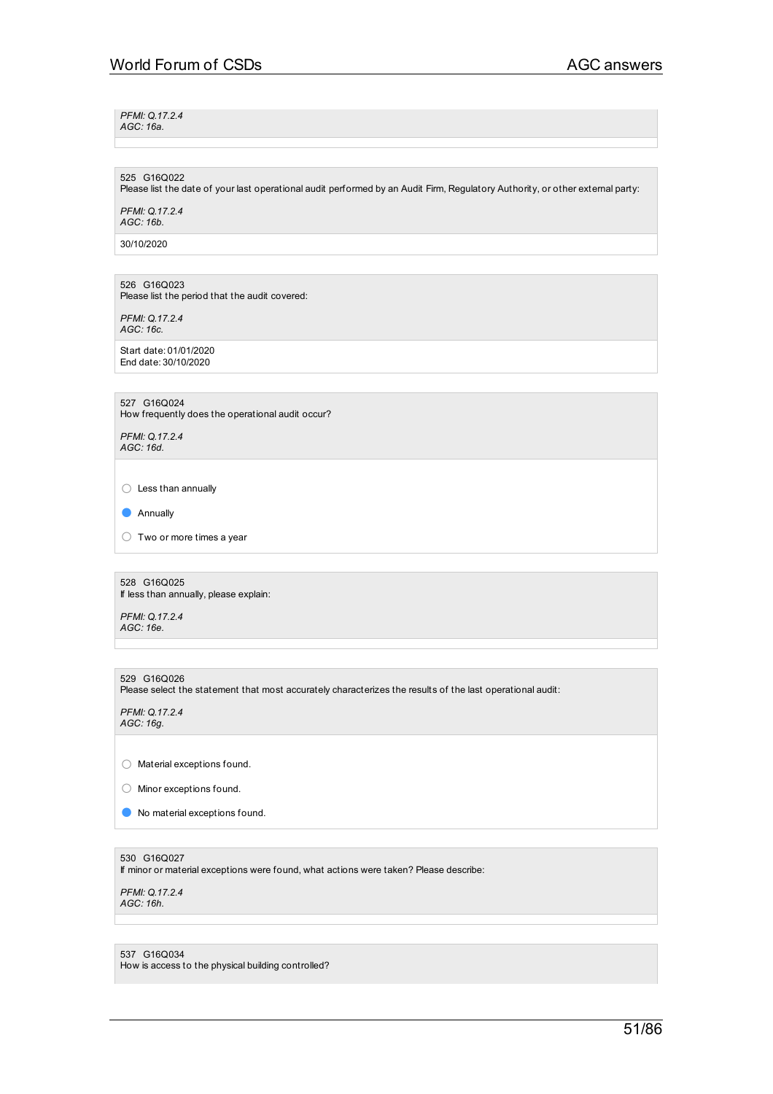*PFMI: Q.17.2.4 AGC: 16a.*

525 G16Q022 Please list the date of your last operational audit performed by an Audit Firm, Regulatory Authority, or other external party:

*PFMI: Q.17.2.4 AGC: 16b.*

30/10/2020

526 G16Q023 Please list the period that the audit covered:

*PFMI: Q.17.2.4 AGC: 16c.*

Start date: 01/01/2020 End date: 30/10/2020

527 G16Q024

How frequently does the operational audit occur?

*PFMI: Q.17.2.4 AGC: 16d.*

○ Less than annually

● Annually

○ Two or more times <sup>a</sup> year

528 G16Q025 If less than annually, please explain:

*PFMI: Q.17.2.4 AGC: 16e.*

529 G16Q026 Please select the statement that most accurately characterizes the results of the last operational audit:

*PFMI: Q.17.2.4 AGC: 16g.*

○ Material exceptions found.

○ Minor exceptions found.

● No material exceptions found.

530 G16Q027

If minor or material exceptions were found, what actions were taken? Please describe:

*PFMI: Q.17.2.4 AGC: 16h.*

537 G16Q034 How is access to the physical building controlled?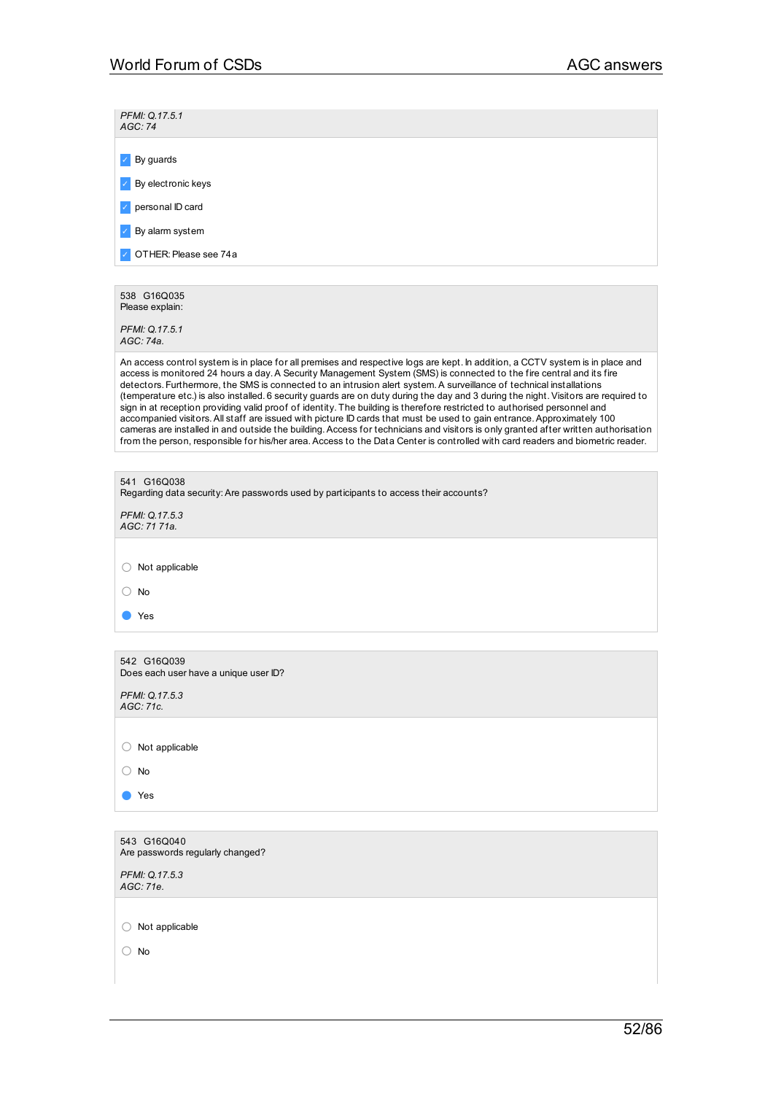| PFMI: Q.17.5.1<br>AGC:74                                                                                                                                                                                                                                                                                                                                                                                                                                                                                                                                                                                                                                                                                                                                                                                                                                                                                                                                                                                                                            |
|-----------------------------------------------------------------------------------------------------------------------------------------------------------------------------------------------------------------------------------------------------------------------------------------------------------------------------------------------------------------------------------------------------------------------------------------------------------------------------------------------------------------------------------------------------------------------------------------------------------------------------------------------------------------------------------------------------------------------------------------------------------------------------------------------------------------------------------------------------------------------------------------------------------------------------------------------------------------------------------------------------------------------------------------------------|
| By guards                                                                                                                                                                                                                                                                                                                                                                                                                                                                                                                                                                                                                                                                                                                                                                                                                                                                                                                                                                                                                                           |
| By electronic keys                                                                                                                                                                                                                                                                                                                                                                                                                                                                                                                                                                                                                                                                                                                                                                                                                                                                                                                                                                                                                                  |
| personal ID card                                                                                                                                                                                                                                                                                                                                                                                                                                                                                                                                                                                                                                                                                                                                                                                                                                                                                                                                                                                                                                    |
| By alarm system                                                                                                                                                                                                                                                                                                                                                                                                                                                                                                                                                                                                                                                                                                                                                                                                                                                                                                                                                                                                                                     |
| OTHER: Please see 74a                                                                                                                                                                                                                                                                                                                                                                                                                                                                                                                                                                                                                                                                                                                                                                                                                                                                                                                                                                                                                               |
|                                                                                                                                                                                                                                                                                                                                                                                                                                                                                                                                                                                                                                                                                                                                                                                                                                                                                                                                                                                                                                                     |
| 538 G16Q035<br>Please explain:                                                                                                                                                                                                                                                                                                                                                                                                                                                                                                                                                                                                                                                                                                                                                                                                                                                                                                                                                                                                                      |
| PFMI: Q.17.5.1<br>AGC: 74a.                                                                                                                                                                                                                                                                                                                                                                                                                                                                                                                                                                                                                                                                                                                                                                                                                                                                                                                                                                                                                         |
| An access control system is in place for all premises and respective logs are kept. In addition, a CCTV system is in place and<br>access is monitored 24 hours a day. A Security Management System (SMS) is connected to the fire central and its fire<br>detectors. Furthermore, the SMS is connected to an intrusion alert system. A surveillance of technical installations<br>(temperature etc.) is also installed. 6 security guards are on duty during the day and 3 during the night. Visitors are required to<br>sign in at reception providing valid proof of identity. The building is therefore restricted to authorised personnel and<br>accompanied visitors. All staff are issued with picture ID cards that must be used to gain entrance. Approximately 100<br>cameras are installed in and outside the building. Access for technicians and visitors is only granted after written authorisation<br>from the person, responsible for his/her area. Access to the Data Center is controlled with card readers and biometric reader. |
|                                                                                                                                                                                                                                                                                                                                                                                                                                                                                                                                                                                                                                                                                                                                                                                                                                                                                                                                                                                                                                                     |
| 541 G16Q038<br>Regarding data security: Are passwords used by participants to access their accounts?                                                                                                                                                                                                                                                                                                                                                                                                                                                                                                                                                                                                                                                                                                                                                                                                                                                                                                                                                |
| PFMI: Q.17.5.3<br>AGC: 71 71a.                                                                                                                                                                                                                                                                                                                                                                                                                                                                                                                                                                                                                                                                                                                                                                                                                                                                                                                                                                                                                      |
| Not applicable<br>$\left(\begin{array}{c} \end{array}\right)$                                                                                                                                                                                                                                                                                                                                                                                                                                                                                                                                                                                                                                                                                                                                                                                                                                                                                                                                                                                       |
| $\bigcirc$ No                                                                                                                                                                                                                                                                                                                                                                                                                                                                                                                                                                                                                                                                                                                                                                                                                                                                                                                                                                                                                                       |
| Yes                                                                                                                                                                                                                                                                                                                                                                                                                                                                                                                                                                                                                                                                                                                                                                                                                                                                                                                                                                                                                                                 |
|                                                                                                                                                                                                                                                                                                                                                                                                                                                                                                                                                                                                                                                                                                                                                                                                                                                                                                                                                                                                                                                     |
| 542 G16Q039<br>Does each user have a unique user ID?                                                                                                                                                                                                                                                                                                                                                                                                                                                                                                                                                                                                                                                                                                                                                                                                                                                                                                                                                                                                |
| PFMI: Q.17.5.3<br>AGC: 71c.                                                                                                                                                                                                                                                                                                                                                                                                                                                                                                                                                                                                                                                                                                                                                                                                                                                                                                                                                                                                                         |
|                                                                                                                                                                                                                                                                                                                                                                                                                                                                                                                                                                                                                                                                                                                                                                                                                                                                                                                                                                                                                                                     |
| Not applicable<br>$\left(\right)$                                                                                                                                                                                                                                                                                                                                                                                                                                                                                                                                                                                                                                                                                                                                                                                                                                                                                                                                                                                                                   |
| $\bigcirc$ No                                                                                                                                                                                                                                                                                                                                                                                                                                                                                                                                                                                                                                                                                                                                                                                                                                                                                                                                                                                                                                       |
| Yes                                                                                                                                                                                                                                                                                                                                                                                                                                                                                                                                                                                                                                                                                                                                                                                                                                                                                                                                                                                                                                                 |
|                                                                                                                                                                                                                                                                                                                                                                                                                                                                                                                                                                                                                                                                                                                                                                                                                                                                                                                                                                                                                                                     |
| 543 G16Q040<br>Are passwords regularly changed?                                                                                                                                                                                                                                                                                                                                                                                                                                                                                                                                                                                                                                                                                                                                                                                                                                                                                                                                                                                                     |
| PFMI: Q.17.5.3<br>AGC: 71e.                                                                                                                                                                                                                                                                                                                                                                                                                                                                                                                                                                                                                                                                                                                                                                                                                                                                                                                                                                                                                         |
|                                                                                                                                                                                                                                                                                                                                                                                                                                                                                                                                                                                                                                                                                                                                                                                                                                                                                                                                                                                                                                                     |
| Not applicable<br>O                                                                                                                                                                                                                                                                                                                                                                                                                                                                                                                                                                                                                                                                                                                                                                                                                                                                                                                                                                                                                                 |
| No<br>( )                                                                                                                                                                                                                                                                                                                                                                                                                                                                                                                                                                                                                                                                                                                                                                                                                                                                                                                                                                                                                                           |
|                                                                                                                                                                                                                                                                                                                                                                                                                                                                                                                                                                                                                                                                                                                                                                                                                                                                                                                                                                                                                                                     |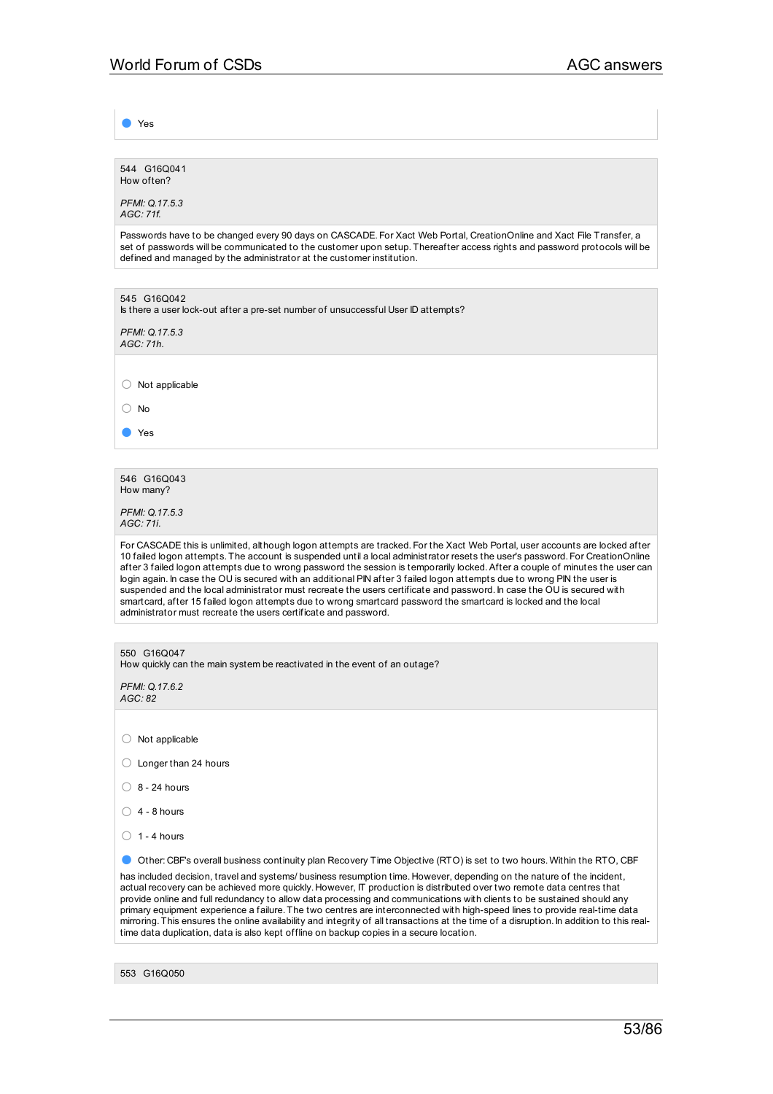● Yes

544 G16Q041 How often?

*PFMI: Q.17.5.3 AGC: 71f.*

Passwords have to be changed every 90 days on CASCADE. For Xact Web Portal, CreationOnline and Xact File Transfer, a set of passwords will be communicated to the customer upon setup. Thereafter access rights and password protocols will be defined and managed by the administrator at the customer institution.

545 G16Q042 Is there a user lock-out after a pre-set number of unsuccessful User ID attempts?

*PFMI: Q.17.5.3 AGC: 71h.*

○ Not applicable

○ No

● Yes

546 G16Q043 How many?

*PFMI: Q.17.5.3 AGC: 71i.*

For CASCADE this is unlimited, although logon attempts are tracked. For the Xact Web Portal, user accounts are locked after 10 failed logon attempts. The account is suspended until a local administrator resets the user's password. For CreationOnline after 3 failed logon attempts due to wrong password the session is temporarily locked.After a couple of minutes the user can login again. In case the OU is secured with an additional PIN after 3 failed logon attempts due to wrong PIN the user is suspended and the local administrator must recreate the users certificate and password. In case the OU is secured with smartcard, after 15 failed logon attempts due to wrong smartcard password the smartcard is locked and the local administrator must recreate the users certificate and password.

| 550 G16Q047<br>How quickly can the main system be reactivated in the event of an outage?                                                                                                                                                                                                                                                                                                                                                                                                                                                                                                                                                                                                                                                      |
|-----------------------------------------------------------------------------------------------------------------------------------------------------------------------------------------------------------------------------------------------------------------------------------------------------------------------------------------------------------------------------------------------------------------------------------------------------------------------------------------------------------------------------------------------------------------------------------------------------------------------------------------------------------------------------------------------------------------------------------------------|
| PFMI: Q.17.6.2<br>AGC: 82                                                                                                                                                                                                                                                                                                                                                                                                                                                                                                                                                                                                                                                                                                                     |
|                                                                                                                                                                                                                                                                                                                                                                                                                                                                                                                                                                                                                                                                                                                                               |
| Not applicable                                                                                                                                                                                                                                                                                                                                                                                                                                                                                                                                                                                                                                                                                                                                |
| Longer than 24 hours                                                                                                                                                                                                                                                                                                                                                                                                                                                                                                                                                                                                                                                                                                                          |
| $8 - 24$ hours                                                                                                                                                                                                                                                                                                                                                                                                                                                                                                                                                                                                                                                                                                                                |
| $4 - 8$ hours                                                                                                                                                                                                                                                                                                                                                                                                                                                                                                                                                                                                                                                                                                                                 |
| $1 - 4$ hours                                                                                                                                                                                                                                                                                                                                                                                                                                                                                                                                                                                                                                                                                                                                 |
| Other: CBF's overall business continuity plan Recovery Time Objective (RTO) is set to two hours. Within the RTO, CBF                                                                                                                                                                                                                                                                                                                                                                                                                                                                                                                                                                                                                          |
| has included decision, travel and systems/business resumption time. However, depending on the nature of the incident,<br>actual recovery can be achieved more quickly. However, IT production is distributed over two remote data centres that<br>provide online and full redundancy to allow data processing and communications with clients to be sustained should any<br>primary equipment experience a failure. The two centres are interconnected with high-speed lines to provide real-time data<br>mirroring. This ensures the online availability and integrity of all transactions at the time of a disruption. In addition to this real-<br>time data duplication, data is also kept offline on backup copies in a secure location. |
|                                                                                                                                                                                                                                                                                                                                                                                                                                                                                                                                                                                                                                                                                                                                               |
| 553 G16Q050                                                                                                                                                                                                                                                                                                                                                                                                                                                                                                                                                                                                                                                                                                                                   |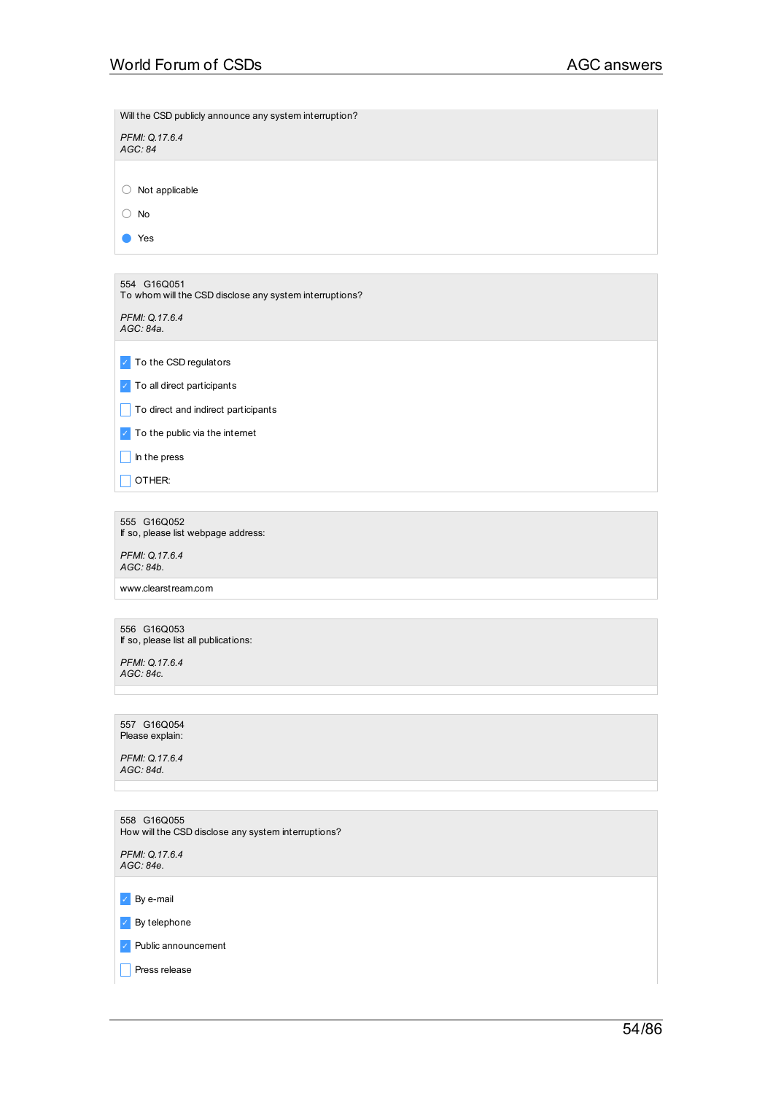| Will the CSD publicly announce any system interruption?                |
|------------------------------------------------------------------------|
| PFMI: Q.17.6.4<br>AGC: 84                                              |
| $\bigcirc$ Not applicable                                              |
| $\bigcirc$ No                                                          |
| Yes                                                                    |
|                                                                        |
| 554 G16Q051<br>To whom will the CSD disclose any system interruptions? |
| PFMI: Q.17.6.4<br>AGC: 84a.                                            |
| To the CSD regulators<br>$\mathcal{L}$                                 |
| To all direct participants<br>$\mathcal{L}_{\rm c}$                    |
| To direct and indirect participants                                    |
| To the public via the internet<br>$\mathcal{L}_{\mathbb{C}}$           |
| In the press                                                           |
| OTHER:                                                                 |
|                                                                        |
| 555 G16Q052<br>If so, please list webpage address:                     |
| PFMI: Q.17.6.4<br>AGC: 84b.                                            |
| www.clearstream.com                                                    |
| 556 G16Q053                                                            |
| If so, please list all publications:                                   |
| PFMI: Q.17.6.4<br>AGC: 84c.                                            |
|                                                                        |
| 557 G16Q054<br>Please explain:                                         |
| PFMI: Q.17.6.4<br>AGC: 84d.                                            |
|                                                                        |
| 558 G16Q055<br>How will the CSD disclose any system interruptions?     |
| PFMI: Q.17.6.4<br>AGC: 84e.                                            |
| By e-mail<br>$\checkmark$                                              |
| By telephone<br>$\checkmark$                                           |
| Public announcement                                                    |
| Press release                                                          |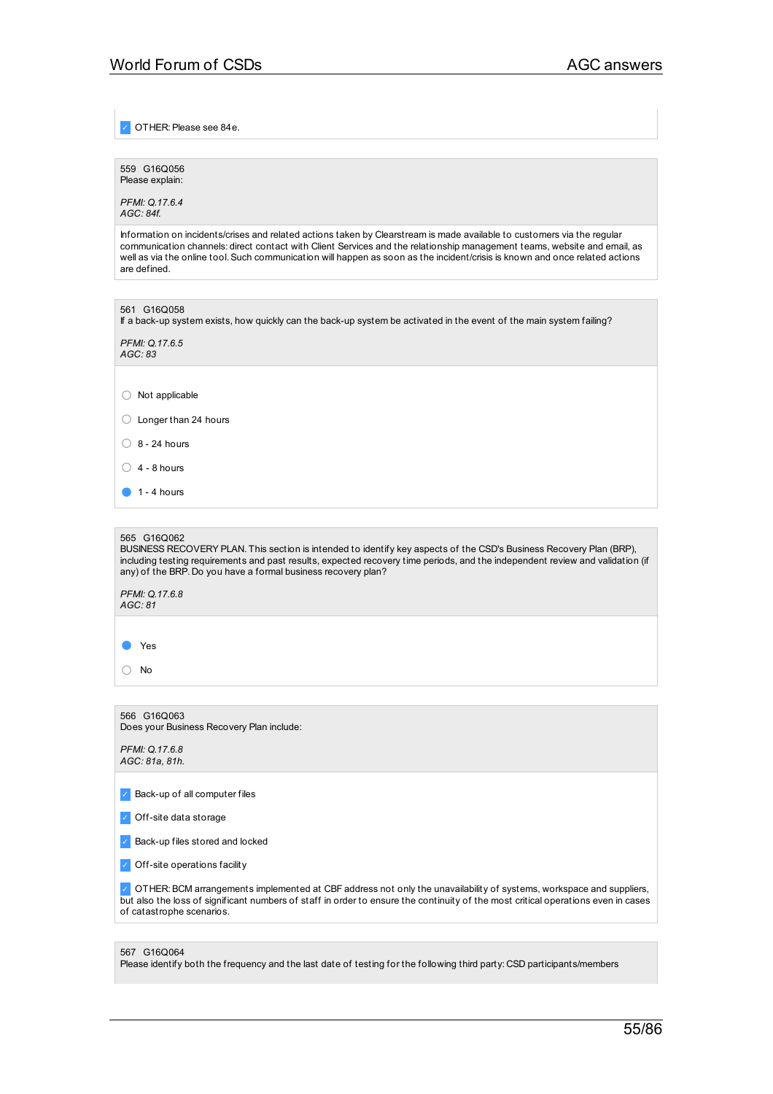✓ OTHER:Please see 84e.

559 G16Q056 Please explain:

*PFMI: Q.17.6.4 AGC: 84f.*

Information on incidents/crises and related actions taken by Clearstream is made available to customers via the regular communication channels: direct contact with Client Services and the relationship management teams, website and email, as well as via the online tool.Such communication will happen as soon as the incident/crisis is known and once related actions are defined.

| 561 G16Q058<br>If a back-up system exists, how quickly can the back-up system be activated in the event of the main system failing?                                                                                                                                                                                                   |
|---------------------------------------------------------------------------------------------------------------------------------------------------------------------------------------------------------------------------------------------------------------------------------------------------------------------------------------|
| PFMI: Q.17.6.5<br>AGC: 83                                                                                                                                                                                                                                                                                                             |
|                                                                                                                                                                                                                                                                                                                                       |
| Not applicable                                                                                                                                                                                                                                                                                                                        |
| Longer than 24 hours                                                                                                                                                                                                                                                                                                                  |
| $8 - 24$ hours                                                                                                                                                                                                                                                                                                                        |
| $4 - 8$ hours                                                                                                                                                                                                                                                                                                                         |
| $1 - 4$ hours                                                                                                                                                                                                                                                                                                                         |
|                                                                                                                                                                                                                                                                                                                                       |
| 565 G16Q062<br>BUSINESS RECOVERY PLAN. This section is intended to identify key aspects of the CSD's Business Recovery Plan (BRP),<br>including testing requirements and past results, expected recovery time periods, and the independent review and validation (if<br>any) of the BRP. Do you have a formal business recovery plan? |
| PFMI: Q.17.6.8<br>AGC: 81                                                                                                                                                                                                                                                                                                             |

● Yes

○ No

566 G16Q063 Does your Business Recovery Plan include:

| PFMI: Q.17.6.8 |  |
|----------------|--|
| AGC: 81a, 81h. |  |

✓ Back-up of all computer files

✓ Off-site data storage

✓ Back-up files stored and locked

✓ Off-site operations facility

✓ OTHER:BCM arrangements implemented at CBF address not only the unavailability of systems, workspace and suppliers, but also the loss of significant numbers of staff in order to ensure the continuity of the most critical operations even in cases of catastrophe scenarios.

#### 567 G16Q064

Please identify both the frequency and the last date of testing for the following third party: CSD participants/members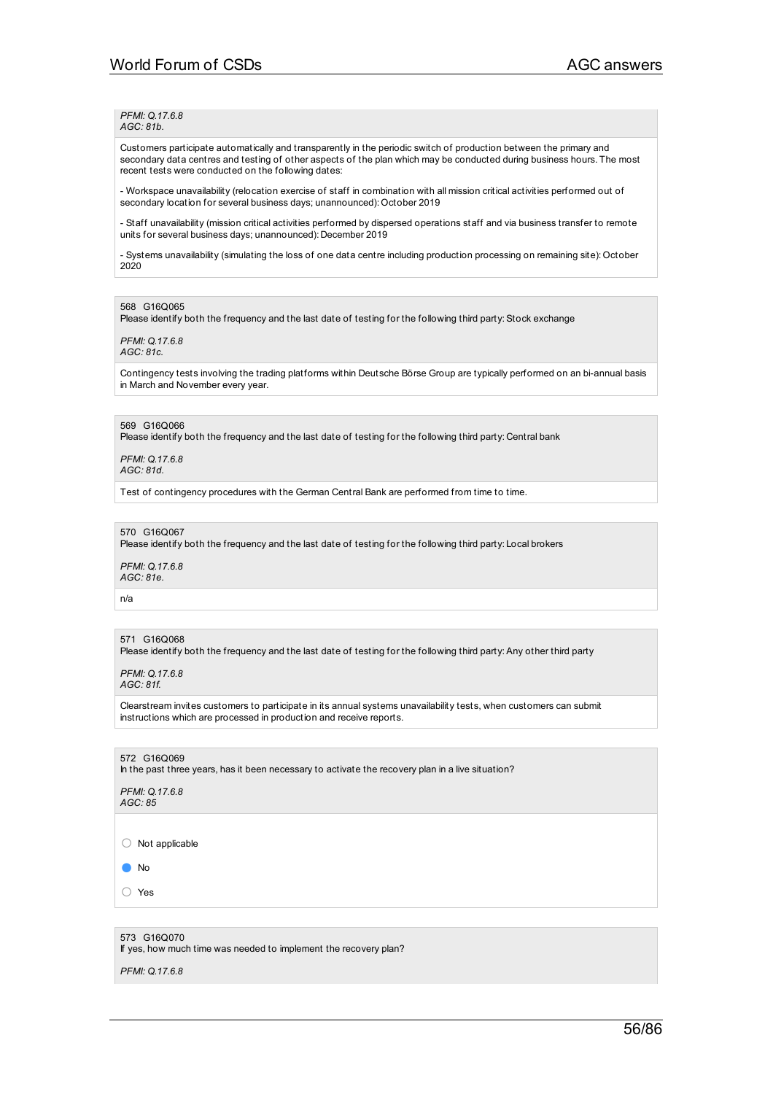*PFMI: Q.17.6.8 AGC: 81b.*

Customers participate automatically and transparently in the periodic switch of production between the primary and secondary data centres and testing of other aspects of the plan which may be conducted during business hours. The most recent tests were conducted on the following dates:

- Workspace unavailability (relocation exercise of staff in combination with all mission critical activities performed out of secondary location for several business days; unannounced): October 2019

- Staff unavailability (mission critical activities performed by dispersed operations staff and via business transfer to remote units for several business days; unannounced): December 2019

- Systems unavailability (simulating the loss of one data centre including production processing on remaining site): October 2020

568 G16Q065

Please identify both the frequency and the last date of testing for the following third party: Stock exchange

*PFMI: Q.17.6.8 AGC: 81c.*

Contingency tests involving the trading platforms within Deutsche Börse Group are typically performed on an bi-annual basis in March and November every year.

## 569 G16Q066

Please identify both the frequency and the last date of testing for the following third party: Central bank

*PFMI: Q.17.6.8 AGC: 81d.*

Test of contingency procedures with the German Central Bank are performed from time to time.

### 570 G16Q067

Please identify both the frequency and the last date of testing for the following third party: Local brokers

*PFMI: Q.17.6.8 AGC: 81e.*

n/a

#### 571 G16Q068

Please identify both the frequency and the last date of testing for the following third party: Any other third party

*PFMI: Q.17.6.8 AGC: 81f.*

Clearstream invites customers to participate in its annual systems unavailability tests, when customers can submit instructions which are processed in production and receive reports.

## 572 G16Q069

In the past three years, has it been necessary to activate the recovery plan in a live situation?

#### *PFMI: Q.17.6.8 AGC: 85*

○ Not applicable

● No

○ Yes

#### 573 G16Q070

If yes, how much time was needed to implement the recovery plan?

*PFMI: Q.17.6.8*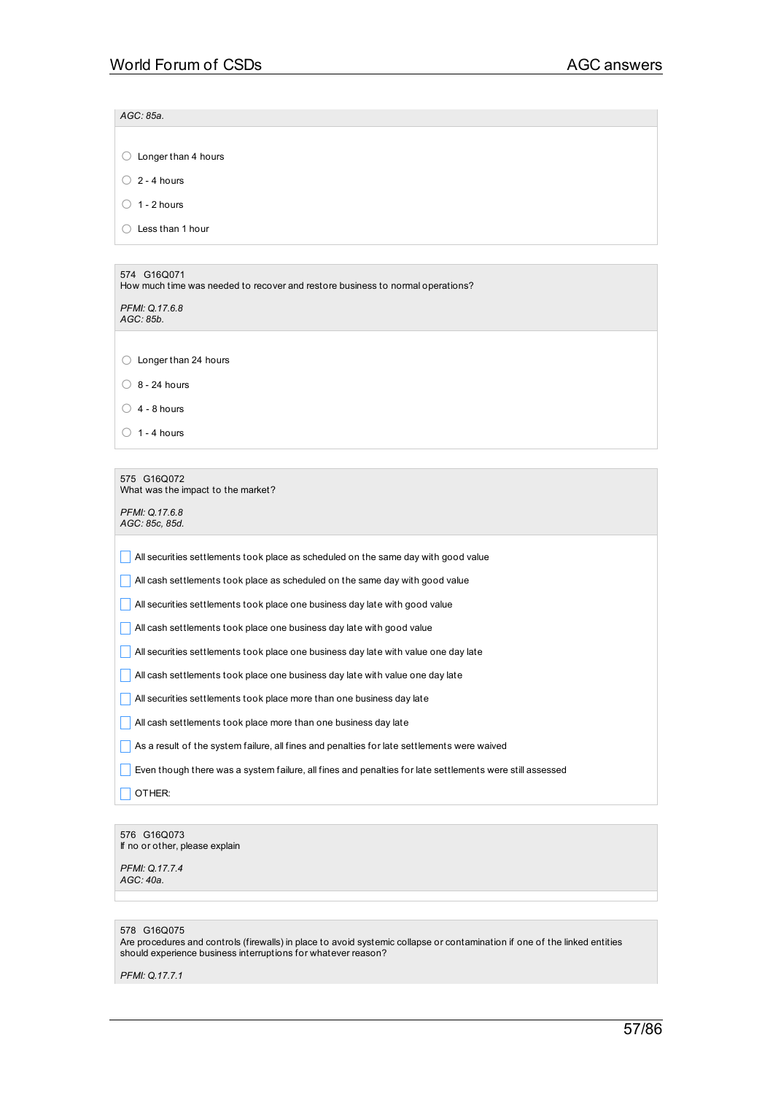*AGC: 85a.*

○ Longer than 4 hours

 $\bigcirc$  2 - 4 hours

 $\bigcirc$  1 - 2 hours

○ Less than 1 hour

### 574 G16Q071

How much time was needed to recover and restore business to normal operations?

*PFMI: Q.17.6.8 AGC: 85b.*

○ Longer than 24 hours

 $\bigcirc$  8 - 24 hours

 $\bigcirc$  4 - 8 hours

 $\bigcirc$  1 - 4 hours

### 575 G16Q072

What was the impact to the market?

*PFMI: Q.17.6.8 AGC: 85c, 85d.*

\_ All securities settlements took place as scheduled on the same day with good value

 $\Box$  All cash settlements took place as scheduled on the same day with good value

**All securities settlements took place one business day late with good value** 

 $\Box$  All cash settlements took place one business day late with good value

 $\Box$  All securities settlements took place one business day late with value one day late

**All cash settlements took place one business day late with value one day late** 

**All securities settlements took place more than one business day late** 

 $\Box$  All cash settlements took place more than one business day late

\_ As a result of the system failure, all fines and penalties for late settlements were waived

 $\Box$  Even though there was a system failure, all fines and penalties for late settlements were still assessed

 $\Box$  OTHER:

## 576 G16Q073

If no or other, please explain

*PFMI: Q.17.7.4 AGC: 40a.*

### 578 G16Q075

Are procedures and controls (firewalls) in place to avoid systemic collapse or contamination if one of the linked entities should experience business interruptions for whatever reason?

*PFMI: Q.17.7.1*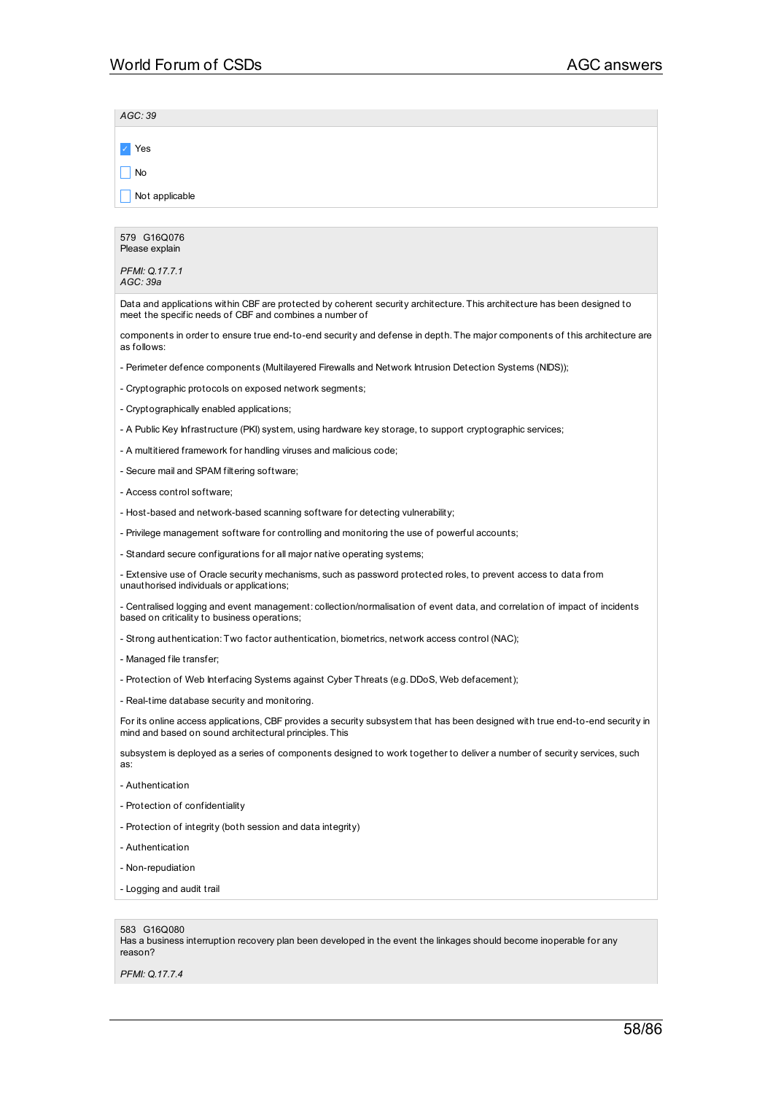| AGC: 39                                                                                                                                                                                 |
|-----------------------------------------------------------------------------------------------------------------------------------------------------------------------------------------|
| Yes                                                                                                                                                                                     |
| No                                                                                                                                                                                      |
| Not applicable                                                                                                                                                                          |
|                                                                                                                                                                                         |
| 579 G16Q076<br>Please explain                                                                                                                                                           |
| PFMI: Q.17.7.1<br>AGC: 39a                                                                                                                                                              |
| Data and applications within CBF are protected by coherent security architecture. This architecture has been designed to<br>meet the specific needs of CBF and combines a number of     |
| components in order to ensure true end-to-end security and defense in depth. The major components of this architecture are<br>as follows:                                               |
| - Perimeter defence components (Multilayered Firewalls and Network Intrusion Detection Systems (NIDS));                                                                                 |
| - Cryptographic protocols on exposed network segments;                                                                                                                                  |
| - Cryptographically enabled applications;                                                                                                                                               |
| - A Public Key Infrastructure (PKI) system, using hardware key storage, to support cryptographic services;                                                                              |
| - A multitiered framework for handling viruses and malicious code;                                                                                                                      |
| - Secure mail and SPAM filtering software;                                                                                                                                              |
| - Access control software;                                                                                                                                                              |
| - Host-based and network-based scanning software for detecting vulnerability;                                                                                                           |
| - Privilege management software for controlling and monitoring the use of powerful accounts;                                                                                            |
| - Standard secure configurations for all major native operating systems;                                                                                                                |
| - Extensive use of Oracle security mechanisms, such as password protected roles, to prevent access to data from<br>unauthorised individuals or applications;                            |
| - Centralised logging and event management: collection/normalisation of event data, and correlation of impact of incidents<br>based on criticality to business operations;              |
| - Strong authentication: Two factor authentication, biometrics, network access control (NAC);                                                                                           |
| - Managed file transfer;                                                                                                                                                                |
| - Protection of Web Interfacing Systems against Cyber Threats (e.g. DDoS, Web defacement);                                                                                              |
| - Real-time database security and monitoring.                                                                                                                                           |
| For its online access applications, CBF provides a security subsystem that has been designed with true end-to-end security in<br>mind and based on sound architectural principles. This |
| subsystem is deployed as a series of components designed to work together to deliver a number of security services, such<br>as:                                                         |
| - Authentication                                                                                                                                                                        |
| - Protection of confidentiality                                                                                                                                                         |
| - Protection of integrity (both session and data integrity)                                                                                                                             |
| - Authentication                                                                                                                                                                        |
| - Non-repudiation                                                                                                                                                                       |
| - Logging and audit trail                                                                                                                                                               |
|                                                                                                                                                                                         |
| 583 G16Q080<br>Has a business interruption recovery plan been developed in the event the linkages should become inoperable for any                                                      |

*PFMI: Q.17.7.4*

reason?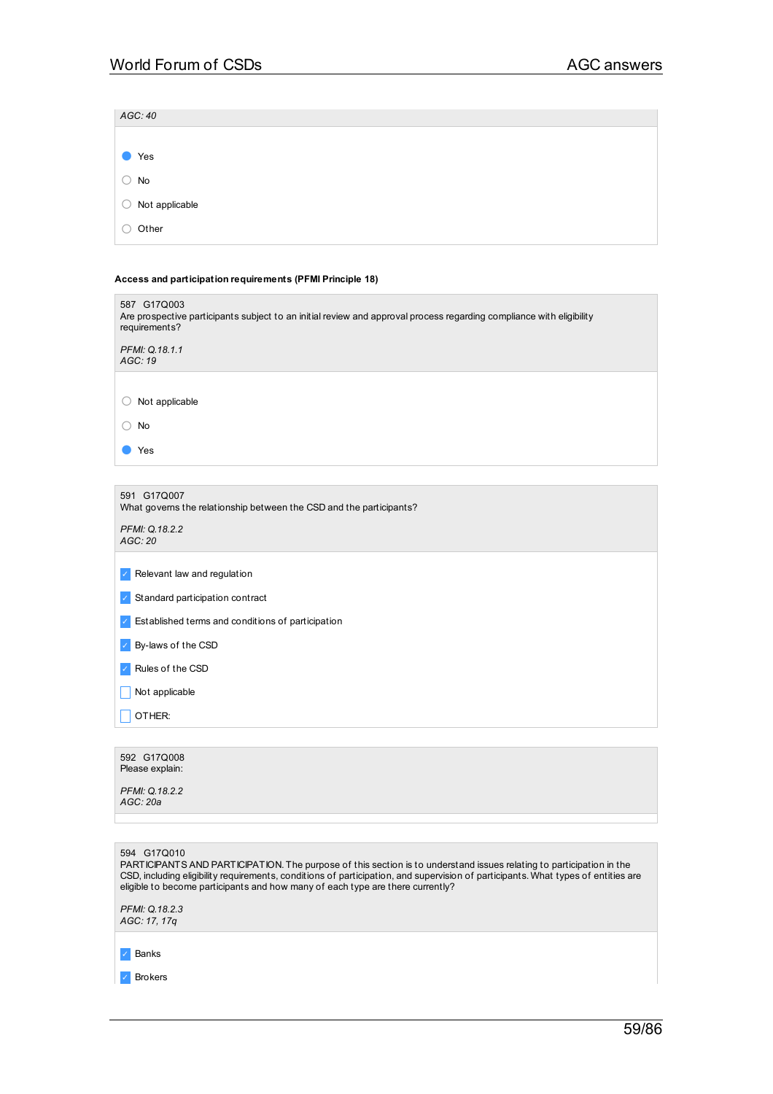| AGC: 40                                              |  |  |  |
|------------------------------------------------------|--|--|--|
|                                                      |  |  |  |
| Yes<br>$\bullet$                                     |  |  |  |
| $\bigcirc$ No                                        |  |  |  |
| $\bigcirc$ Not applicable                            |  |  |  |
| Other<br>$\left(\begin{array}{c} \end{array}\right)$ |  |  |  |
|                                                      |  |  |  |

# **Access and participation requirements (PFMI Principle 18)**

| 587 G17Q003<br>Are prospective participants subject to an initial review and approval process regarding compliance with eligibility<br>requirements? |
|------------------------------------------------------------------------------------------------------------------------------------------------------|
| PFMI: Q.18.1.1<br>AGC: 19                                                                                                                            |
|                                                                                                                                                      |
| Not applicable<br>()                                                                                                                                 |
| No                                                                                                                                                   |
| Yes                                                                                                                                                  |
|                                                                                                                                                      |
| 591 G17Q007<br>What governs the relationship between the CSD and the participants?                                                                   |
| PFMI: Q.18.2.2<br>AGC:20                                                                                                                             |
| Relevant law and regulation                                                                                                                          |
|                                                                                                                                                      |
| Standard participation contract                                                                                                                      |
| Established terms and conditions of participation                                                                                                    |
| By-laws of the CSD                                                                                                                                   |

✓ Rules of the CSD

 $\Box$  Not applicable

 $\Box$  OTHER:

| 592 G17Q008<br>Please explain: |
|--------------------------------|
| PFMI: Q.18.2.2<br>AGC: 20a     |
|                                |
|                                |
| 594 G17Q010                    |

PARTICIPANTS AND PARTICIPATION. The purpose of this section is to understand issues relating to participation in the CSD, including eligibility requirements, conditions of participation, and supervision of participants. What types of entities are eligible to become participants and how many of each type are there currently?

*PFMI: Q.18.2.3 AGC: 17, 17q*

✓ Banks

✓ Brokers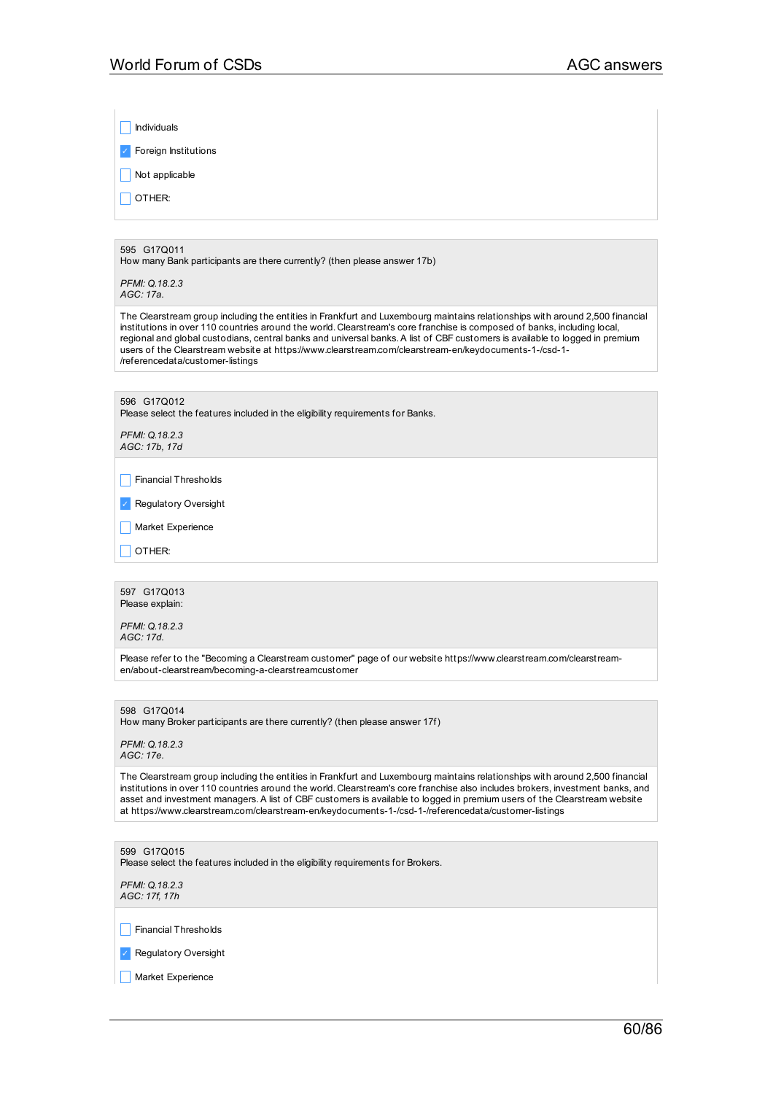| Individuals

✓ Foreign Institutions

 $\Box$  Not applicable

 $\Box$  OTHER:

595 G17Q011

How many Bank participants are there currently? (then please answer 17b)

*PFMI: Q.18.2.3 AGC: 17a.*

The Clearstream group including the entities in Frankfurt and Luxembourg maintains relationships with around 2,500 financial institutions in over 110 countries around the world. Clearstream's core franchise is composed of banks, including local, regional and global custodians, central banks and universal banks.A list of CBF customers is available to logged in premium users of the Clearstream website at https://www.clearstream.com/clearstream-en/keydocuments-1-/csd-1- /referencedata/customer-listings

596 G17Q012 Please select the features included in the eligibility requirements for Banks. *PFMI: Q.18.2.3 AGC: 17b, 17d*  $\Box$  Financial Thresholds ✓ Regulatory Oversight Market Experience  $\Box$  OTHER: 597 G17Q013

Please explain:

*PFMI: Q.18.2.3 AGC: 17d.*

Please refer to the "Becoming a Clearstream customer" page of our website https://www.clearstream.com/clearstreamen/about-clearstream/becoming-a-clearstreamcustomer

598 G17Q014

How many Broker participants are there currently? (then please answer 17f)

*PFMI: Q.18.2.3 AGC: 17e.*

The Clearstream group including the entities in Frankfurt and Luxembourg maintains relationships with around 2,500 financial institutions in over 110 countries around the world. Clearstream's core franchise also includes brokers, investment banks, and asset and investment managers.A list of CBF customers is available to logged in premium users of the Clearstream website at https://www.clearstream.com/clearstream-en/keydocuments-1-/csd-1-/referencedata/customer-listings

599 G17Q015 Please select the features included in the eligibility requirements for Brokers. *PFMI: Q.18.2.3 AGC: 17f, 17h*  $\Box$  Financial Thresholds

✓ Regulatory Oversight

 $\Box$  Market Experience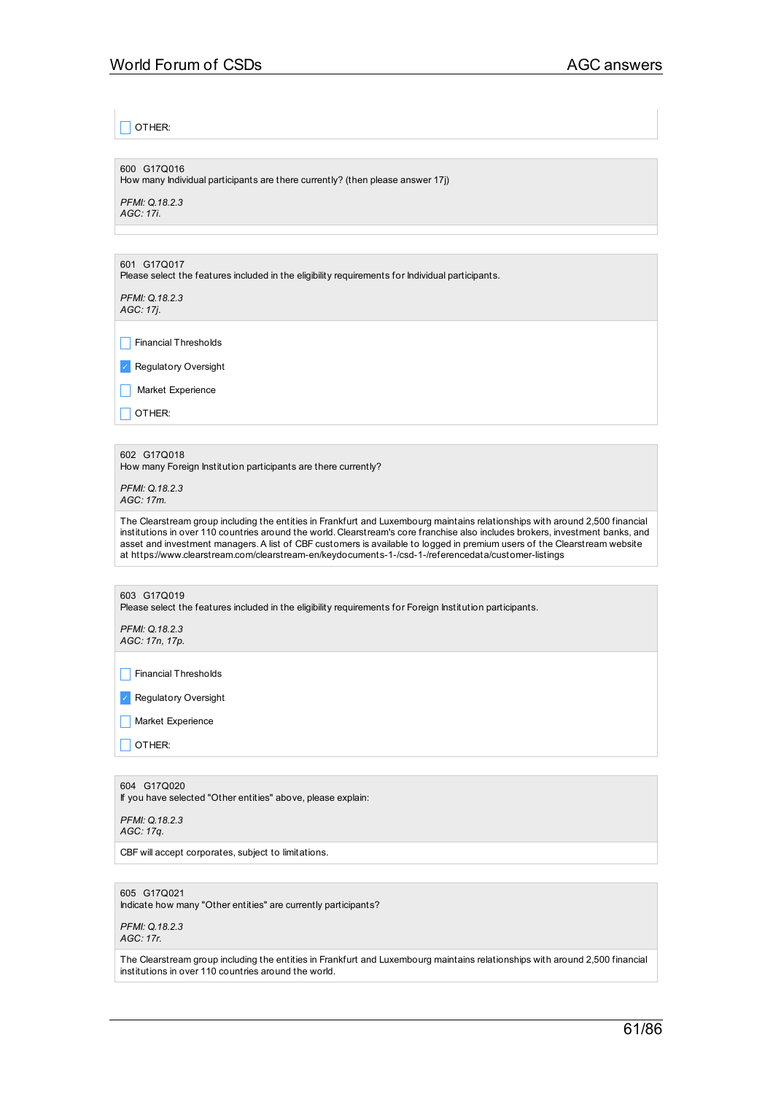$\sqsupset$  other:

600 G17Q016 How many Individual participants are there currently? (then please answer 17j)

*PFMI: Q.18.2.3 AGC: 17i.*

601 G17Q017

Please select the features included in the eligibility requirements for Individual participants.

*PFMI: Q.18.2.3 AGC: 17j.*

 $\Box$  Financial Thresholds

✓ Regulatory Oversight

 $\Box$  Market Experience

 $\Box$  OTHER:

602 G17Q018

How many Foreign Institution participants are there currently?

*PFMI: Q.18.2.3 AGC: 17m.*

The Clearstream group including the entities in Frankfurt and Luxembourg maintains relationships with around 2,500 financial institutions in over 110 countries around the world. Clearstream's core franchise also includes brokers, investment banks, and asset and investment managers.A list of CBF customers is available to logged in premium users of the Clearstream website at https://www.clearstream.com/clearstream-en/keydocuments-1-/csd-1-/referencedata/customer-listings

603 G17Q019

Please select the features included in the eligibility requirements for Foreign Institution participants.

*PFMI: Q.18.2.3 AGC: 17n, 17p.*

 $\Box$  Financial Thresholds

✓ Regulatory Oversight

Market Experience

 $\Box$  OTHER:

604 G17Q020

If you have selected "Other entities" above, please explain:

*PFMI: Q.18.2.3 AGC: 17q.*

CBF will accept corporates, subject to limitations.

605 G17Q021

Indicate how many "Other entities" are currently participants?

*PFMI: Q.18.2.3 AGC: 17r.*

The Clearstream group including the entities in Frankfurt and Luxembourg maintains relationships with around 2,500 financial institutions in over 110 countries around the world.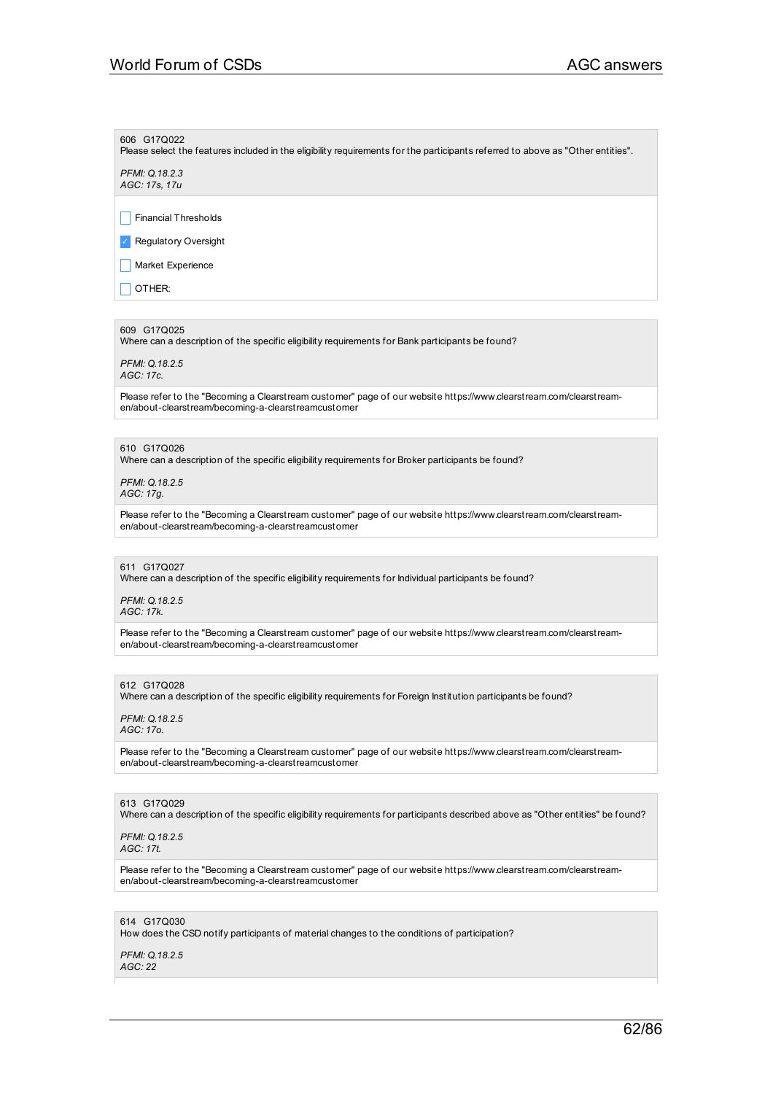#### 606 G17Q022

Please select the features included in the eligibility requirements for the participants referred to above as "Other entities".

*PFMI: Q.18.2.3 AGC: 17s, 17u*

 $\Box$  Financial Thresholds

✓ Regulatory Oversight

Market Experience

 $\Box$  OTHER:

#### 609 G17Q025

Where can a description of the specific eligibility requirements for Bank participants be found?

*PFMI: Q.18.2.5 AGC: 17c.*

Please refer to the "Becoming a Clearstream customer" page of our website https://www.clearstream.com/clearstreamen/about-clearstream/becoming-a-clearstreamcustomer

### 610 G17Q026

Where can a description of the specific eligibility requirements for Broker participants be found?

*PFMI: Q.18.2.5 AGC: 17g.*

Please refer to the "Becoming a Clearstream customer" page of our website https://www.clearstream.com/clearstreamen/about-clearstream/becoming-a-clearstreamcustomer

#### 611 G17Q027

Where can a description of the specific eligibility requirements for Individual participants be found?

*PFMI: Q.18.2.5 AGC: 17k.*

Please refer to the "Becoming a Clearstream customer" page of our website https://www.clearstream.com/clearstreamen/about-clearstream/becoming-a-clearstreamcustomer

#### 612 G17Q028

Where can a description of the specific eligibility requirements for Foreign Institution participants be found?

#### *PFMI: Q.18.2.5 AGC: 17o.*

Please refer to the "Becoming a Clearstream customer" page of our website https://www.clearstream.com/clearstreamen/about-clearstream/becoming-a-clearstreamcustomer

### 613 G17Q029

Where can a description of the specific eligibility requirements for participants described above as "Other entities" be found?

*PFMI: Q.18.2.5 AGC: 17t.*

Please refer to the "Becoming a Clearstream customer" page of our website https://www.clearstream.com/clearstreamen/about-clearstream/becoming-a-clearstreamcustomer

### 614 G17Q030

How does the CSD notify participants of material changes to the conditions of participation?

#### *PFMI: Q.18.2.5 AGC: 22*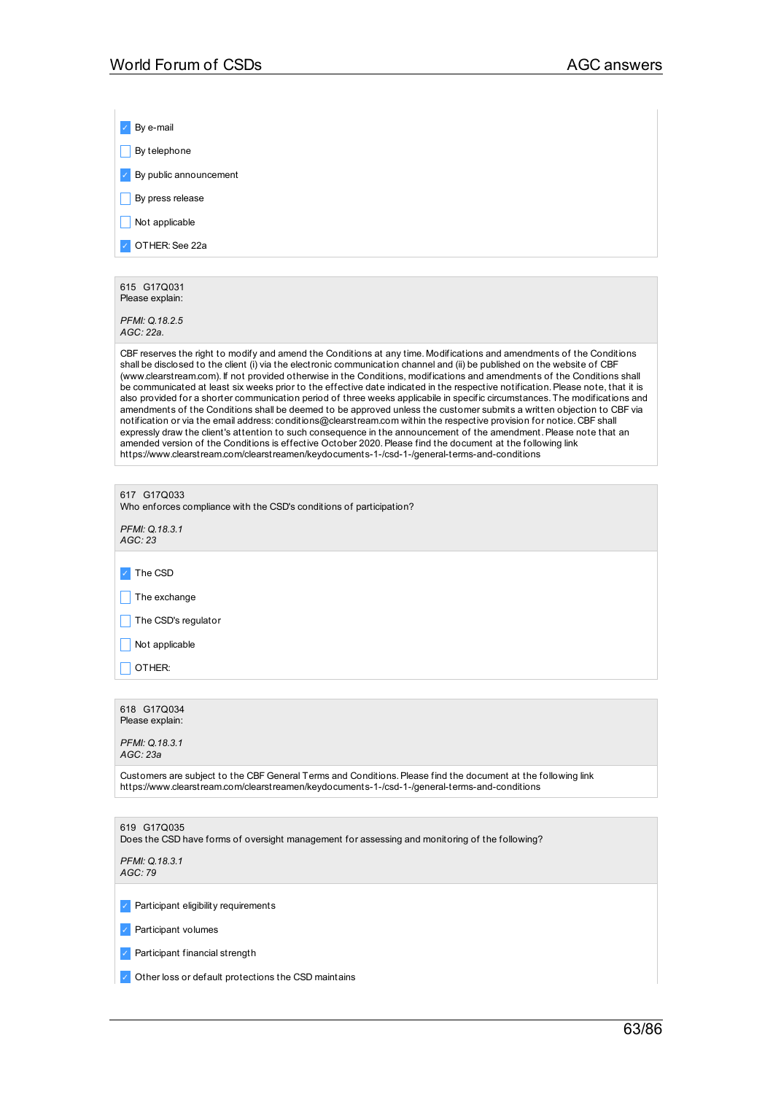| By e-mail                                                                                                                                                                                                                                                                                                                                                                                                                                                                                                                                                                                                                                                                                                                                                                                                                                                                                                                                                                                                                                                                                                                                                                                                                                      |
|------------------------------------------------------------------------------------------------------------------------------------------------------------------------------------------------------------------------------------------------------------------------------------------------------------------------------------------------------------------------------------------------------------------------------------------------------------------------------------------------------------------------------------------------------------------------------------------------------------------------------------------------------------------------------------------------------------------------------------------------------------------------------------------------------------------------------------------------------------------------------------------------------------------------------------------------------------------------------------------------------------------------------------------------------------------------------------------------------------------------------------------------------------------------------------------------------------------------------------------------|
| By telephone                                                                                                                                                                                                                                                                                                                                                                                                                                                                                                                                                                                                                                                                                                                                                                                                                                                                                                                                                                                                                                                                                                                                                                                                                                   |
| By public announcement                                                                                                                                                                                                                                                                                                                                                                                                                                                                                                                                                                                                                                                                                                                                                                                                                                                                                                                                                                                                                                                                                                                                                                                                                         |
| By press release                                                                                                                                                                                                                                                                                                                                                                                                                                                                                                                                                                                                                                                                                                                                                                                                                                                                                                                                                                                                                                                                                                                                                                                                                               |
| Not applicable                                                                                                                                                                                                                                                                                                                                                                                                                                                                                                                                                                                                                                                                                                                                                                                                                                                                                                                                                                                                                                                                                                                                                                                                                                 |
| OTHER: See 22a                                                                                                                                                                                                                                                                                                                                                                                                                                                                                                                                                                                                                                                                                                                                                                                                                                                                                                                                                                                                                                                                                                                                                                                                                                 |
|                                                                                                                                                                                                                                                                                                                                                                                                                                                                                                                                                                                                                                                                                                                                                                                                                                                                                                                                                                                                                                                                                                                                                                                                                                                |
| 615 G17Q031<br>Please explain:                                                                                                                                                                                                                                                                                                                                                                                                                                                                                                                                                                                                                                                                                                                                                                                                                                                                                                                                                                                                                                                                                                                                                                                                                 |
| PFMI: Q.18.2.5<br>AGC: 22a.                                                                                                                                                                                                                                                                                                                                                                                                                                                                                                                                                                                                                                                                                                                                                                                                                                                                                                                                                                                                                                                                                                                                                                                                                    |
| CBF reserves the right to modify and amend the Conditions at any time. Modifications and amendments of the Conditions<br>shall be disclosed to the client (i) via the electronic communication channel and (ii) be published on the website of CBF<br>(www.clearstream.com). If not provided otherwise in the Conditions, modifications and amendments of the Conditions shall<br>be communicated at least six weeks prior to the effective date indicated in the respective notification. Please note, that it is<br>also provided for a shorter communication period of three weeks applicabile in specific circumstances. The modifications and<br>amendments of the Conditions shall be deemed to be approved unless the customer submits a written objection to CBF via<br>notification or via the email address: conditions@clearstream.com within the respective provision for notice. CBF shall<br>expressly draw the client's attention to such consequence in the announcement of the amendment. Please note that an<br>amended version of the Conditions is effective October 2020. Please find the document at the following link<br>https://www.clearstream.com/clearstreamen/keydocuments-1-/csd-1-/general-terms-and-conditions |
|                                                                                                                                                                                                                                                                                                                                                                                                                                                                                                                                                                                                                                                                                                                                                                                                                                                                                                                                                                                                                                                                                                                                                                                                                                                |
| 617 G17Q033<br>Who enforces compliance with the CSD's conditions of participation?                                                                                                                                                                                                                                                                                                                                                                                                                                                                                                                                                                                                                                                                                                                                                                                                                                                                                                                                                                                                                                                                                                                                                             |
| PFMI: Q.18.3.1<br>AGC: 23                                                                                                                                                                                                                                                                                                                                                                                                                                                                                                                                                                                                                                                                                                                                                                                                                                                                                                                                                                                                                                                                                                                                                                                                                      |
| The CSD                                                                                                                                                                                                                                                                                                                                                                                                                                                                                                                                                                                                                                                                                                                                                                                                                                                                                                                                                                                                                                                                                                                                                                                                                                        |
| The exchange                                                                                                                                                                                                                                                                                                                                                                                                                                                                                                                                                                                                                                                                                                                                                                                                                                                                                                                                                                                                                                                                                                                                                                                                                                   |
| The CSD's regulator                                                                                                                                                                                                                                                                                                                                                                                                                                                                                                                                                                                                                                                                                                                                                                                                                                                                                                                                                                                                                                                                                                                                                                                                                            |
| Not applicable                                                                                                                                                                                                                                                                                                                                                                                                                                                                                                                                                                                                                                                                                                                                                                                                                                                                                                                                                                                                                                                                                                                                                                                                                                 |
| OTHER:                                                                                                                                                                                                                                                                                                                                                                                                                                                                                                                                                                                                                                                                                                                                                                                                                                                                                                                                                                                                                                                                                                                                                                                                                                         |
|                                                                                                                                                                                                                                                                                                                                                                                                                                                                                                                                                                                                                                                                                                                                                                                                                                                                                                                                                                                                                                                                                                                                                                                                                                                |
| 618 G17Q034<br>Please explain:                                                                                                                                                                                                                                                                                                                                                                                                                                                                                                                                                                                                                                                                                                                                                                                                                                                                                                                                                                                                                                                                                                                                                                                                                 |
| PFMI: Q.18.3.1<br>AGC: 23a                                                                                                                                                                                                                                                                                                                                                                                                                                                                                                                                                                                                                                                                                                                                                                                                                                                                                                                                                                                                                                                                                                                                                                                                                     |
| Customers are subject to the CBF General Terms and Conditions. Please find the document at the following link<br>https://www.clearstream.com/clearstreamen/keydocuments-1-/csd-1-/general-terms-and-conditions                                                                                                                                                                                                                                                                                                                                                                                                                                                                                                                                                                                                                                                                                                                                                                                                                                                                                                                                                                                                                                 |
|                                                                                                                                                                                                                                                                                                                                                                                                                                                                                                                                                                                                                                                                                                                                                                                                                                                                                                                                                                                                                                                                                                                                                                                                                                                |
| 619 G17Q035<br>Does the CSD have forms of oversight management for assessing and monitoring of the following?                                                                                                                                                                                                                                                                                                                                                                                                                                                                                                                                                                                                                                                                                                                                                                                                                                                                                                                                                                                                                                                                                                                                  |
| PFMI: Q.18.3.1<br>AGC: 79                                                                                                                                                                                                                                                                                                                                                                                                                                                                                                                                                                                                                                                                                                                                                                                                                                                                                                                                                                                                                                                                                                                                                                                                                      |
| Participant eligibility requirements                                                                                                                                                                                                                                                                                                                                                                                                                                                                                                                                                                                                                                                                                                                                                                                                                                                                                                                                                                                                                                                                                                                                                                                                           |
| Participant volumes                                                                                                                                                                                                                                                                                                                                                                                                                                                                                                                                                                                                                                                                                                                                                                                                                                                                                                                                                                                                                                                                                                                                                                                                                            |
| Participant financial strength                                                                                                                                                                                                                                                                                                                                                                                                                                                                                                                                                                                                                                                                                                                                                                                                                                                                                                                                                                                                                                                                                                                                                                                                                 |
| Other loss or default protections the CSD maintains                                                                                                                                                                                                                                                                                                                                                                                                                                                                                                                                                                                                                                                                                                                                                                                                                                                                                                                                                                                                                                                                                                                                                                                            |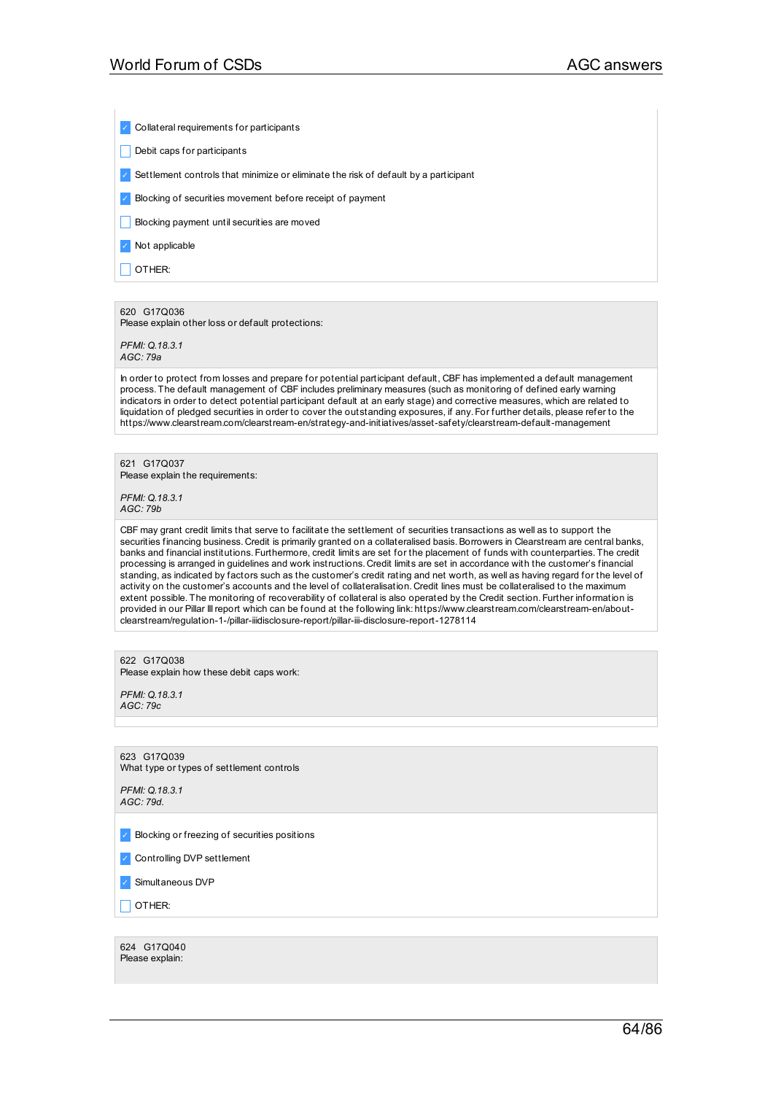✓ Collateral requirements for participants

Debit caps for participants

✓ Settlement controls that minimize or eliminate the risk of default by a participant

✓ Blocking of securities movement before receipt of payment

**Blocking payment until securities are moved** 

✓ Not applicable

 $\Box$  OTHER:

### 620 G17Q036

Please explain other loss or default protections:

*PFMI: Q.18.3.1 AGC: 79a*

In order to protect from losses and prepare for potential participant default, CBF has implemented a default management process. The default management of CBF includes preliminary measures (such as monitoring of defined early warning indicators in order to detect potential participant default at an early stage) and corrective measures, which are related to liquidation of pledged securities in order to cover the outstanding exposures, if any. For further details, please refer to the https://www.clearstream.com/clearstream-en/strategy-and-initiatives/asset-safety/clearstream-default-management

621 G17Q037 Please explain the requirements:

*PFMI: Q.18.3.1 AGC: 79b*

CBF may grant credit limits that serve to facilitate the settlement of securities transactions as well as to support the securities financing business. Credit is primarily granted on a collateralised basis.Borrowers in Clearstream are central banks, banks and financial institutions. Furthermore, credit limits are set for the placement of funds with counterparties. The credit processing is arranged in guidelines and work instructions. Credit limits are set in accordance with the customer's financial standing, as indicated by factors such as the customer's credit rating and net worth, as well as having regard for the level of activity on the customer's accounts and the level of collateralisation. Credit lines must be collateralised to the maximum extent possible. The monitoring of recoverability of collateral is also operated by the Credit section. Further information is provided in our Pillar IIIreport which can be found at the following link: https://www.clearstream.com/clearstream-en/aboutclearstream/regulation-1-/pillar-iiidisclosure-report/pillar-iii-disclosure-report-1278114

### 622 G17Q038

Please explain how these debit caps work:

*PFMI: Q.18.3.1 AGC: 79c*

623 G17Q039 What type or types of settlement controls

*PFMI: Q.18.3.1 AGC: 79d.*

✓ Blocking or freezing of securities positions

✓ Controlling DVP settlement

✓ Simultaneous DVP

 $\overline{\phantom{a}}$  OTHER:

624 G17Q040 Please explain: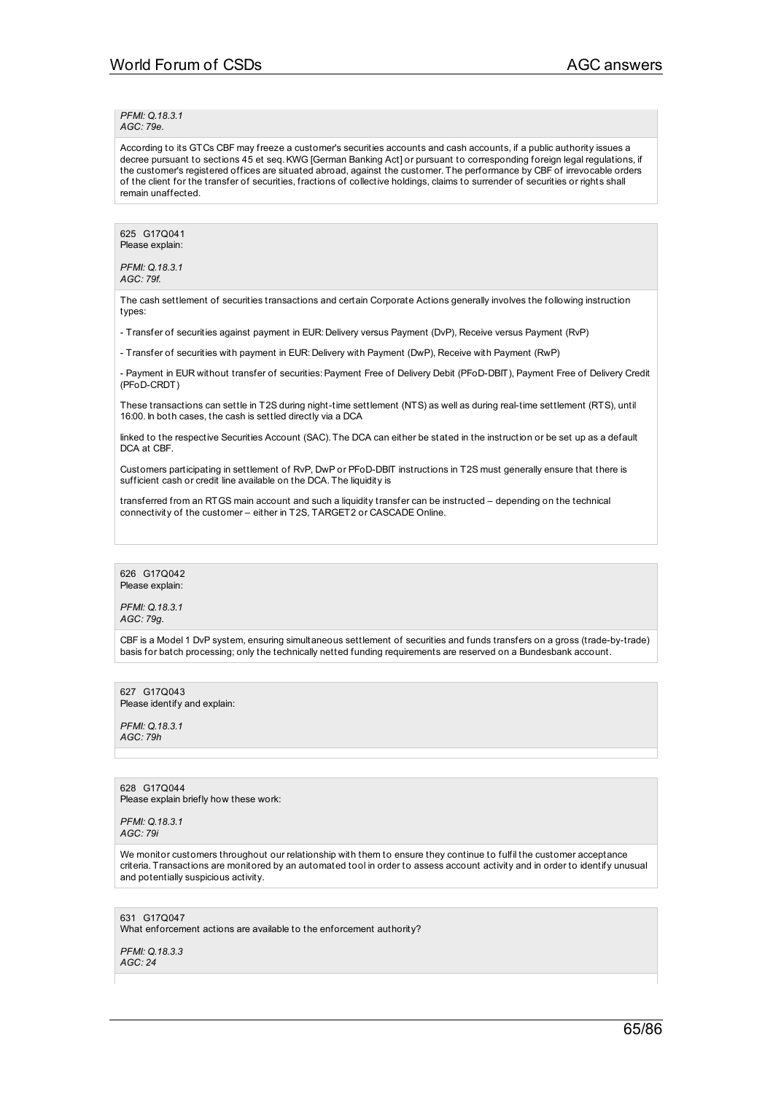*PFMI: Q.18.3.1 AGC: 79e.*

According to its GTCs CBF may freeze a customer's securities accounts and cash accounts, if a public authority issues a decree pursuant to sections 45 et seq.KWG [German Banking Act] or pursuant to corresponding foreign legal regulations, if the customer's registered offices are situated abroad, against the customer. The performance by CBF of irrevocable orders of the client for the transfer of securities, fractions of collective holdings, claims to surrender of securities or rights shall remain unaffected.

625 G17Q041 Please explain:

*PFMI: Q.18.3.1 AGC: 79f.*

The cash settlement of securities transactions and certain Corporate Actions generally involves the following instruction types:

- Transfer of securities against payment in EUR: Delivery versus Payment (DvP), Receive versus Payment (RvP)

- Transfer of securities with payment in EUR: Delivery with Payment (DwP), Receive with Payment (RwP)

- Payment in EUR without transfer of securities:Payment Free of Delivery Debit (PFoD-DBIT), Payment Free of Delivery Credit (PFoD-CRDT)

These transactions can settle in T2S during night-time settlement (NTS) as well as during real-time settlement (RTS), until 16:00. In both cases, the cash is settled directly via a DCA

linked to the respective Securities Account (SAC). The DCA can either be stated in the instruction or be set up as a default DCA at CBF.

Customers participating in settlement of RvP, DwP or PFoD-DBIT instructions in T2S must generally ensure that there is sufficient cash or credit line available on the DCA. The liquidity is

transferred from an RTGS main account and such a liquidity transfer can be instructed – depending on the technical connectivity of the customer – either in T2S, TARGET2 or CASCADE Online.

626 G17Q042 Please explain:

*PFMI: Q.18.3.1 AGC: 79g.*

CBF is a Model 1 DvP system, ensuring simultaneous settlement of securities and funds transfers on a gross (trade-by-trade) basis for batch processing; only the technically netted funding requirements are reserved on a Bundesbank account.

627 G17Q043 Please identify and explain:

*PFMI: Q.18.3.1 AGC: 79h*

628 G17Q044 Please explain briefly how these work:

*PFMI: Q.18.3.1 AGC: 79i*

We monitor customers throughout our relationship with them to ensure they continue to fulfil the customer acceptance criteria. Transactions are monitored by an automated tool in order to assess account activity and in order to identify unusual and potentially suspicious activity.

631 G17Q047 What enforcement actions are available to the enforcement authority?

*PFMI: Q.18.3.3 AGC: 24*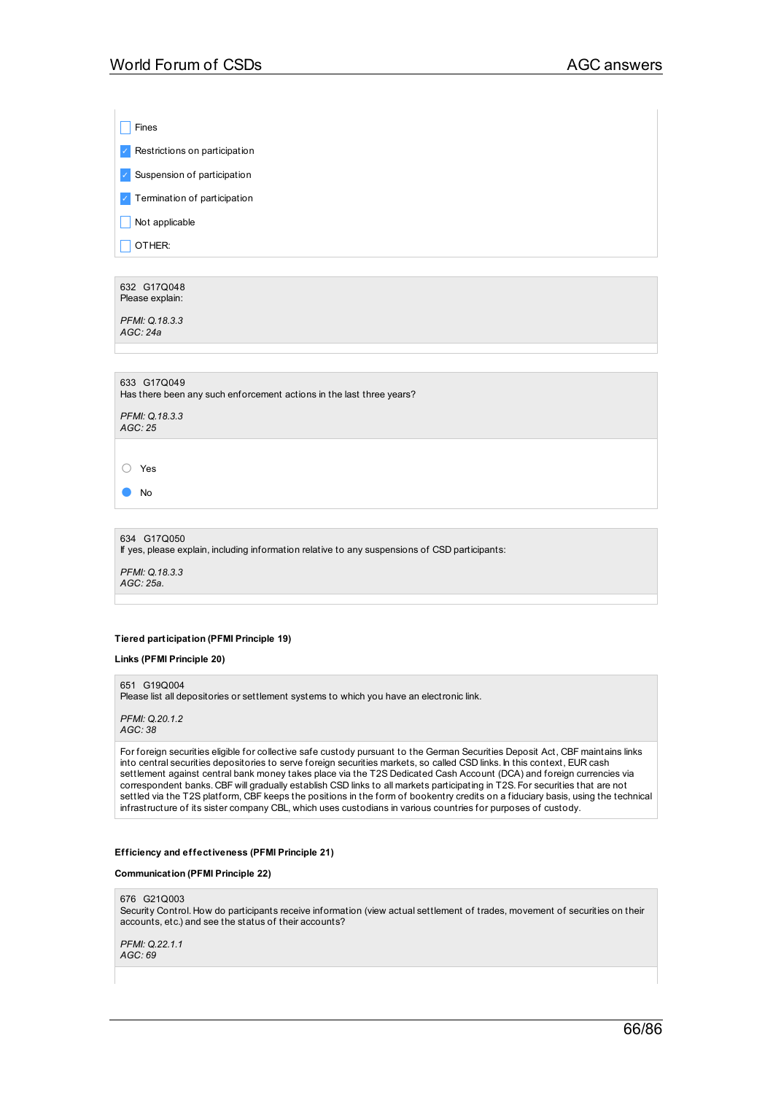$\Box$  Fines

✓ Restrictions on participation

✓ Suspension of participation

✓ Termination of participation

 $\Box$  Not applicable

 $\Box$  OTHER:

632 G17Q048 Please explain:

*PFMI: Q.18.3.3 AGC: 24a*

633 G17Q049

Has there been any such enforcement actions in the last three years?

*PFMI: Q.18.3.3 AGC: 25*

○ Yes

● No

634 G17Q050 If yes, please explain, including information relative to any suspensions of CSD participants: *PFMI: Q.18.3.3 AGC: 25a.*

### **Tiered participation (PFMI Principle 19)**

### **Links (PFMI Principle 20)**

651 G19Q004

Please list all depositories or settlement systems to which you have an electronic link.

*PFMI: Q.20.1.2 AGC: 38*

For foreign securities eligible for collective safe custody pursuant to the German Securities Deposit Act, CBF maintains links into central securities depositories to serve foreign securities markets, so called CSD links. In this context, EUR cash settlement against central bank money takes place via the T2S Dedicated Cash Account (DCA) and foreign currencies via correspondent banks. CBF will gradually establish CSD links to all markets participating in T2S. For securities that are not settled via the T2S platform, CBF keeps the positions in the form of bookentry credits on a fiduciary basis, using the technical infrastructure of its sister company CBL, which uses custodians in various countries for purposes of custody.

#### **Efficiency and effectiveness (PFMI Principle 21)**

**Communication (PFMI Principle 22)**

#### 676 G21Q003

Security Control. How do participants receive information (view actual settlement of trades, movement of securities on their accounts, etc.) and see the status of their accounts?

*PFMI: Q.22.1.1 AGC: 69*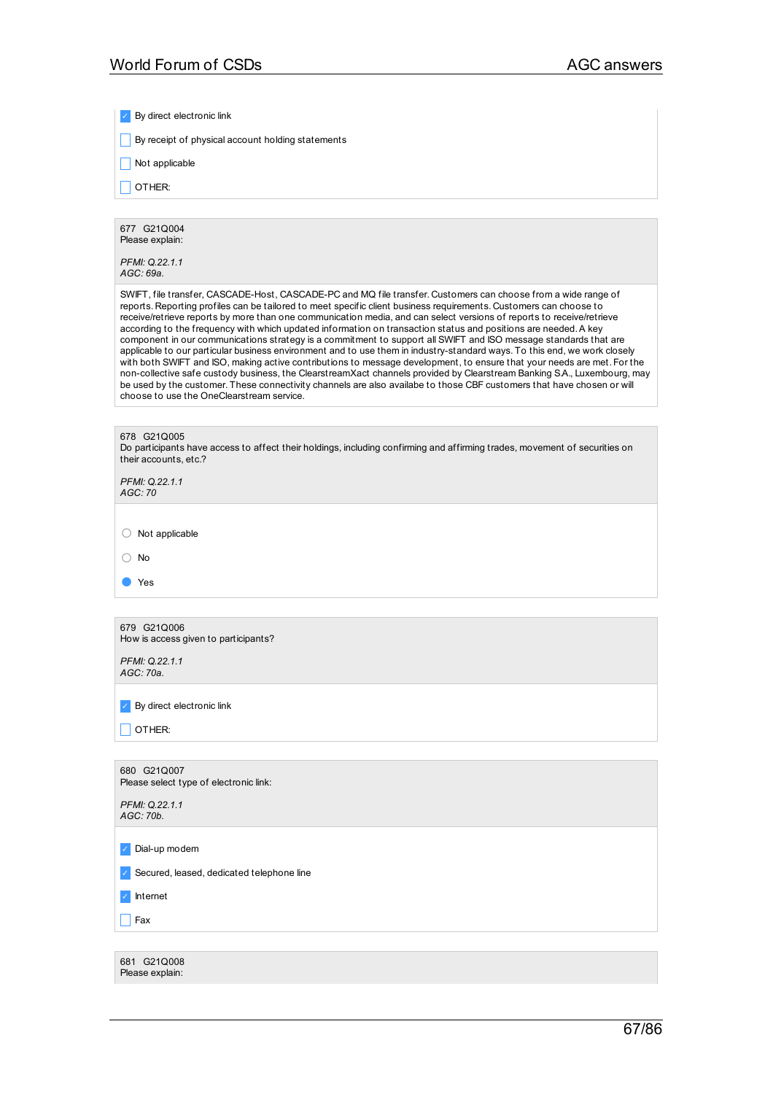✓ By direct electronic link

 $\Box$  By receipt of physical account holding statements

 $\Box$  Not applicable

 $\Box$  OTHER:

677 G21Q004 Please explain:

*PFMI: Q.22.1.1 AGC: 69a.*

SWIFT, file transfer, CASCADE-Host, CASCADE-PC and MQ file transfer. Customers can choose from a wide range of reports. Reporting profiles can be tailored to meet specific client business requirements. Customers can choose to receive/retrieve reports by more than one communication media, and can select versions of reports to receive/retrieve according to the frequency with which updated information on transaction status and positions are needed.A key component in our communications strategy is a commitment to support all SWIFT and ISO message standards that are applicable to our particular business environment and to use them in industry-standard ways. To this end, we work closely with both SWIFT and ISO, making active contributions to message development, to ensure that your needs are met. For the non-collective safe custody business, the ClearstreamXact channels provided by Clearstream Banking S.A., Luxembourg, may be used by the customer. These connectivity channels are also availabe to those CBF customers that have chosen or will choose to use the OneClearstream service.

| 678 G21Q005<br>Do participants have access to affect their holdings, including confirming and affirming trades, movement of securities on<br>their accounts, etc.? |
|--------------------------------------------------------------------------------------------------------------------------------------------------------------------|
| PFMI: Q.22.1.1<br>AGC: 70                                                                                                                                          |
|                                                                                                                                                                    |
| Not applicable                                                                                                                                                     |
| No                                                                                                                                                                 |
| Yes                                                                                                                                                                |
|                                                                                                                                                                    |
| 679 G21Q006<br>How is access given to participants?                                                                                                                |

*PFMI: Q.22.1.1 AGC: 70a.*

✓ By direct electronic link

 $\Box$  OTHER:

680 G21Q007 Please select type of electronic link:

*PFMI: Q.22.1.1 AGC: 70b.*

✓ Dial-up modem

✓ Secured, leased, dedicated telephone line

✓ Internet

 $\Box$  Fax

681 G21Q008 Please explain: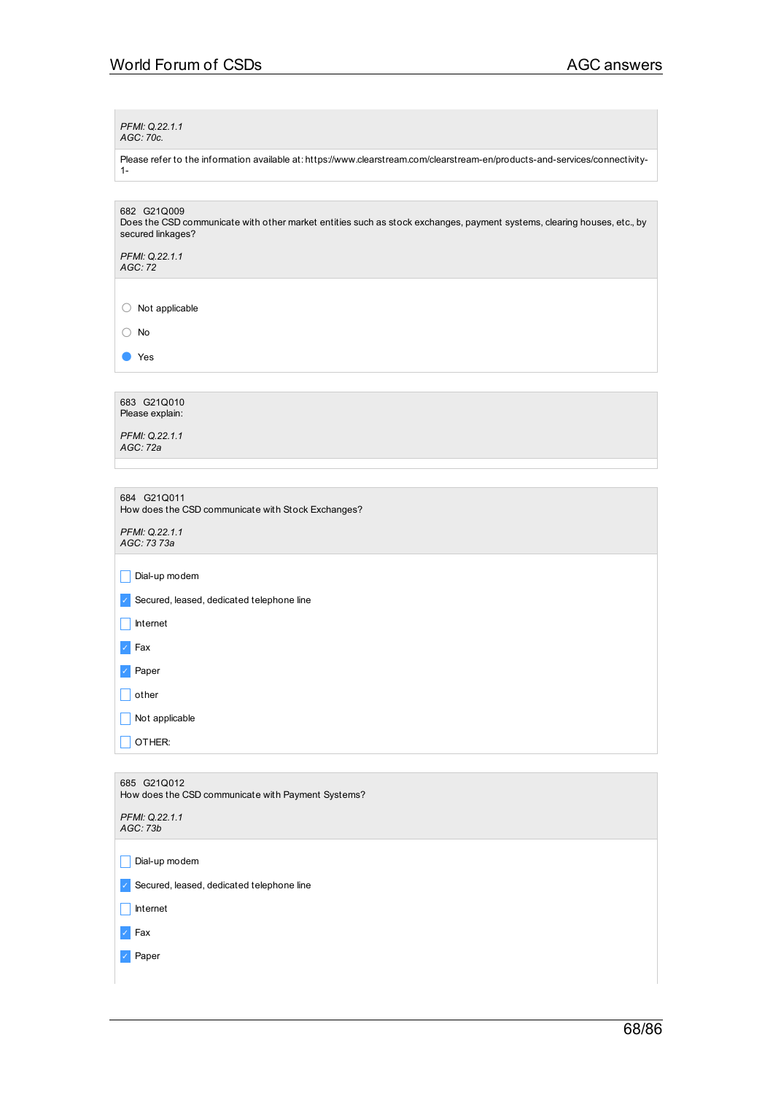*PFMI: Q.22.1.1 AGC: 70c.*

Please refer to the information available at: https://www.clearstream.com/clearstream-en/products-and-services/connectivity-1-

682 G21Q009 Does the CSD communicate with other market entities such as stock exchanges, payment systems, clearing houses, etc., by secured linkages?

*PFMI: Q.22.1.1 AGC: 72*

○ Not applicable

○ No

● Yes

683 G21Q010 Please explain:

*PFMI: Q.22.1.1 AGC: 72a*

684 G21Q011 How does the CSD communicate with Stock Exchanges?

*PFMI: Q.22.1.1 AGC: 73 73a*

 $\Box$  Dial-up modem

✓ Secured, leased, dedicated telephone line

 $\Box$  Internet

✓ Fax

✓ Paper

 $\Box$  other

 $\Box$  Not applicable

 $\Box$  OTHER:

| 685 G21Q012<br>How does the CSD communicate with Payment Systems? |
|-------------------------------------------------------------------|
| PFMI: Q.22.1.1<br>AGC: 73b                                        |
|                                                                   |
| Dial-up modem                                                     |
| Secured, leased, dedicated telephone line<br>$\mathcal{L}$        |
| Internet                                                          |
| $\sqrt{ }$ Fax                                                    |
| Paper                                                             |
|                                                                   |
|                                                                   |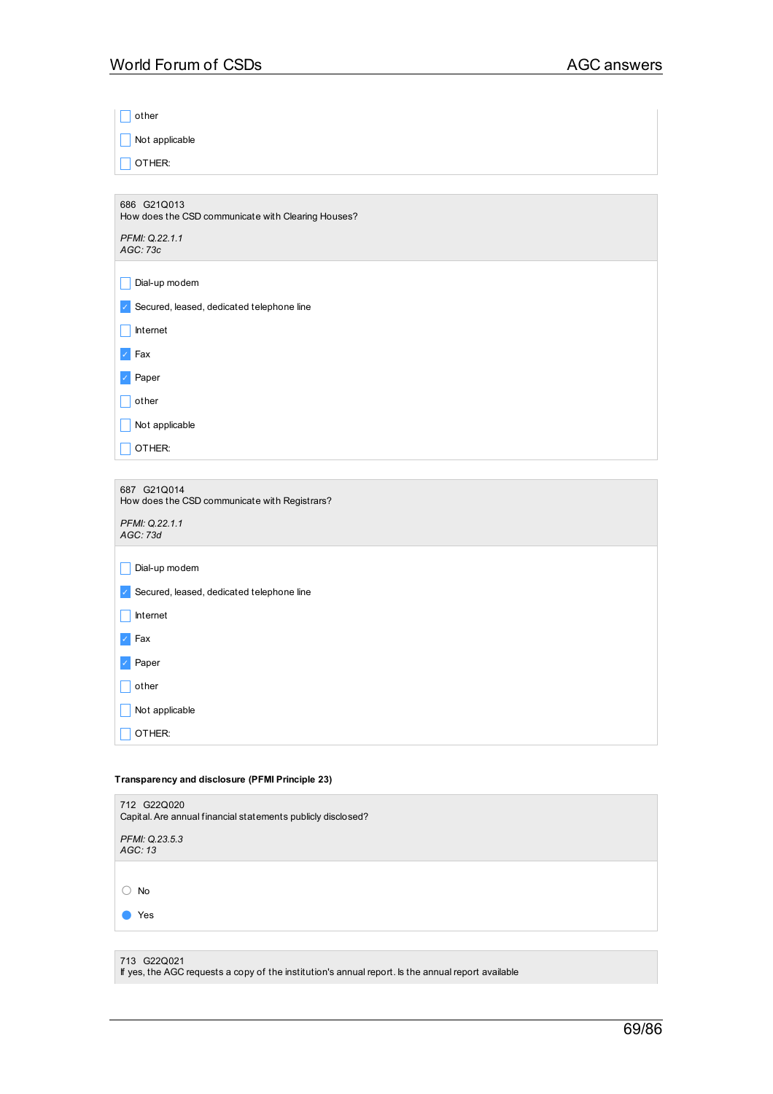| other                                                             |
|-------------------------------------------------------------------|
| Not applicable                                                    |
| OTHER:                                                            |
|                                                                   |
| 686 G21Q013<br>How does the CSD communicate with Clearing Houses? |
| PFMI: Q.22.1.1<br>AGC: 73c                                        |
| Dial-up modem                                                     |
| Secured, leased, dedicated telephone line                         |
| Internet                                                          |
| Fax                                                               |
| Paper                                                             |
| other                                                             |
| Not applicable                                                    |
| OTHER:                                                            |

| 687 G21Q014<br>How does the CSD communicate with Registrars? |
|--------------------------------------------------------------|
| PFMI: Q.22.1.1<br>AGC: 73d                                   |
| Dial-up modem                                                |
| Secured, leased, dedicated telephone line<br>$\checkmark$    |
| Internet                                                     |
| Fax<br>$\mathcal{J}$                                         |
| Paper<br>$\checkmark$                                        |
| other                                                        |
| Not applicable                                               |
| OTHER:                                                       |

# **Transparency and disclosure (PFMI Principle 23)**

| 712 G22Q020<br>Capital. Are annual financial statements publicly disclosed? |
|-----------------------------------------------------------------------------|
| PFMI: Q.23.5.3<br>AGC: 13                                                   |
|                                                                             |
| <b>No</b>                                                                   |
| Yes                                                                         |
|                                                                             |

713 G22Q021

If yes, the AGC requests a copy of the institution's annual report. Is the annual report available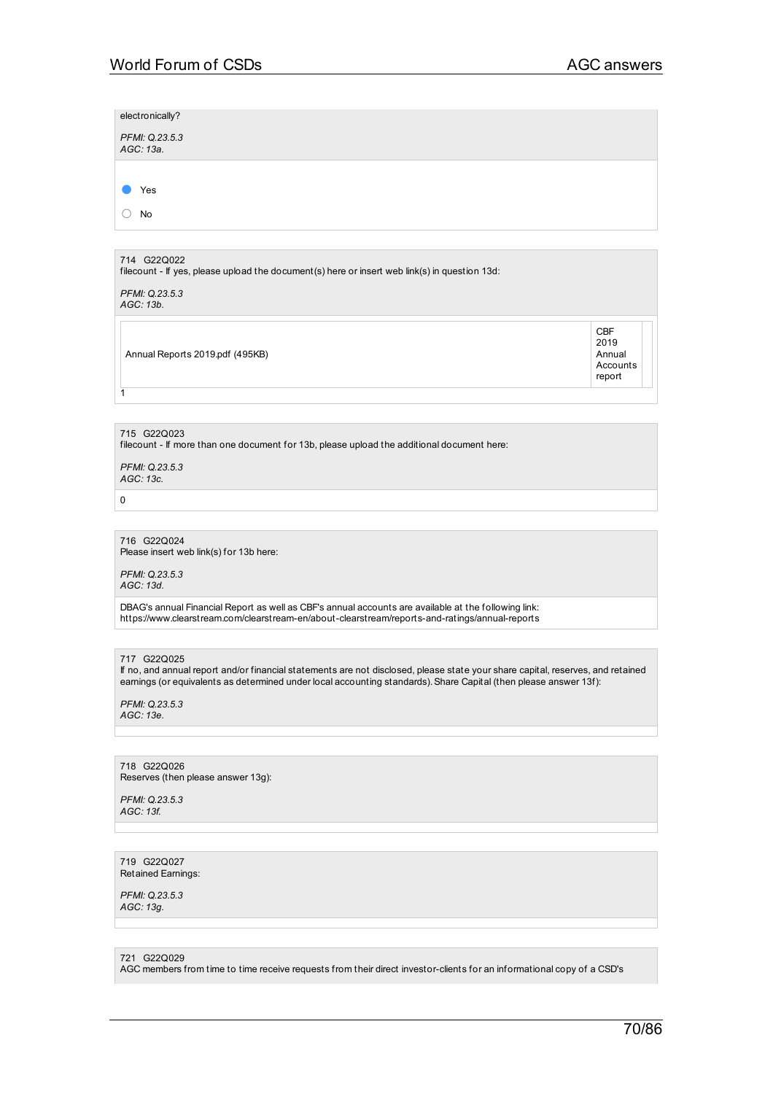| electronically?             |  |  |  |
|-----------------------------|--|--|--|
| PFMI: Q.23.5.3<br>AGC: 13a. |  |  |  |
|                             |  |  |  |
| Yes                         |  |  |  |
| No                          |  |  |  |
|                             |  |  |  |
| 714 G22Q022                 |  |  |  |

filecount - If yes, please upload the document(s) here or insert web link(s) in question 13d:

*PFMI: Q.23.5.3 AGC: 13b.*

Annual Reports 2019.pdf (495KB)

CBF 2019 Annual Accounts report

### 715 G22Q023

filecount - If more than one document for 13b, please upload the additional document here:

*PFMI: Q.23.5.3 AGC: 13c.*

0

1

#### 716 G22Q024 Please insert web link(s) for 13b here:

*PFMI: Q.23.5.3 AGC: 13d.*

DBAG's annual Financial Report as well as CBF's annual accounts are available at the following link: https://www.clearstream.com/clearstream-en/about-clearstream/reports-and-ratings/annual-reports

717 G22Q025

If no, and annual report and/or financial statements are not disclosed, please state your share capital, reserves, and retained earnings (or equivalents as determined under local accounting standards). Share Capital (then please answer 13f):

*PFMI: Q.23.5.3 AGC: 13e.*

718 G22Q026 Reserves (then please answer 13g):

*PFMI: Q.23.5.3 AGC: 13f.*

719 G22Q027 Retained Earnings:

*PFMI: Q.23.5.3 AGC: 13g.*

721 G22Q029

AGC members from time to time receive requests from their direct investor-clients for an informational copy of a CSD's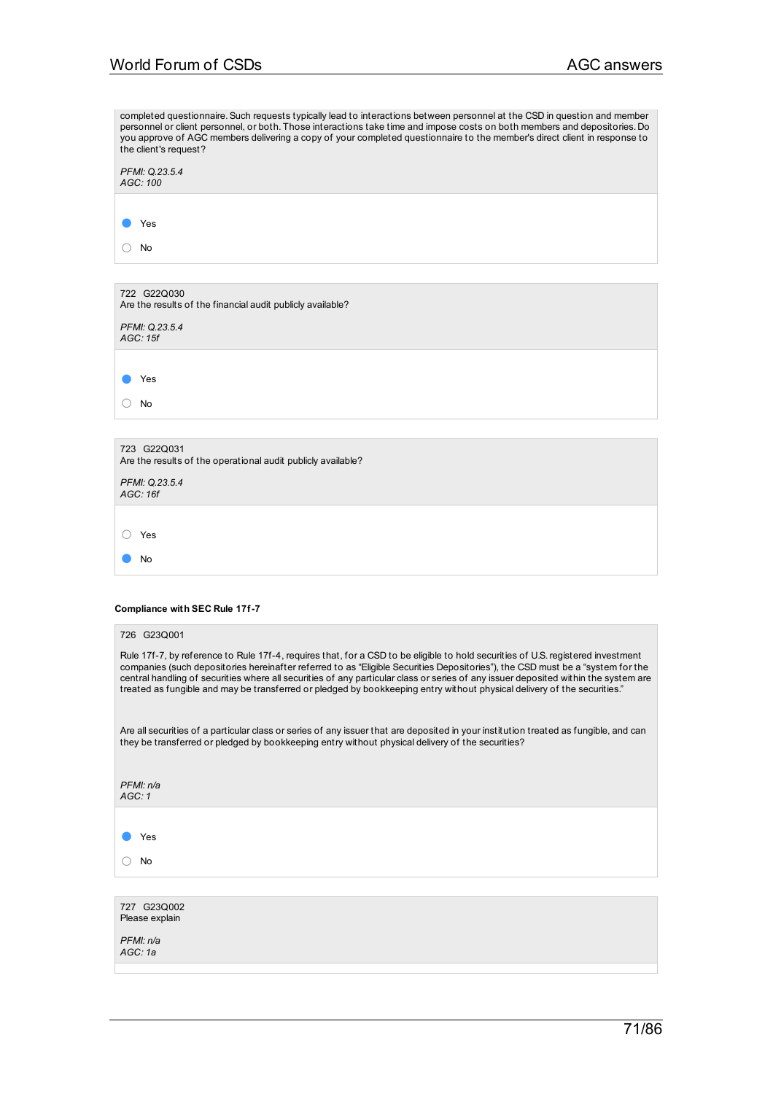| completed questionnaire. Such requests typically lead to interactions between personnel at the CSD in question and member                                                                                                                                                                                                                                                                                                                                                                                                             |
|---------------------------------------------------------------------------------------------------------------------------------------------------------------------------------------------------------------------------------------------------------------------------------------------------------------------------------------------------------------------------------------------------------------------------------------------------------------------------------------------------------------------------------------|
| personnel or client personnel, or both. Those interactions take time and impose costs on both members and depositories. Do<br>you approve of AGC members delivering a copy of your completed questionnaire to the member's direct client in response to<br>the client's request?                                                                                                                                                                                                                                                      |
| PFMI: Q.23.5.4<br>AGC: 100                                                                                                                                                                                                                                                                                                                                                                                                                                                                                                            |
| Yes                                                                                                                                                                                                                                                                                                                                                                                                                                                                                                                                   |
| No<br>0                                                                                                                                                                                                                                                                                                                                                                                                                                                                                                                               |
|                                                                                                                                                                                                                                                                                                                                                                                                                                                                                                                                       |
| 722 G22Q030<br>Are the results of the financial audit publicly available?                                                                                                                                                                                                                                                                                                                                                                                                                                                             |
| PFMI: Q.23.5.4<br>AGC: 15f                                                                                                                                                                                                                                                                                                                                                                                                                                                                                                            |
| Yes                                                                                                                                                                                                                                                                                                                                                                                                                                                                                                                                   |
| No                                                                                                                                                                                                                                                                                                                                                                                                                                                                                                                                    |
|                                                                                                                                                                                                                                                                                                                                                                                                                                                                                                                                       |
| 723 G22Q031<br>Are the results of the operational audit publicly available?                                                                                                                                                                                                                                                                                                                                                                                                                                                           |
| PFMI: Q.23.5.4<br>AGC: 16f                                                                                                                                                                                                                                                                                                                                                                                                                                                                                                            |
|                                                                                                                                                                                                                                                                                                                                                                                                                                                                                                                                       |
| Yes<br>$\left( \ \right)$<br>No                                                                                                                                                                                                                                                                                                                                                                                                                                                                                                       |
|                                                                                                                                                                                                                                                                                                                                                                                                                                                                                                                                       |
| <b>Compliance with SEC Rule 17f-7</b>                                                                                                                                                                                                                                                                                                                                                                                                                                                                                                 |
| 726 G23Q001                                                                                                                                                                                                                                                                                                                                                                                                                                                                                                                           |
| Rule 17f-7, by reference to Rule 17f-4, requires that, for a CSD to be eligible to hold securities of U.S. registered investment<br>companies (such depositories hereinafter referred to as "Eligible Securities Depositories"), the CSD must be a "system for the<br>central handling of securities where all securities of any particular class or series of any issuer deposited within the system are<br>treated as fungible and may be transferred or pledged by bookkeeping entry without physical delivery of the securities." |
| Are all securities of a particular class or series of any issuer that are deposited in your institution treated as fungible, and can<br>they be transferred or pledged by bookkeeping entry without physical delivery of the securities?                                                                                                                                                                                                                                                                                              |
| PFMI: n/a<br>AGC: 1                                                                                                                                                                                                                                                                                                                                                                                                                                                                                                                   |
|                                                                                                                                                                                                                                                                                                                                                                                                                                                                                                                                       |
| Yes                                                                                                                                                                                                                                                                                                                                                                                                                                                                                                                                   |
| No                                                                                                                                                                                                                                                                                                                                                                                                                                                                                                                                    |

727 G23Q002 Please explain *PFMI: n/a*

*AGC: 1a*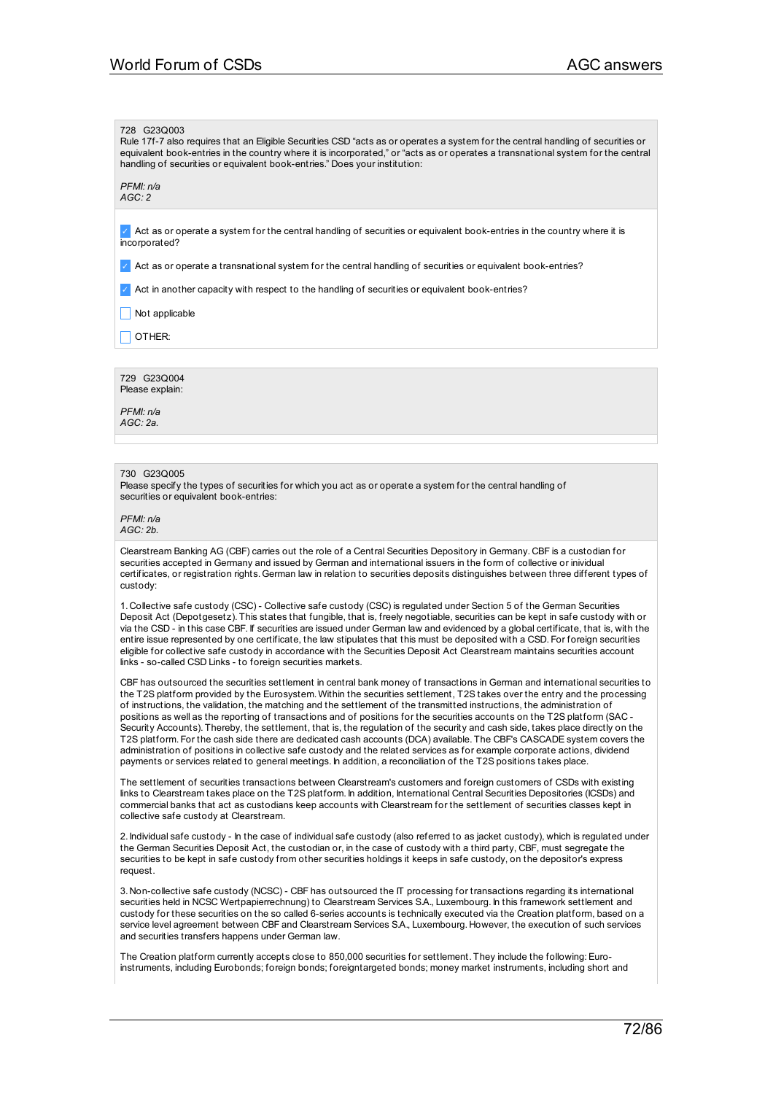#### 728 G23Q003

Rule 17f-7 also requires that an Eligible Securities CSD "acts as or operates a system for the central handling of securities or equivalent book-entries in the country where it is incorporated," or "acts as or operates a transnational system for the central handling of securities or equivalent book-entries." Does your institution:

*PFMI: n/a AGC: 2*

✓ Act as or operate a system for the central handling of securities or equivalent book-entries in the country where it is incorporated?

✓ Act as or operate a transnational system for the central handling of securities or equivalent book-entries?

✓ Act in another capacity with respect to the handling of securities or equivalent book-entries?

 $\Box$  Not applicable

 $\Box$  OTHER:

729 G23Q004 Please explain:

*PFMI: n/a AGC: 2a.*

#### 730 G23Q005

Please specify the types of securities for which you act as or operate a system for the central handling of securities or equivalent book-entries:

#### *PFMI: n/a AGC: 2b.*

Clearstream Banking AG (CBF) carries out the role of a Central Securities Depository in Germany. CBF is a custodian for securities accepted in Germany and issued by German and international issuers in the form of collective or inividual certificates, or registration rights. German law in relation to securities deposits distinguishes between three different types of custody:

1. Collective safe custody (CSC) - Collective safe custody (CSC) is regulated under Section 5 of the German Securities Deposit Act (Depotgesetz). This states that fungible, that is, freely negotiable, securities can be kept in safe custody with or via the CSD - in this case CBF. If securities are issued under German law and evidenced by a global certificate, that is, with the entire issue represented by one certificate, the law stipulates that this must be deposited with a CSD. For foreign securities eligible for collective safe custody in accordance with the Securities Deposit Act Clearstream maintains securities account links - so-called CSD Links - to foreign securities markets.

CBF has outsourced the securities settlement in central bank money of transactions in German and international securities to the T2S platform provided by the Eurosystem. Within the securities settlement, T2S takes over the entry and the processing of instructions, the validation, the matching and the settlement of the transmitted instructions, the administration of positions as well as the reporting of transactions and of positions for the securities accounts on the T2S platform (SAC - Security Accounts). Thereby, the settlement, that is, the regulation of the security and cash side, takes place directly on the T2S platform. For the cash side there are dedicated cash accounts (DCA) available. The CBF's CASCADE system covers the administration of positions in collective safe custody and the related services as for example corporate actions, dividend payments or services related to general meetings. In addition, a reconciliation of the T2S positions takes place.

The settlement of securities transactions between Clearstream's customers and foreign customers of CSDs with existing links to Clearstream takes place on the T2S platform. In addition, International Central Securities Depositories (ICSDs) and commercial banks that act as custodians keep accounts with Clearstream for the settlement of securities classes kept in collective safe custody at Clearstream.

2. Individual safe custody - In the case of individual safe custody (also referred to as jacket custody), which is regulated under the German Securities Deposit Act, the custodian or, in the case of custody with a third party, CBF, must segregate the securities to be kept in safe custody from other securities holdings it keeps in safe custody, on the depositor's express request.

3. Non-collective safe custody (NCSC) - CBF has outsourced the IT processing for transactions regarding its international securities held in NCSC Wertpapierrechnung) to Clearstream Services S.A., Luxembourg. In this framework settlement and custody for these securities on the so called 6-series accounts is technically executed via the Creation platform, based on a service level agreement between CBF and Clearstream Services S.A., Luxembourg. However, the execution of such services and securities transfers happens under German law.

The Creation platform currently accepts close to 850,000 securities for settlement. They include the following:Euroinstruments, including Eurobonds; foreign bonds; foreigntargeted bonds; money market instruments, including short and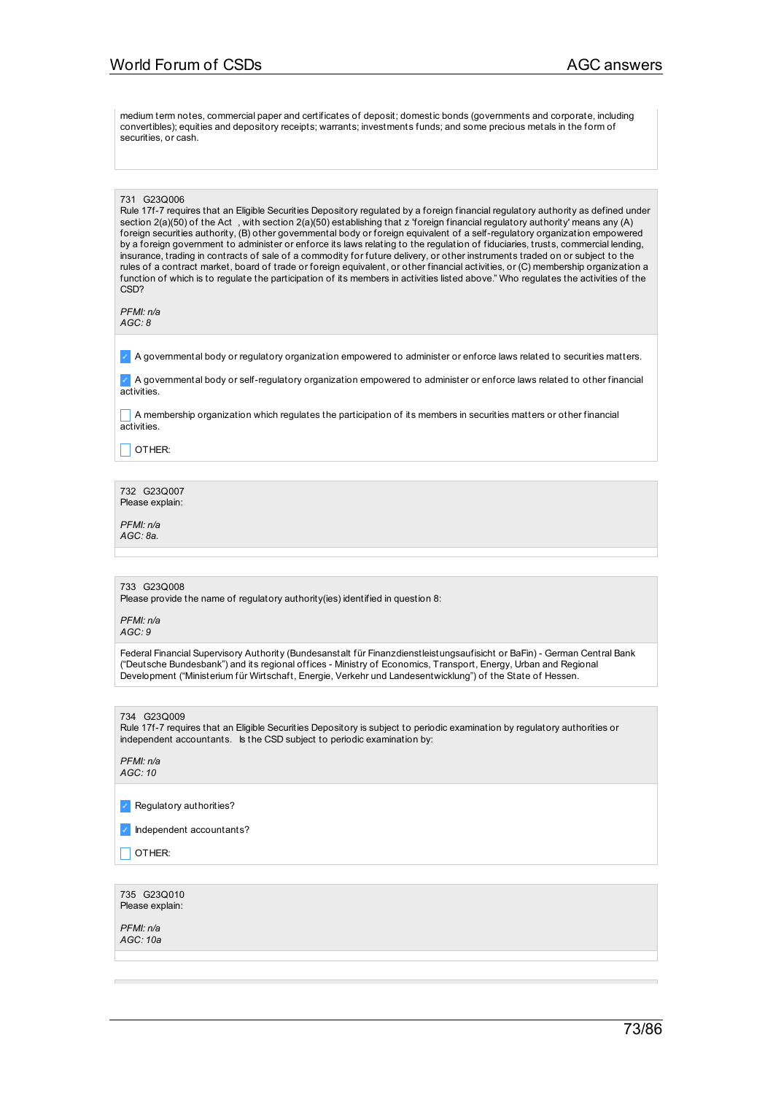medium term notes, commercial paper and certificates of deposit; domestic bonds (governments and corporate, including convertibles); equities and depository receipts; warrants; investments funds; and some precious metals in the form of securities, or cash.

#### 731 G23Q006

Rule 17f-7 requires that an Eligible Securities Depository regulated by a foreign financial regulatory authority as defined under section 2(a)(50) of the Act , with section 2(a)(50) establishing that z 'foreign financial regulatory authority' means any (A) foreign securities authority, (B) other governmental body or foreign equivalent of a self-regulatory organization empowered by a foreign government to administer or enforce its laws relating to the regulation of fiduciaries, trusts, commercial lending, insurance, trading in contracts of sale of a commodity for future delivery, or other instruments traded on or subject to the rules of a contract market, board of trade or foreign equivalent, or other financial activities, or (C) membership organization a function of which is to regulate the participation of its members in activities listed above." Who regulates the activities of the C<sub>SD</sub>?

*PFMI: n/a AGC: 8*

✓ A governmental body or regulatory organization empowered to administer or enforce laws related to securities matters.

✓ A governmental body or self-regulatory organization empowered to administer or enforce laws related to other financial activities.

 $\Box$  A membership organization which regulates the participation of its members in securities matters or other financial activities.

 $\Box$  OTHER:

732 G23Q007 Please explain:

*PFMI: n/a AGC: 8a.*

## 733 G23Q008

Please provide the name of regulatory authority(ies) identified in question 8:

*PFMI: n/a AGC: 9*

Federal Financial Supervisory Authority (Bundesanstalt für Finanzdienstleistungsaufisicht or BaFin) - German Central Bank ("Deutsche Bundesbank") and its regional offices - Ministry of Economics, Transport, Energy, Urban and Regional Development ("Ministerium für Wirtschaft, Energie, Verkehr und Landesentwicklung") of the State of Hessen.

734 G23Q009 Rule 17f-7 requires that an Eligible Securities Depository is subject to periodic examination by regulatory authorities or independent accountants. Is the CSD subject to periodic examination by:

*PFMI: n/a AGC: 10*

✓ Regulatory authorities?

✓ Independent accountants?

 $\Box$  OTHER:

735 G23Q010 Please explain:

*PFMI: n/a AGC: 10a*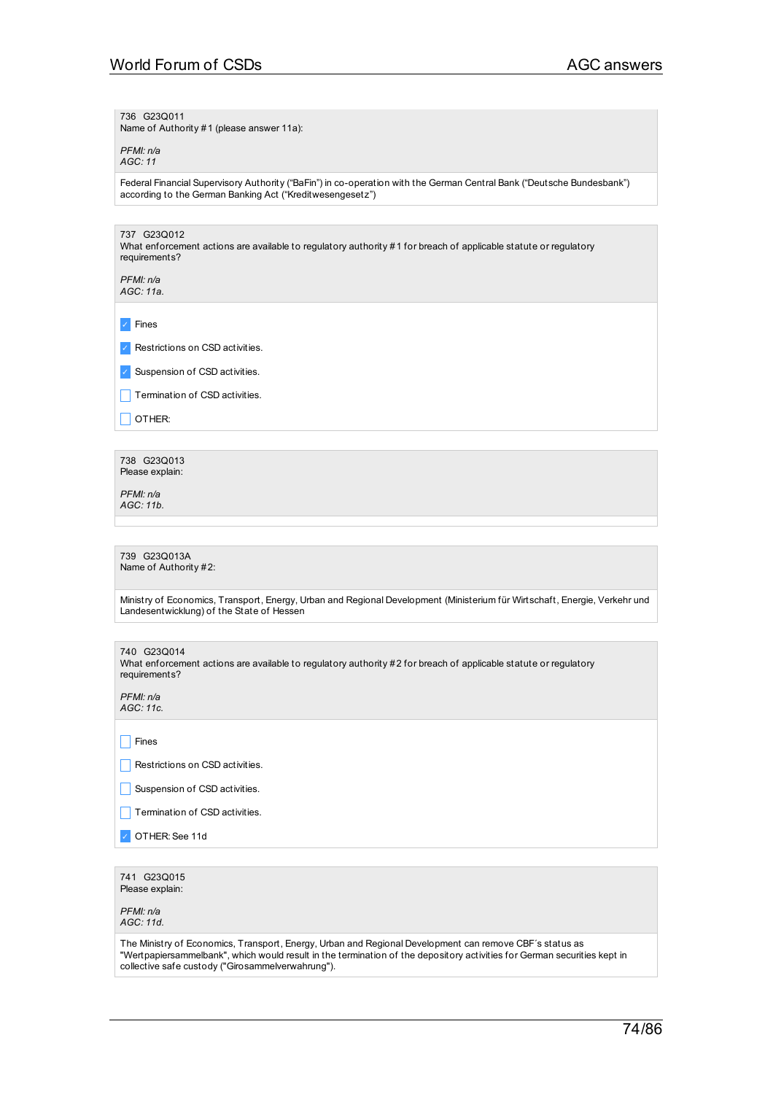736 G23Q011

Name of Authority #1 (please answer 11a):

*PFMI: n/a AGC: 11*

Federal Financial Supervisory Authority ("BaFin") in co-operation with the German Central Bank ("Deutsche Bundesbank") according to the German Banking Act ("Kreditwesengesetz")

737 G23Q012 What enforcement actions are available to regulatory authority #1 for breach of applicable statute or regulatory requirements?

*PFMI: n/a AGC: 11a.*

✓ Fines

✓ Restrictions on CSD activities.

✓ Suspension of CSD activities.

 $\Box$  Termination of CSD activities.

 $\Box$  OTHER:

738 G23Q013 Please explain:

*PFMI: n/a AGC: 11b.*

739 G23Q013A Name of Authority #2:

Ministry of Economics, Transport, Energy, Urban and Regional Development (Ministerium für Wirtschaft, Energie, Verkehr und Landesentwicklung) of the State of Hessen

| 740 G23Q014<br>What enforcement actions are available to regulatory authority #2 for breach of applicable statute or regulatory<br>requirements? |
|--------------------------------------------------------------------------------------------------------------------------------------------------|
| PFMI: n/a<br>AGC: 11c.                                                                                                                           |
|                                                                                                                                                  |
| Fines                                                                                                                                            |
| Restrictions on CSD activities.                                                                                                                  |
| Suspension of CSD activities.                                                                                                                    |
| Termination of CSD activities.                                                                                                                   |
| OTHER: See 11d                                                                                                                                   |
|                                                                                                                                                  |
| 741 G23Q015<br>Please explain:                                                                                                                   |

*PFMI: n/a AGC: 11d.*

The Ministry of Economics, Transport, Energy, Urban and Regional Development can remove CBF´s status as "Wertpapiersammelbank", which would result in the termination of the depository activities for German securities kept in collective safe custody ("Girosammelverwahrung").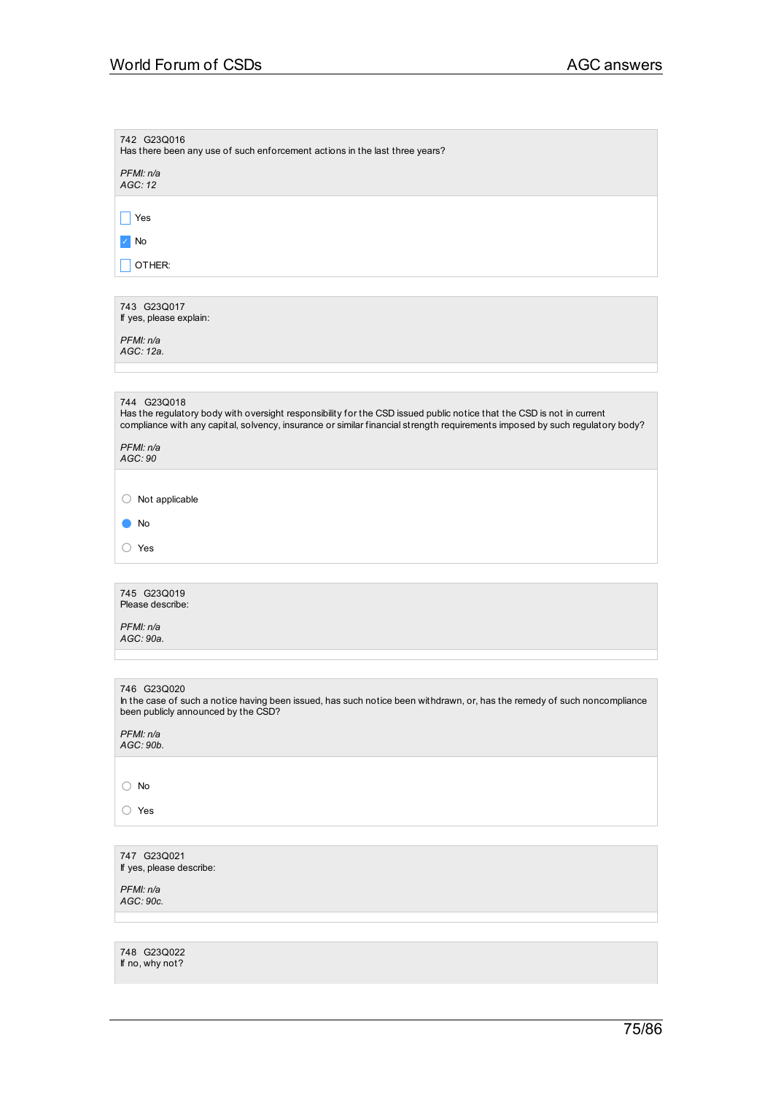# World Forum of CSDs **AGC** answers

If no, why not?

| 742 G23Q016<br>Has there been any use of such enforcement actions in the last three years?                                                                                                                                                                           |
|----------------------------------------------------------------------------------------------------------------------------------------------------------------------------------------------------------------------------------------------------------------------|
| PFMI: n/a<br>AGC: 12                                                                                                                                                                                                                                                 |
| Yes                                                                                                                                                                                                                                                                  |
| No                                                                                                                                                                                                                                                                   |
| OTHER:                                                                                                                                                                                                                                                               |
|                                                                                                                                                                                                                                                                      |
| 743 G23Q017<br>If yes, please explain:                                                                                                                                                                                                                               |
| PFMI: n/a<br>AGC: 12a.                                                                                                                                                                                                                                               |
|                                                                                                                                                                                                                                                                      |
| 744 G23Q018<br>Has the regulatory body with oversight responsibility for the CSD issued public notice that the CSD is not in current<br>compliance with any capital, solvency, insurance or similar financial strength requirements imposed by such regulatory body? |
| PFMI: n/a<br>AGC: 90                                                                                                                                                                                                                                                 |
|                                                                                                                                                                                                                                                                      |
| Not applicable<br>O                                                                                                                                                                                                                                                  |
| No                                                                                                                                                                                                                                                                   |
| ◯ Yes                                                                                                                                                                                                                                                                |
|                                                                                                                                                                                                                                                                      |
| 745 G23Q019<br>Please describe:                                                                                                                                                                                                                                      |
| PFMI: n/a<br>AGC: 90a.                                                                                                                                                                                                                                               |
|                                                                                                                                                                                                                                                                      |
| 746 G23Q020<br>In the case of such a notice having been issued, has such notice been withdrawn, or, has the remedy of such noncompliance<br>been publicly announced by the CSD?<br>PFMI: n/a<br>AGC: 90b.                                                            |
|                                                                                                                                                                                                                                                                      |
| $\bigcirc$ No                                                                                                                                                                                                                                                        |
| ◯ Yes                                                                                                                                                                                                                                                                |
|                                                                                                                                                                                                                                                                      |
| 747 G23Q021<br>If yes, please describe:                                                                                                                                                                                                                              |
| PFMI: n/a<br>AGC: 90c.                                                                                                                                                                                                                                               |
|                                                                                                                                                                                                                                                                      |
| 748 G23Q022                                                                                                                                                                                                                                                          |

75/86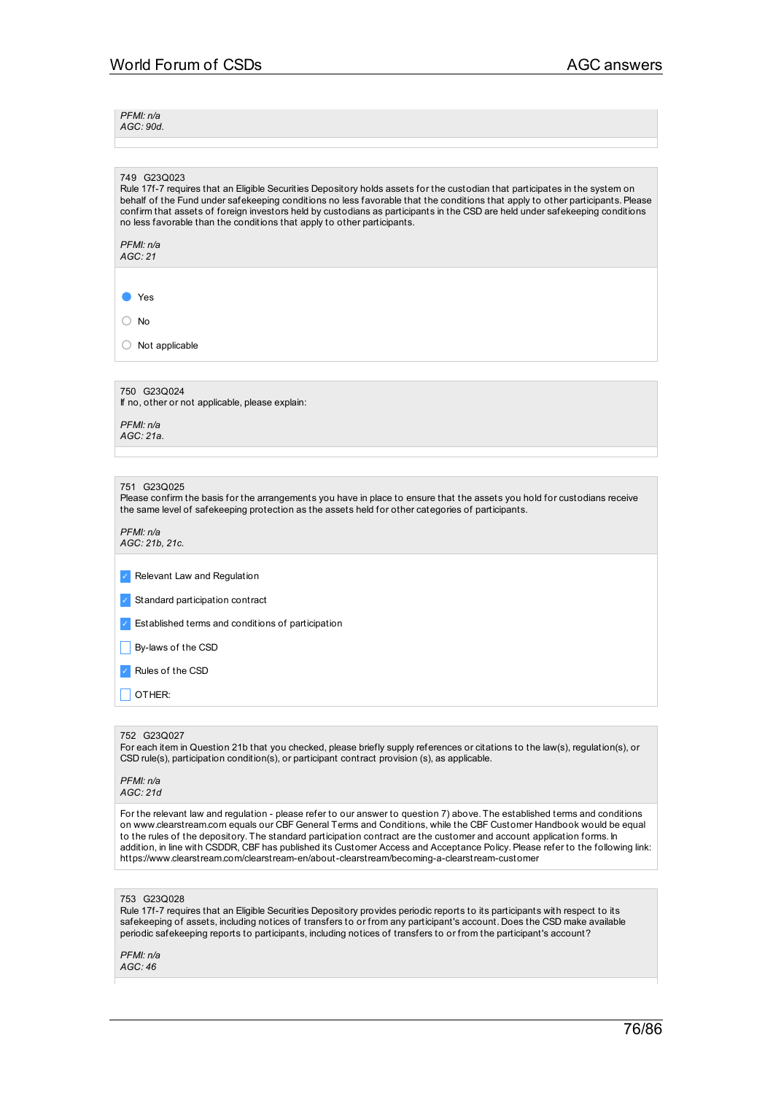*PFMI: n/a AGC: 90d.*

#### 749 G23Q023

Rule 17f-7 requires that an Eligible Securities Depository holds assets for the custodian that participates in the system on behalf of the Fund under safekeeping conditions no less favorable that the conditions that apply to other participants. Please confirm that assets of foreign investors held by custodians as participants in the CSD are held under safekeeping conditions no less favorable than the conditions that apply to other participants.

#### *PFMI: n/a AGC: 21*

● Yes

○ No

○ Not applicable

750 G23Q024 If no, other or not applicable, please explain:

*PFMI: n/a AGC: 21a.*

## 751 G23Q025

Please confirm the basis for the arrangements you have in place to ensure that the assets you hold for custodians receive the same level of safekeeping protection as the assets held for other categories of participants.

*PFMI: n/a AGC: 21b, 21c.*

✓ Relevant Law and Regulation

✓ Standard participation contract

✓ Established terms and conditions of participation

 $\Box$  By-laws of the CSD

✓ Rules of the CSD

 $\Box$  OTHER:

## 752 G23Q027

For each item in Question 21b that you checked, please briefly supply references or citations to the law(s), regulation(s), or CSD rule(s), participation condition(s), or participant contract provision (s), as applicable.

*PFMI: n/a AGC: 21d*

For the relevant law and regulation - please refer to our answer to question 7) above. The established terms and conditions on www.clearstream.com equals our CBF General Terms and Conditions, while the CBF Customer Handbook would be equal to the rules of the depository. The standard participation contract are the customer and account application forms. In addition, in line with CSDDR, CBF has published its Customer Access and Acceptance Policy.Please refer to the following link: https://www.clearstream.com/clearstream-en/about-clearstream/becoming-a-clearstream-customer

#### 753 G23Q028

Rule 17f-7 requires that an Eligible Securities Depository provides periodic reports to its participants with respect to its safekeeping of assets, including notices of transfers to or from any participant's account. Does the CSD make available periodic safekeeping reports to participants, including notices of transfers to or from the participant's account?

*PFMI: n/a AGC: 46*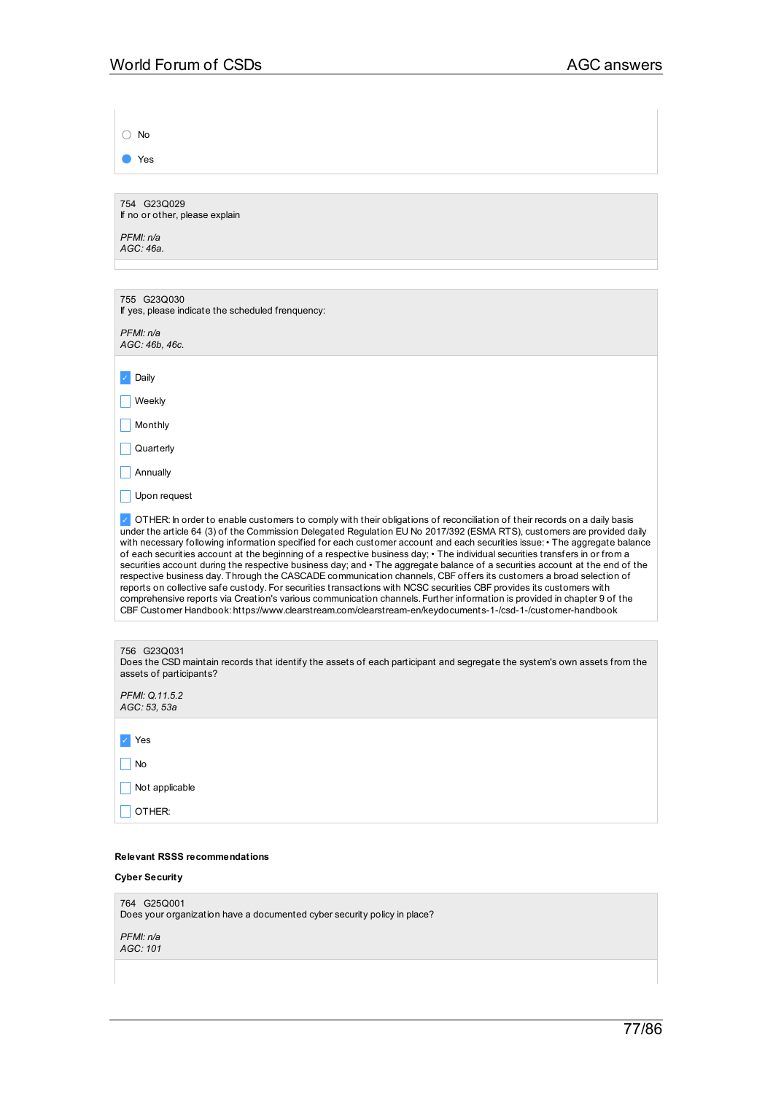| $\bigcirc$ No                                                                                                                                                                                                                                                                                                                                                                                                                                                                                                                                                                                                                                                                                                                                                                                                                                                                                                                                                                                                                                                                                                                              |
|--------------------------------------------------------------------------------------------------------------------------------------------------------------------------------------------------------------------------------------------------------------------------------------------------------------------------------------------------------------------------------------------------------------------------------------------------------------------------------------------------------------------------------------------------------------------------------------------------------------------------------------------------------------------------------------------------------------------------------------------------------------------------------------------------------------------------------------------------------------------------------------------------------------------------------------------------------------------------------------------------------------------------------------------------------------------------------------------------------------------------------------------|
| Yes                                                                                                                                                                                                                                                                                                                                                                                                                                                                                                                                                                                                                                                                                                                                                                                                                                                                                                                                                                                                                                                                                                                                        |
|                                                                                                                                                                                                                                                                                                                                                                                                                                                                                                                                                                                                                                                                                                                                                                                                                                                                                                                                                                                                                                                                                                                                            |
| 754 G23Q029<br>If no or other, please explain                                                                                                                                                                                                                                                                                                                                                                                                                                                                                                                                                                                                                                                                                                                                                                                                                                                                                                                                                                                                                                                                                              |
| PFMI: n/a                                                                                                                                                                                                                                                                                                                                                                                                                                                                                                                                                                                                                                                                                                                                                                                                                                                                                                                                                                                                                                                                                                                                  |
| AGC: 46a.                                                                                                                                                                                                                                                                                                                                                                                                                                                                                                                                                                                                                                                                                                                                                                                                                                                                                                                                                                                                                                                                                                                                  |
|                                                                                                                                                                                                                                                                                                                                                                                                                                                                                                                                                                                                                                                                                                                                                                                                                                                                                                                                                                                                                                                                                                                                            |
| 755 G23Q030<br>If yes, please indicate the scheduled frenquency:                                                                                                                                                                                                                                                                                                                                                                                                                                                                                                                                                                                                                                                                                                                                                                                                                                                                                                                                                                                                                                                                           |
| PFMI: n/a                                                                                                                                                                                                                                                                                                                                                                                                                                                                                                                                                                                                                                                                                                                                                                                                                                                                                                                                                                                                                                                                                                                                  |
| AGC: 46b, 46c.                                                                                                                                                                                                                                                                                                                                                                                                                                                                                                                                                                                                                                                                                                                                                                                                                                                                                                                                                                                                                                                                                                                             |
| Daily                                                                                                                                                                                                                                                                                                                                                                                                                                                                                                                                                                                                                                                                                                                                                                                                                                                                                                                                                                                                                                                                                                                                      |
| Weekly                                                                                                                                                                                                                                                                                                                                                                                                                                                                                                                                                                                                                                                                                                                                                                                                                                                                                                                                                                                                                                                                                                                                     |
| Monthly                                                                                                                                                                                                                                                                                                                                                                                                                                                                                                                                                                                                                                                                                                                                                                                                                                                                                                                                                                                                                                                                                                                                    |
| Quarterly                                                                                                                                                                                                                                                                                                                                                                                                                                                                                                                                                                                                                                                                                                                                                                                                                                                                                                                                                                                                                                                                                                                                  |
| Annually                                                                                                                                                                                                                                                                                                                                                                                                                                                                                                                                                                                                                                                                                                                                                                                                                                                                                                                                                                                                                                                                                                                                   |
| Upon request                                                                                                                                                                                                                                                                                                                                                                                                                                                                                                                                                                                                                                                                                                                                                                                                                                                                                                                                                                                                                                                                                                                               |
| OTHER: In order to enable customers to comply with their obligations of reconciliation of their records on a daily basis<br>under the article 64 (3) of the Commission Delegated Regulation EU No 2017/392 (ESMA RTS), customers are provided daily<br>with necessary following information specified for each customer account and each securities issue: • The aggregate balance<br>of each securities account at the beginning of a respective business day; • The individual securities transfers in or from a<br>securities account during the respective business day; and • The aggregate balance of a securities account at the end of the<br>respective business day. Through the CASCADE communication channels, CBF offers its customers a broad selection of<br>reports on collective safe custody. For securities transactions with NCSC securities CBF provides its customers with<br>comprehensive reports via Creation's various communication channels. Further information is provided in chapter 9 of the<br>CBF Customer Handbook: https://www.clearstream.com/clearstream-en/keydocuments-1-/csd-1-/customer-handbook |
|                                                                                                                                                                                                                                                                                                                                                                                                                                                                                                                                                                                                                                                                                                                                                                                                                                                                                                                                                                                                                                                                                                                                            |
| 756 G23Q031<br>Does the CSD maintain records that identify the assets of each participant and segregate the system's own assets from the<br>assets of participants?                                                                                                                                                                                                                                                                                                                                                                                                                                                                                                                                                                                                                                                                                                                                                                                                                                                                                                                                                                        |
| PFMI: Q.11.5.2<br>AGC: 53, 53a                                                                                                                                                                                                                                                                                                                                                                                                                                                                                                                                                                                                                                                                                                                                                                                                                                                                                                                                                                                                                                                                                                             |
|                                                                                                                                                                                                                                                                                                                                                                                                                                                                                                                                                                                                                                                                                                                                                                                                                                                                                                                                                                                                                                                                                                                                            |
| Yes                                                                                                                                                                                                                                                                                                                                                                                                                                                                                                                                                                                                                                                                                                                                                                                                                                                                                                                                                                                                                                                                                                                                        |
| No                                                                                                                                                                                                                                                                                                                                                                                                                                                                                                                                                                                                                                                                                                                                                                                                                                                                                                                                                                                                                                                                                                                                         |
| Not applicable                                                                                                                                                                                                                                                                                                                                                                                                                                                                                                                                                                                                                                                                                                                                                                                                                                                                                                                                                                                                                                                                                                                             |
| OTHER:                                                                                                                                                                                                                                                                                                                                                                                                                                                                                                                                                                                                                                                                                                                                                                                                                                                                                                                                                                                                                                                                                                                                     |
| <b>Relevant RSSS recommendations</b>                                                                                                                                                                                                                                                                                                                                                                                                                                                                                                                                                                                                                                                                                                                                                                                                                                                                                                                                                                                                                                                                                                       |

**Cyber Security**

764 G25Q001 Does your organization have a documented cyber security policy in place? *PFMI: n/a*

*AGC: 101*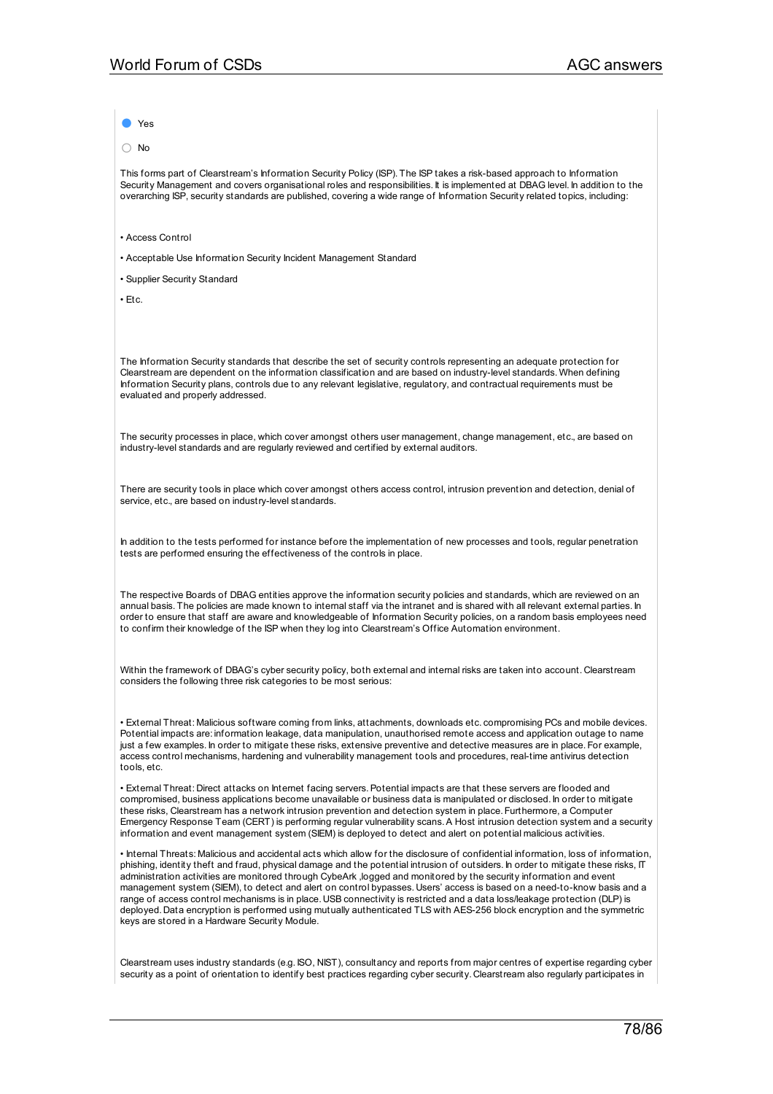Yes

○ No

This forms part of Clearstream's Information Security Policy (ISP). The ISP takes a risk-based approach to Information Security Management and covers organisational roles and responsibilities. It is implemented at DBAG level. In addition to the overarching ISP, security standards are published, covering a wide range of Information Security related topics, including:

• Access Control

• Acceptable Use Information Security Incident Management Standard

• Supplier Security Standard

• Etc.

The Information Security standards that describe the set of security controls representing an adequate protection for Clearstream are dependent on the information classification and are based on industry-level standards. When defining Information Security plans, controls due to any relevant legislative, regulatory, and contractual requirements must be evaluated and properly addressed.

The security processes in place, which cover amongst others user management, change management, etc., are based on industry-level standards and are regularly reviewed and certified by external auditors.

There are security tools in place which cover amongst others access control, intrusion prevention and detection, denial of service, etc., are based on industry-level standards.

In addition to the tests performed for instance before the implementation of new processes and tools, regular penetration tests are performed ensuring the effectiveness of the controls in place.

The respective Boards of DBAG entities approve the information security policies and standards, which are reviewed on an annual basis. The policies are made known to internal staff via the intranet and is shared with all relevant external parties. In order to ensure that staff are aware and knowledgeable of Information Security policies, on a random basis employees need to confirm their knowledge of the ISP when they log into Clearstream's Office Automation environment.

Within the framework of DBAG's cyber security policy, both external and internal risks are taken into account. Clearstream considers the following three risk categories to be most serious:

• External Threat: Malicious software coming from links, attachments, downloads etc. compromising PCs and mobile devices. Potential impacts are: information leakage, data manipulation, unauthorised remote access and application outage to name just a few examples. In order to mitigate these risks, extensive preventive and detective measures are in place. For example, access control mechanisms, hardening and vulnerability management tools and procedures, real-time antivirus detection tools, etc.

• External Threat: Direct attacks on Internet facing servers.Potential impacts are that these servers are flooded and compromised, business applications become unavailable or business data is manipulated or disclosed. In order to mitigate these risks, Clearstream has a network intrusion prevention and detection system in place. Furthermore, a Computer Emergency Response Team (CERT) is performing regular vulnerability scans.A Host intrusion detection system and a security information and event management system (SIEM) is deployed to detect and alert on potential malicious activities.

• Internal Threats: Malicious and accidental acts which allow for the disclosure of confidential information, loss of information, phishing, identity theft and fraud, physical damage and the potential intrusion of outsiders. In order to mitigate these risks, IT administration activities are monitored through CybeArk ,logged and monitored by the security information and event management system (SIEM), to detect and alert on control bypasses. Users' access is based on a need-to-know basis and a range of access control mechanisms is in place. USB connectivity is restricted and a data loss/leakage protection (DLP) is deployed. Data encryption is performed using mutually authenticated TLS with AES-256 block encryption and the symmetric keys are stored in a Hardware Security Module.

Clearstream uses industry standards (e.g. ISO, NIST), consultancy and reports from major centres of expertise regarding cyber security as a point of orientation to identify best practices regarding cyber security. Clearstream also regularly participates in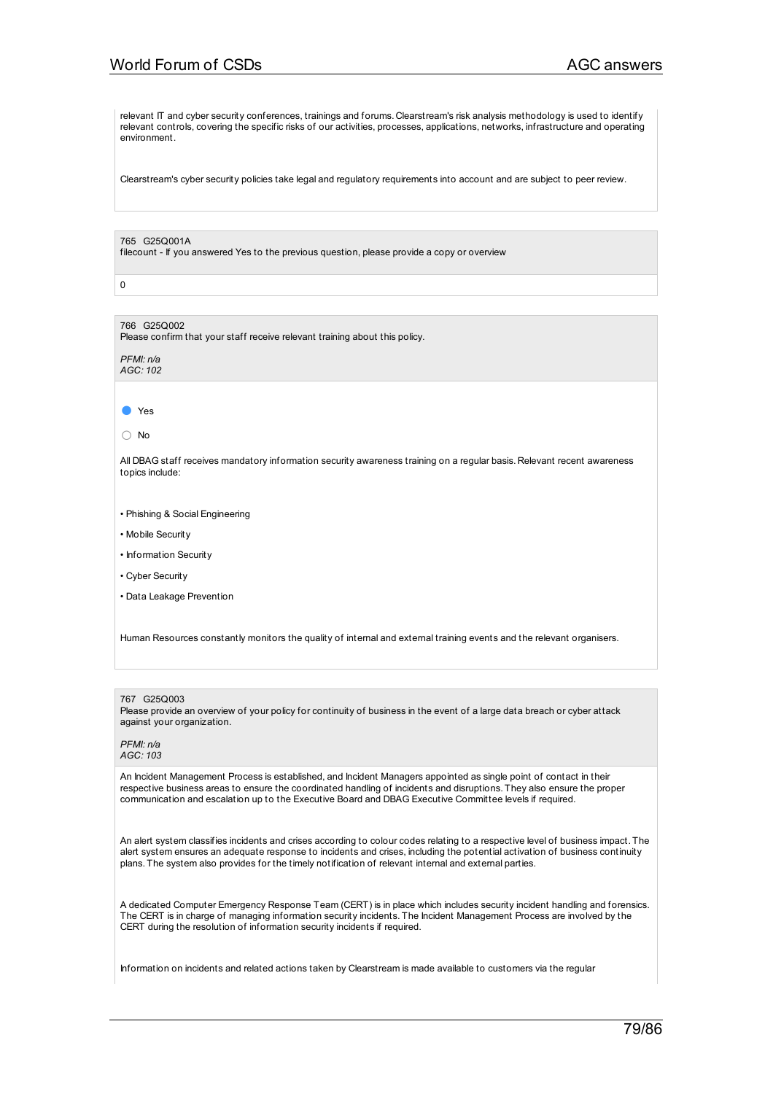relevant IT and cyber security conferences, trainings and forums. Clearstream's risk analysis methodology is used to identify relevant controls, covering the specific risks of our activities, processes, applications, networks, infrastructure and operating environment.

Clearstream's cyber security policies take legal and regulatory requirements into account and are subject to peer review.

#### 765 G25Q001A

filecount - If you answered Yes to the previous question, please provide a copy or overview

0

# 766 G25Q002

Please confirm that your staff receive relevant training about this policy.

*PFMI: n/a AGC: 102*

#### ● Yes

○ No

All DBAG staff receives mandatory information security awareness training on a regular basis. Relevant recent awareness topics include:

- Phishing & Social Engineering
- Mobile Security
- Information Security
- Cyber Security
- Data Leakage Prevention

Human Resources constantly monitors the quality of internal and external training events and the relevant organisers.

#### 767 G25Q003

Please provide an overview of your policy for continuity of business in the event of a large data breach or cyber attack against your organization.

#### *PFMI: n/a AGC: 103*

An Incident Management Process is established, and Incident Managers appointed as single point of contact in their respective business areas to ensure the coordinated handling of incidents and disruptions. They also ensure the proper communication and escalation up to the Executive Board and DBAG Executive Committee levels if required.

An alert system classifies incidents and crises according to colour codes relating to a respective level of business impact. The alert system ensures an adequate response to incidents and crises, including the potential activation of business continuity plans. The system also provides for the timely notification of relevant internal and external parties.

A dedicated Computer Emergency Response Team (CERT) is in place which includes security incident handling and forensics. The CERT is in charge of managing information security incidents. The Incident Management Process are involved by the CERT during the resolution of information security incidents if required.

Information on incidents and related actions taken by Clearstream is made available to customers via the regular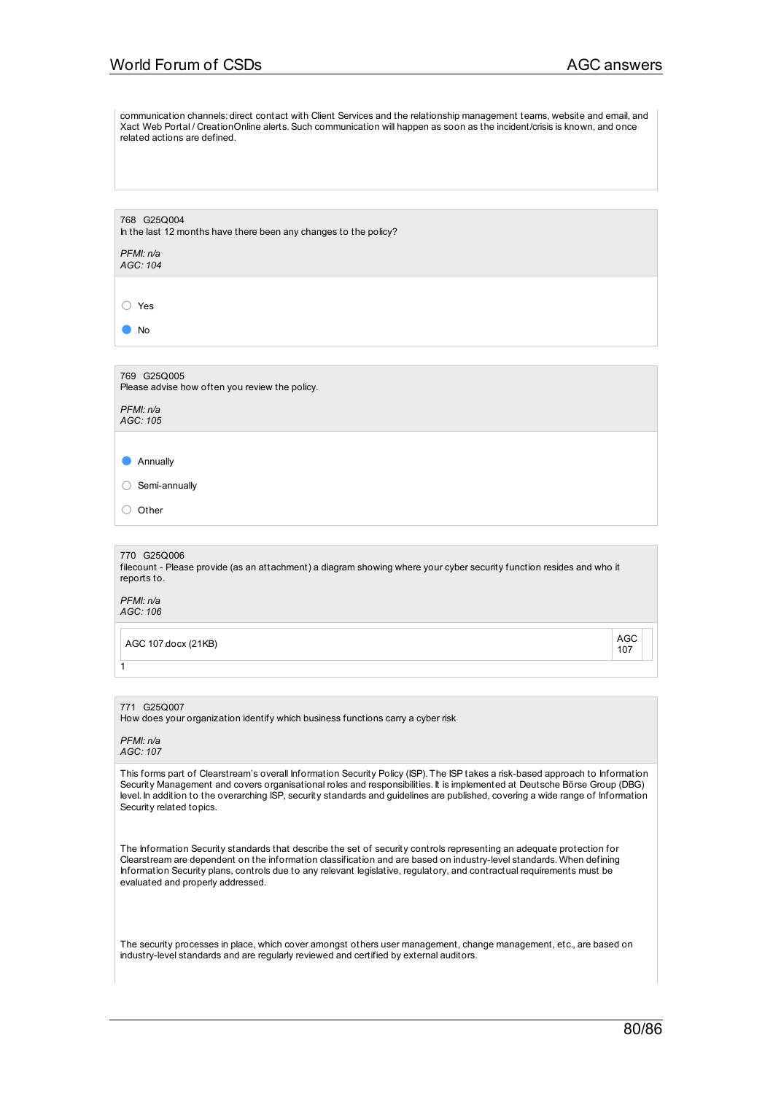communication channels: direct contact with Client Services and the relationship management teams, website and email, and Xact Web Portal / CreationOnline alerts. Such communication will happen as soon as the incident/crisis is known, and once related actions are defined.

768 G25Q004 In the last 12 months have there been any changes to the policy?

*PFMI: n/a AGC: 104*

○ Yes

● No

769 G25Q005 Please advise how often you review the policy.

*PFMI: n/a AGC: 105*

● Annually

○ Semi-annually

○ Other

770 G25Q006

filecount - Please provide (as an attachment) a diagram showing where your cyber security function resides and who it reports to.

*PFMI: n/a AGC: 106*

1

AGC 107.docx (21KB) AGC

107

771 G25Q007

How does your organization identify which business functions carry a cyber risk

*PFMI: n/a AGC: 107*

This forms part of Clearstream's overall Information Security Policy (ISP). The ISP takes a risk-based approach to Information Security Management and covers organisational roles and responsibilities. It is implemented at Deutsche Börse Group (DBG) level. In addition to the overarching ISP, security standards and guidelines are published, covering a wide range of Information Security related topics.

The Information Security standards that describe the set of security controls representing an adequate protection for Clearstream are dependent on the information classification and are based on industry-level standards. When defining Information Security plans, controls due to any relevant legislative, regulatory, and contractual requirements must be evaluated and properly addressed.

The security processes in place, which cover amongst others user management, change management, etc., are based on industry-level standards and are regularly reviewed and certified by external auditors.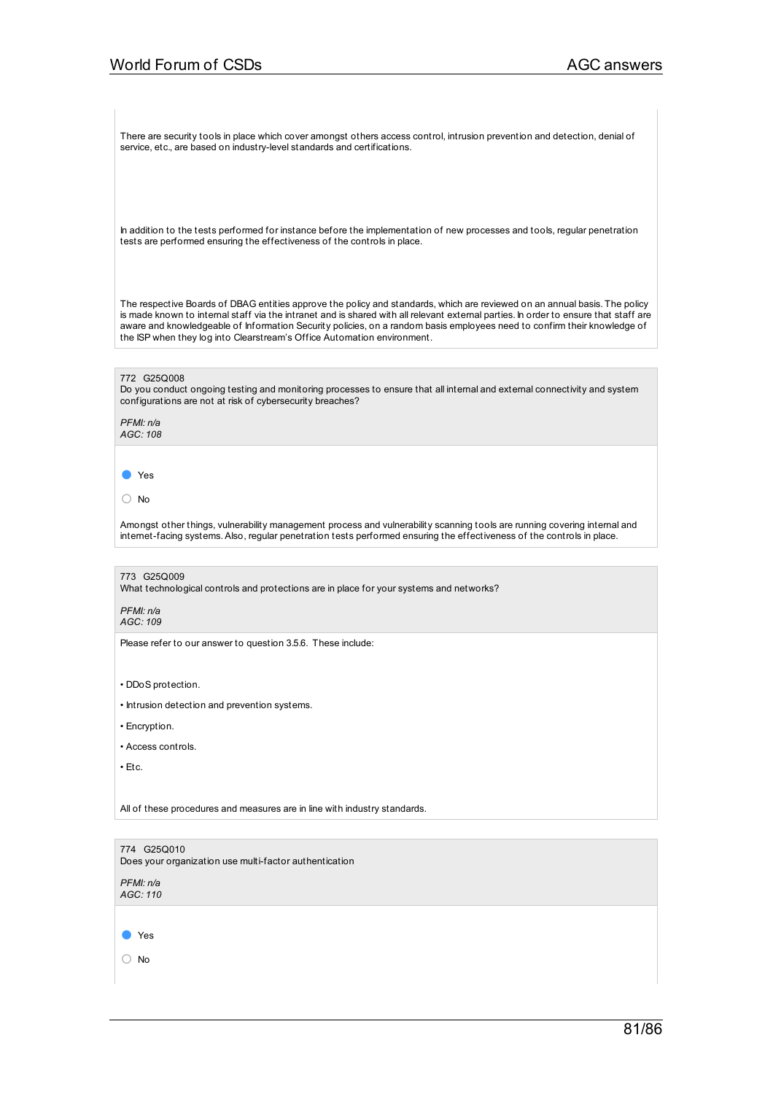There are security tools in place which cover amongst others access control, intrusion prevention and detection, denial of service, etc., are based on industry-level standards and certifications.

In addition to the tests performed for instance before the implementation of new processes and tools, regular penetration tests are performed ensuring the effectiveness of the controls in place.

The respective Boards of DBAG entities approve the policy and standards, which are reviewed on an annual basis. The policy is made known to internal staff via the intranet and is shared with all relevant external parties. In order to ensure that staff are aware and knowledgeable of Information Security policies, on a random basis employees need to confirm their knowledge of the ISP when they log into Clearstream's Office Automation environment.

#### 772 G25Q008

Do you conduct ongoing testing and monitoring processes to ensure that all internal and external connectivity and system configurations are not at risk of cybersecurity breaches?

*PFMI: n/a AGC: 108*

● Yes

○ No

Amongst other things, vulnerability management process and vulnerability scanning tools are running covering internal and internet-facing systems.Also, regular penetration tests performed ensuring the effectiveness of the controls in place.

773 G25Q009

What technological controls and protections are in place for your systems and networks?

*PFMI: n/a AGC: 109*

Please refer to our answer to question 3.5.6. These include:

• DDoS protection.

- Intrusion detection and prevention systems.
- Encryption.
- Access controls.

 $\cdot$  Etc.

All of these procedures and measures are in line with industry standards.

774 G25Q010

Does your organization use multi-factor authentication

*PFMI: n/a AGC: 110*

● Yes

○ No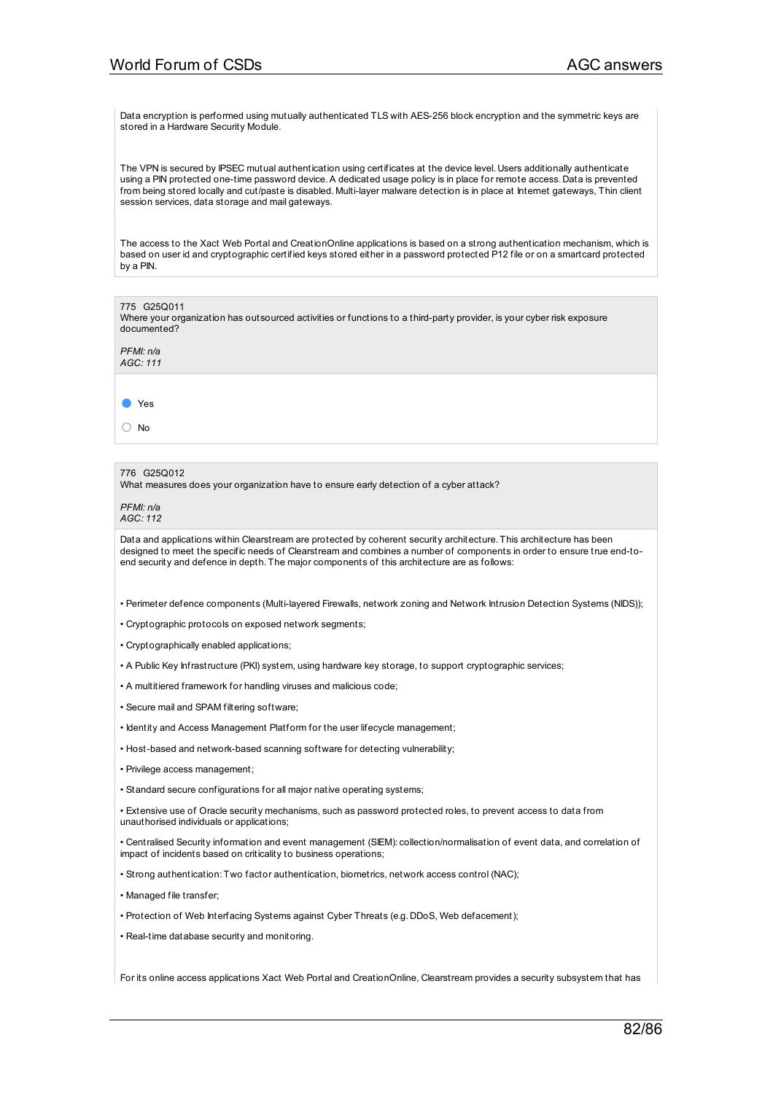Data encryption is performed using mutually authenticated TLS with AES-256 block encryption and the symmetric keys are stored in a Hardware Security Module.

The VPN is secured by IPSEC mutual authentication using certificates at the device level. Users additionally authenticate using a PIN protected one-time password device.A dedicated usage policy is in place for remote access. Data is prevented from being stored locally and cut/paste is disabled. Multi-layer malware detection is in place at Internet gateways, Thin client session services, data storage and mail gateways.

The access to the Xact Web Portal and CreationOnline applications is based on a strong authentication mechanism, which is based on user id and cryptographic certified keys stored either in a password protected P12 file or on a smartcard protected by a PIN.

775 G25Q011 Where your organization has outsourced activities or functions to a third-party provider, is your cyber risk exposure documented?

*PFMI: n/a AGC: 111*

● Yes

○ No

## 776 G25Q012

What measures does your organization have to ensure early detection of a cyber attack?

*PFMI: n/a AGC: 112*

Data and applications within Clearstream are protected by coherent security architecture. This architecture has been designed to meet the specific needs of Clearstream and combines a number of components in order to ensure true end-toend security and defence in depth. The major components of this architecture are as follows:

• Perimeter defence components (Multi-layered Firewalls, network zoning and Network Intrusion Detection Systems (NIDS));

• Cryptographic protocols on exposed network segments;

• Cryptographically enabled applications;

• A Public Key Infrastructure (PKI) system, using hardware key storage, to support cryptographic services;

• A multitiered framework for handling viruses and malicious code;

• Secure mail and SPAM filtering software;

• Identity and Access Management Platform for the user lifecycle management;

• Host-based and network-based scanning software for detecting vulnerability;

• Privilege access management;

• Standard secure configurations for all major native operating systems;

• Extensive use of Oracle security mechanisms, such as password protected roles, to prevent access to data from unauthorised individuals or applications;

• Centralised Security information and event management (SIEM): collection/normalisation of event data, and correlation of impact of incidents based on criticality to business operations;

• Strong authentication: Two factor authentication, biometrics, network access control (NAC);

• Managed file transfer;

• Protection of Web Interfacing Systems against Cyber Threats (e.g. DDoS, Web defacement);

• Real-time database security and monitoring.

For its online access applications Xact Web Portal and CreationOnline, Clearstream provides a security subsystem that has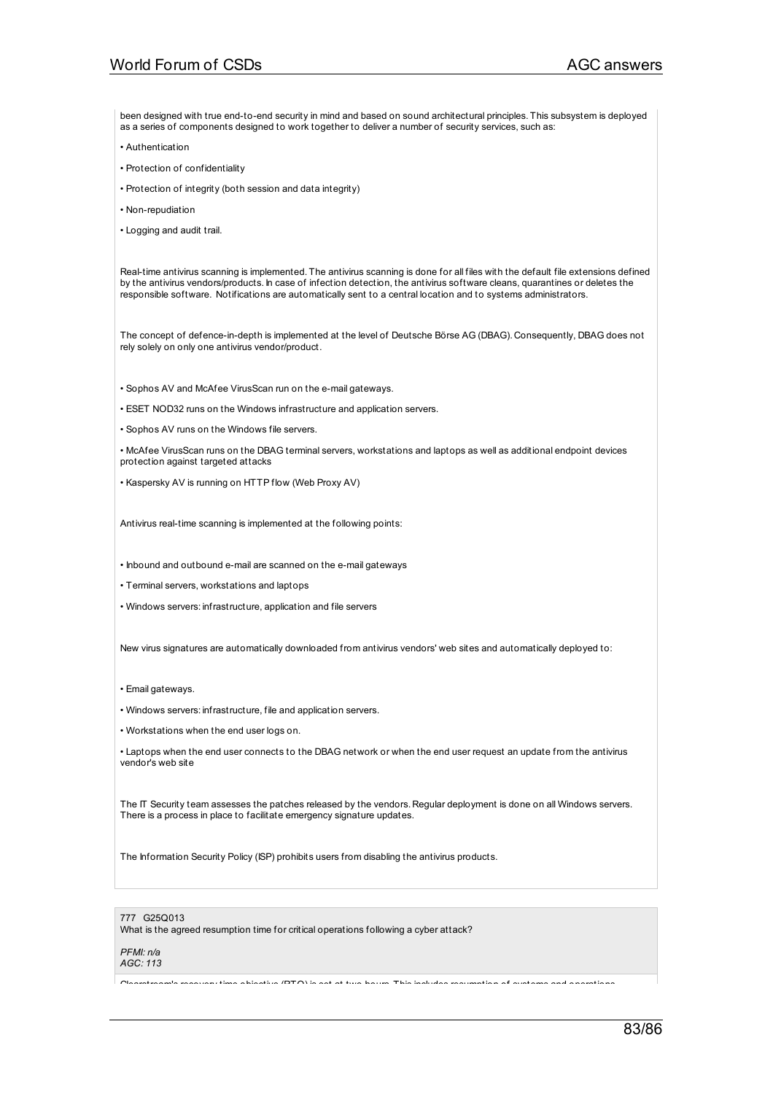been designed with true end-to-end security in mind and based on sound architectural principles. This subsystem is deployed as a series of components designed to work together to deliver a number of security services, such as:

- Authentication
- Protection of confidentiality
- Protection of integrity (both session and data integrity)
- Non-repudiation
- Logging and audit trail.

Real-time antivirus scanning is implemented. The antivirus scanning is done for all files with the default file extensions defined by the antivirus vendors/products. In case of infection detection, the antivirus software cleans, quarantines or deletes the responsible software. Notifications are automatically sent to a central location and to systems administrators.

The concept of defence-in-depth is implemented at the level of Deutsche Börse AG (DBAG). Consequently, DBAG does not rely solely on only one antivirus vendor/product.

• Sophos AV and McAfee VirusScan run on the e-mail gateways.

- ESET NOD32 runs on the Windows infrastructure and application servers.
- Sophos AV runs on the Windows file servers.

• McAfee VirusScan runs on the DBAG terminal servers, workstations and laptops as well as additional endpoint devices protection against targeted attacks

- Kaspersky AV is running on HTTP flow (Web Proxy AV)
- Antivirus real-time scanning is implemented at the following points:
- Inbound and outbound e-mail are scanned on the e-mail gateways
- Terminal servers, workstations and laptops
- Windows servers: infrastructure, application and file servers

New virus signatures are automatically downloaded from antivirus vendors' web sites and automatically deployed to:

- Email gateways.
- Windows servers: infrastructure, file and application servers.
- Workstations when the end user logs on.

• Laptops when the end user connects to the DBAG network or when the end user request an update from the antivirus vendor's web site

The IT Security team assesses the patches released by the vendors. Regular deployment is done on all Windows servers. There is a process in place to facilitate emergency signature updates.

The Information Security Policy (ISP) prohibits users from disabling the antivirus products.

## 777 G25Q013

What is the agreed resumption time for critical operations following a cyber attack?

#### *PFMI: n/a*

## *AGC: 113*

colears recovery time objective (RTO) is set at two hours. This includes resumption of systems and operations.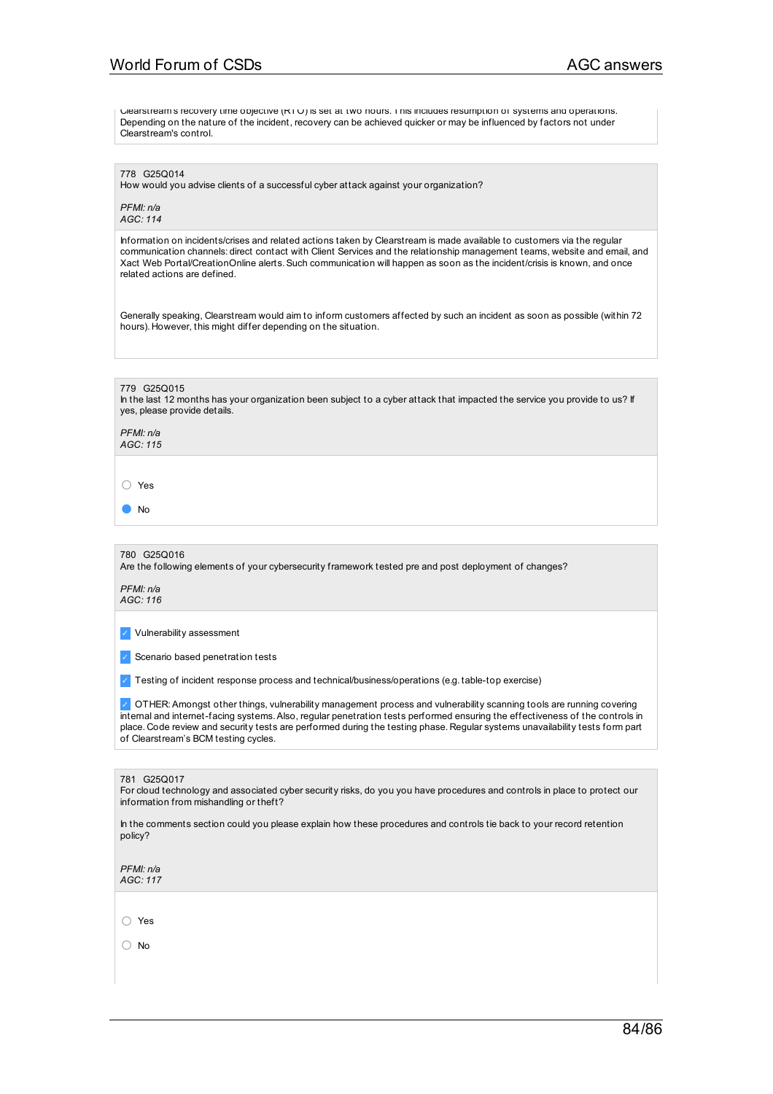Clearstream's recovery time objective (RTO) is set at two hours. This includes resumption of systems and operations. Depending on the nature of the incident, recovery can be achieved quicker or may be influenced by factors not under Clearstream's control.

778 G250014

How would you advise clients of a successful cyber attack against your organization?

*PFMI: n/a AGC: 114*

Information on incidents/crises and related actions taken by Clearstream is made available to customers via the regular communication channels: direct contact with Client Services and the relationship management teams, website and email, and Xact Web Portal/CreationOnline alerts. Such communication will happen as soon as the incident/crisis is known, and once related actions are defined.

Generally speaking, Clearstream would aim to inform customers affected by such an incident as soon as possible (within 72 hours). However, this might differ depending on the situation.

779 G25Q015

In the last 12 months has your organization been subject to a cyber attack that impacted the service you provide to us? If yes, please provide details.

*PFMI: n/a AGC: 115*

○ Yes

● No

780 G25Q016

Are the following elements of your cybersecurity framework tested pre and post deployment of changes?

*PFMI: n/a AGC: 116*

✓ Vulnerability assessment

✓ Scenario based penetration tests

✓ Testing of incident response process and technical/business/operations (e.g. table-top exercise)

✓ OTHER:Amongst other things, vulnerability management process and vulnerability scanning tools are running covering internal and internet-facing systems.Also, regular penetration tests performed ensuring the effectiveness of the controls in place. Code review and security tests are performed during the testing phase. Regular systems unavailability tests form part of Clearstream's BCM testing cycles.

#### 781 G25Q017

For cloud technology and associated cyber security risks, do you you have procedures and controls in place to protect our information from mishandling or theft?

In the comments section could you please explain how these procedures and controls tie back to your record retention policy?

*PFMI: n/a AGC: 117*

○ Yes

○ No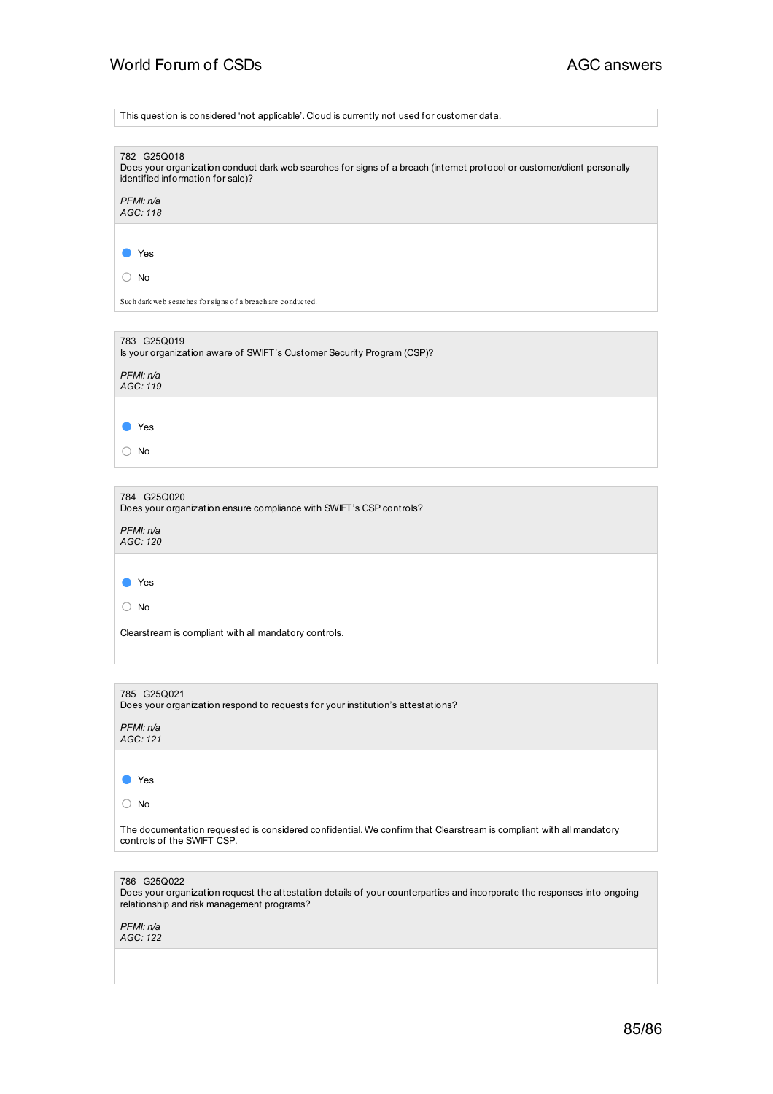This question is considered 'not applicable'. Cloud is currently not used for customer data.

| 782 G25Q018<br>Does your organization conduct dark web searches for signs of a breach (internet protocol or customer/client personally<br>identified information for sale)?           |
|---------------------------------------------------------------------------------------------------------------------------------------------------------------------------------------|
| PFMI: n/a<br>AGC: 118                                                                                                                                                                 |
|                                                                                                                                                                                       |
| Yes                                                                                                                                                                                   |
| $\bigcirc$ No                                                                                                                                                                         |
| Such dark web searches for signs of a breach are conducted.                                                                                                                           |
|                                                                                                                                                                                       |
| 783 G25Q019<br>Is your organization aware of SWIFT's Customer Security Program (CSP)?                                                                                                 |
| PFMI: n/a<br>AGC: 119                                                                                                                                                                 |
| Yes                                                                                                                                                                                   |
|                                                                                                                                                                                       |
| $\bigcirc$ No                                                                                                                                                                         |
|                                                                                                                                                                                       |
| 784 G25Q020<br>Does your organization ensure compliance with SWIFT's CSP controls?                                                                                                    |
| PFMI: n/a<br>AGC: 120                                                                                                                                                                 |
|                                                                                                                                                                                       |
| Yes                                                                                                                                                                                   |
| $\cup$ No                                                                                                                                                                             |
| Clearstream is compliant with all mandatory controls.                                                                                                                                 |
|                                                                                                                                                                                       |
|                                                                                                                                                                                       |
| 785 G25Q021<br>Does your organization respond to requests for your institution's attestations?                                                                                        |
| PFMI: n/a<br>AGC: 121                                                                                                                                                                 |
|                                                                                                                                                                                       |
| Yes                                                                                                                                                                                   |
| $\bigcirc$ No                                                                                                                                                                         |
| The documentation requested is considered confidential. We confirm that Clearstream is compliant with all mandatory<br>controls of the SWIFT CSP.                                     |
|                                                                                                                                                                                       |
| 786 G25Q022<br>Does your organization request the attestation details of your counterparties and incorporate the responses into ongoing<br>relationship and risk management programs? |
| PFMI: n/a<br>AGC: 122                                                                                                                                                                 |
|                                                                                                                                                                                       |